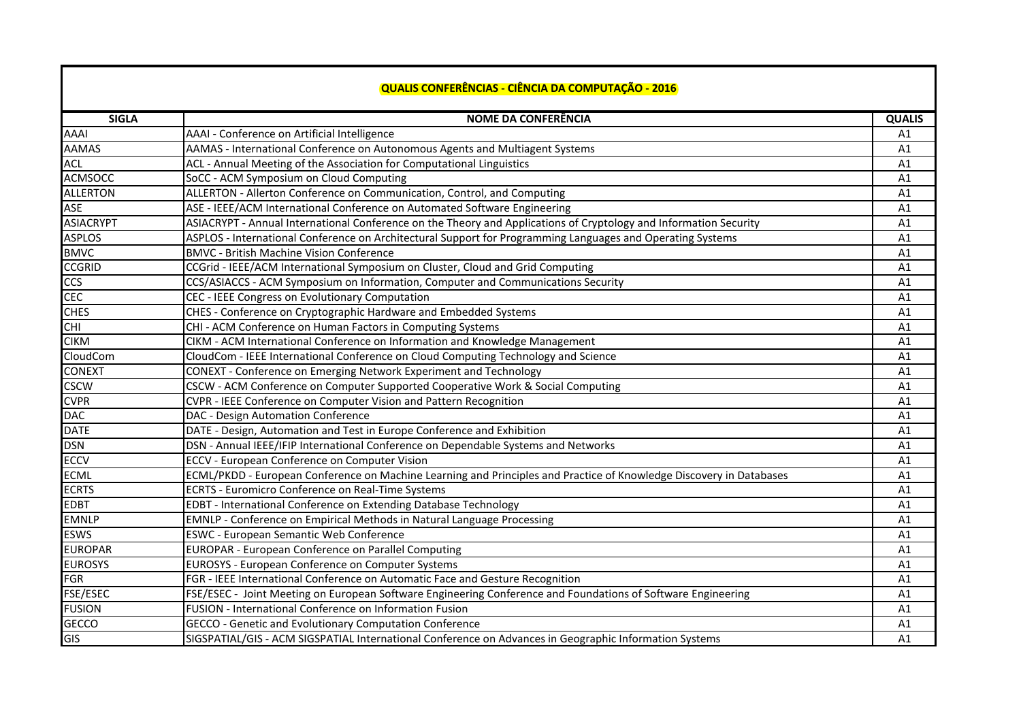## **QUALIS CONFERÊNCIAS - CIÊNCIA DA COMPUTAÇÃO - 2016**

| <b>SIGLA</b>     | <b>NOME DA CONFERÊNCIA</b>                                                                                          | <b>QUALIS</b> |
|------------------|---------------------------------------------------------------------------------------------------------------------|---------------|
| <b>AAAI</b>      | AAAI - Conference on Artificial Intelligence                                                                        | A1            |
| <b>AAMAS</b>     | AAMAS - International Conference on Autonomous Agents and Multiagent Systems                                        | A1            |
| <b>ACL</b>       | ACL - Annual Meeting of the Association for Computational Linguistics                                               | A1            |
| <b>ACMSOCC</b>   | SoCC - ACM Symposium on Cloud Computing                                                                             | A1            |
| <b>ALLERTON</b>  | ALLERTON - Allerton Conference on Communication, Control, and Computing                                             | A1            |
| <b>ASE</b>       | ASE - IEEE/ACM International Conference on Automated Software Engineering                                           | A1            |
| <b>ASIACRYPT</b> | ASIACRYPT - Annual International Conference on the Theory and Applications of Cryptology and Information Security   | A1            |
| <b>ASPLOS</b>    | ASPLOS - International Conference on Architectural Support for Programming Languages and Operating Systems          | A1            |
| <b>BMVC</b>      | <b>BMVC - British Machine Vision Conference</b>                                                                     | A1            |
| <b>CCGRID</b>    | CCGrid - IEEE/ACM International Symposium on Cluster, Cloud and Grid Computing                                      | A1            |
| <b>CCS</b>       | CCS/ASIACCS - ACM Symposium on Information, Computer and Communications Security                                    | A1            |
| <b>CEC</b>       | CEC - IEEE Congress on Evolutionary Computation                                                                     | A1            |
| <b>CHES</b>      | CHES - Conference on Cryptographic Hardware and Embedded Systems                                                    | A1            |
| <b>CHI</b>       | CHI - ACM Conference on Human Factors in Computing Systems                                                          | A1            |
| <b>CIKM</b>      | CIKM - ACM International Conference on Information and Knowledge Management                                         | A1            |
| CloudCom         | CloudCom - IEEE International Conference on Cloud Computing Technology and Science                                  | A1            |
| CONEXT           | CONEXT - Conference on Emerging Network Experiment and Technology                                                   | A1            |
| <b>CSCW</b>      | CSCW - ACM Conference on Computer Supported Cooperative Work & Social Computing                                     | A1            |
| <b>CVPR</b>      |                                                                                                                     | A1            |
| <b>DAC</b>       | CVPR - IEEE Conference on Computer Vision and Pattern Recognition                                                   |               |
| <b>DATE</b>      | DAC - Design Automation Conference<br>DATE - Design, Automation and Test in Europe Conference and Exhibition        | A1            |
|                  |                                                                                                                     | A1            |
| <b>DSN</b>       | DSN - Annual IEEE/IFIP International Conference on Dependable Systems and Networks                                  | A1            |
| <b>ECCV</b>      | ECCV - European Conference on Computer Vision                                                                       | A1            |
| <b>ECML</b>      | ECML/PKDD - European Conference on Machine Learning and Principles and Practice of Knowledge Discovery in Databases | A1            |
| <b>ECRTS</b>     | <b>ECRTS - Euromicro Conference on Real-Time Systems</b>                                                            | A1            |
| <b>EDBT</b>      | EDBT - International Conference on Extending Database Technology                                                    | A1            |
| <b>EMNLP</b>     | EMNLP - Conference on Empirical Methods in Natural Language Processing                                              | A1            |
| <b>ESWS</b>      | <b>ESWC - European Semantic Web Conference</b>                                                                      | A1            |
| <b>EUROPAR</b>   | EUROPAR - European Conference on Parallel Computing                                                                 | A1            |
| <b>EUROSYS</b>   | EUROSYS - European Conference on Computer Systems                                                                   | A1            |
| <b>FGR</b>       | FGR - IEEE International Conference on Automatic Face and Gesture Recognition                                       | A1            |
| FSE/ESEC         | FSE/ESEC - Joint Meeting on European Software Engineering Conference and Foundations of Software Engineering        | A1            |
| <b>FUSION</b>    | <b>FUSION - International Conference on Information Fusion</b>                                                      | A1            |
| <b>GECCO</b>     | GECCO - Genetic and Evolutionary Computation Conference                                                             | A1            |
| GIS              | SIGSPATIAL/GIS - ACM SIGSPATIAL International Conference on Advances in Geographic Information Systems              | A1            |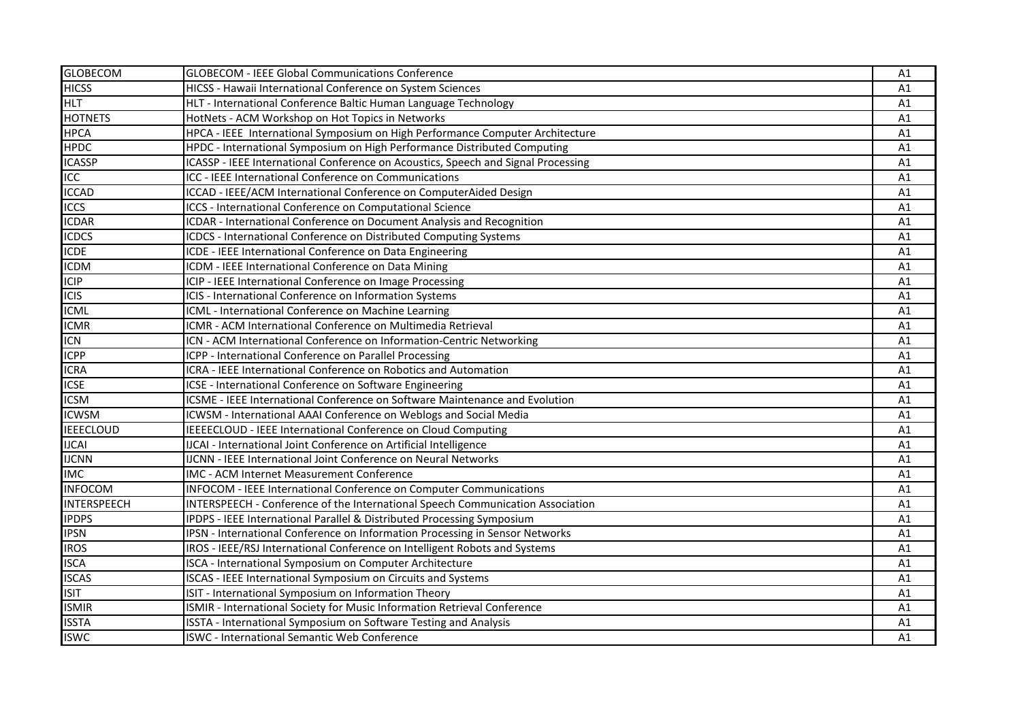| <b>GLOBECOM</b>    | <b>GLOBECOM - IEEE Global Communications Conference</b>                            | A1 |
|--------------------|------------------------------------------------------------------------------------|----|
| <b>HICSS</b>       | HICSS - Hawaii International Conference on System Sciences                         | A1 |
| <b>HLT</b>         | HLT - International Conference Baltic Human Language Technology                    | A1 |
| <b>HOTNETS</b>     | HotNets - ACM Workshop on Hot Topics in Networks                                   | A1 |
| <b>HPCA</b>        | HPCA - IEEE International Symposium on High Performance Computer Architecture      | A1 |
| <b>HPDC</b>        | HPDC - International Symposium on High Performance Distributed Computing           | A1 |
| <b>ICASSP</b>      | ICASSP - IEEE International Conference on Acoustics, Speech and Signal Processing  | A1 |
| ICC                | ICC - IEEE International Conference on Communications                              | A1 |
| <b>ICCAD</b>       | ICCAD - IEEE/ACM International Conference on ComputerAided Design                  | A1 |
| <b>ICCS</b>        | ICCS - International Conference on Computational Science                           | A1 |
| <b>ICDAR</b>       | ICDAR - International Conference on Document Analysis and Recognition              | A1 |
| <b>ICDCS</b>       | ICDCS - International Conference on Distributed Computing Systems                  | A1 |
| <b>ICDE</b>        | ICDE - IEEE International Conference on Data Engineering                           | A1 |
| <b>ICDM</b>        | ICDM - IEEE International Conference on Data Mining                                | A1 |
| <b>ICIP</b>        | ICIP - IEEE International Conference on Image Processing                           | A1 |
| <b>ICIS</b>        | ICIS - International Conference on Information Systems                             | A1 |
| <b>ICML</b>        | ICML - International Conference on Machine Learning                                | A1 |
| <b>ICMR</b>        | ICMR - ACM International Conference on Multimedia Retrieval                        | A1 |
| <b>ICN</b>         | ICN - ACM International Conference on Information-Centric Networking               | A1 |
| <b>ICPP</b>        | ICPP - International Conference on Parallel Processing                             | A1 |
| <b>ICRA</b>        | ICRA - IEEE International Conference on Robotics and Automation                    | A1 |
| <b>ICSE</b>        | ICSE - International Conference on Software Engineering                            | A1 |
| <b>ICSM</b>        | <b>ICSME - IEEE International Conference on Software Maintenance and Evolution</b> | A1 |
| <b>ICWSM</b>       | ICWSM - International AAAI Conference on Weblogs and Social Media                  | A1 |
| <b>IEEECLOUD</b>   | IEEEECLOUD - IEEE International Conference on Cloud Computing                      | A1 |
| <b>IJCAI</b>       | IJCAI - International Joint Conference on Artificial Intelligence                  | A1 |
| <b>IJCNN</b>       | <b>IJCNN - IEEE International Joint Conference on Neural Networks</b>              | A1 |
| <b>IMC</b>         | IMC - ACM Internet Measurement Conference                                          | A1 |
| <b>INFOCOM</b>     | <b>INFOCOM - IEEE International Conference on Computer Communications</b>          | A1 |
| <b>INTERSPEECH</b> | INTERSPEECH - Conference of the International Speech Communication Association     | A1 |
| <b>IPDPS</b>       | IPDPS - IEEE International Parallel & Distributed Processing Symposium             | A1 |
| <b>IPSN</b>        | IPSN - International Conference on Information Processing in Sensor Networks       | A1 |
| <b>IROS</b>        | IROS - IEEE/RSJ International Conference on Intelligent Robots and Systems         | A1 |
| <b>ISCA</b>        | ISCA - International Symposium on Computer Architecture                            | A1 |
| <b>ISCAS</b>       | <b>ISCAS - IEEE International Symposium on Circuits and Systems</b>                | A1 |
| <b>ISIT</b>        | ISIT - International Symposium on Information Theory                               | A1 |
| <b>ISMIR</b>       | ISMIR - International Society for Music Information Retrieval Conference           | A1 |
| <b>ISSTA</b>       | ISSTA - International Symposium on Software Testing and Analysis                   | A1 |
| <b>ISWC</b>        | ISWC - International Semantic Web Conference                                       | A1 |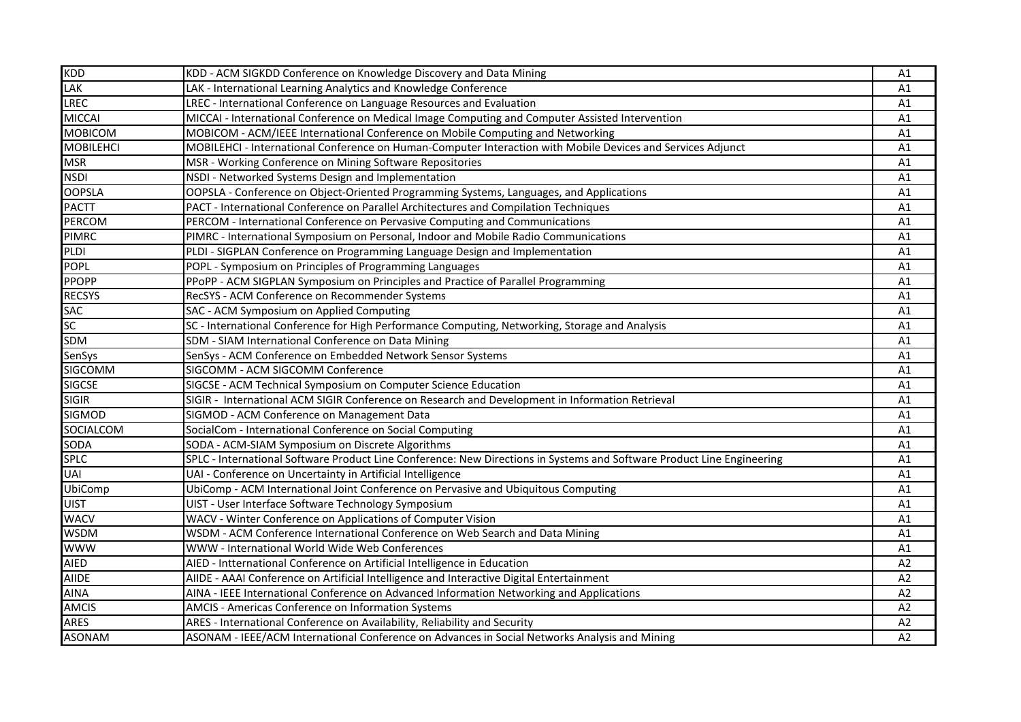| <b>KDD</b>       | KDD - ACM SIGKDD Conference on Knowledge Discovery and Data Mining                                                     | A1 |
|------------------|------------------------------------------------------------------------------------------------------------------------|----|
| LAK              | LAK - International Learning Analytics and Knowledge Conference                                                        | A1 |
| <b>LREC</b>      | LREC - International Conference on Language Resources and Evaluation                                                   | A1 |
| <b>MICCAI</b>    | MICCAI - International Conference on Medical Image Computing and Computer Assisted Intervention                        | A1 |
| <b>MOBICOM</b>   | MOBICOM - ACM/IEEE International Conference on Mobile Computing and Networking                                         | A1 |
| <b>MOBILEHCI</b> | MOBILEHCI - International Conference on Human-Computer Interaction with Mobile Devices and Services Adjunct            | A1 |
| <b>MSR</b>       | MSR - Working Conference on Mining Software Repositories                                                               | A1 |
| <b>NSDI</b>      | NSDI - Networked Systems Design and Implementation                                                                     | A1 |
| <b>OOPSLA</b>    | OOPSLA - Conference on Object-Oriented Programming Systems, Languages, and Applications                                | A1 |
| <b>PACTT</b>     | PACT - International Conference on Parallel Architectures and Compilation Techniques                                   | A1 |
| <b>PERCOM</b>    | PERCOM - International Conference on Pervasive Computing and Communications                                            | A1 |
| <b>PIMRC</b>     | PIMRC - International Symposium on Personal, Indoor and Mobile Radio Communications                                    | A1 |
| PLDI             | PLDI - SIGPLAN Conference on Programming Language Design and Implementation                                            | A1 |
| <b>POPL</b>      | POPL - Symposium on Principles of Programming Languages                                                                | A1 |
| <b>PPOPP</b>     | PPoPP - ACM SIGPLAN Symposium on Principles and Practice of Parallel Programming                                       | A1 |
| <b>RECSYS</b>    | RecSYS - ACM Conference on Recommender Systems                                                                         | A1 |
| <b>SAC</b>       | SAC - ACM Symposium on Applied Computing                                                                               | A1 |
| SC               | SC - International Conference for High Performance Computing, Networking, Storage and Analysis                         | A1 |
| <b>SDM</b>       | SDM - SIAM International Conference on Data Mining                                                                     | A1 |
| SenSys           | SenSys - ACM Conference on Embedded Network Sensor Systems                                                             | A1 |
| SIGCOMM          | SIGCOMM - ACM SIGCOMM Conference                                                                                       | A1 |
| <b>SIGCSE</b>    | SIGCSE - ACM Technical Symposium on Computer Science Education                                                         | A1 |
| <b>SIGIR</b>     | SIGIR - International ACM SIGIR Conference on Research and Development in Information Retrieval                        | A1 |
| <b>SIGMOD</b>    | SIGMOD - ACM Conference on Management Data                                                                             | A1 |
| SOCIALCOM        | SocialCom - International Conference on Social Computing                                                               | A1 |
| SODA             | SODA - ACM-SIAM Symposium on Discrete Algorithms                                                                       | A1 |
| <b>SPLC</b>      | SPLC - International Software Product Line Conference: New Directions in Systems and Software Product Line Engineering | A1 |
| <b>UAI</b>       | UAI - Conference on Uncertainty in Artificial Intelligence                                                             | A1 |
| UbiComp          | UbiComp - ACM International Joint Conference on Pervasive and Ubiquitous Computing                                     | A1 |
| <b>UIST</b>      | UIST - User Interface Software Technology Symposium                                                                    | A1 |
| <b>WACV</b>      | WACV - Winter Conference on Applications of Computer Vision                                                            | A1 |
| <b>WSDM</b>      | WSDM - ACM Conference International Conference on Web Search and Data Mining                                           | A1 |
| <b>WWW</b>       | WWW - International World Wide Web Conferences                                                                         | A1 |
| <b>AIED</b>      | AIED - Intternational Conference on Artificial Intelligence in Education                                               | A2 |
| AIIDE            | AIIDE - AAAI Conference on Artificial Intelligence and Interactive Digital Entertainment                               | A2 |
| <b>AINA</b>      | AINA - IEEE International Conference on Advanced Information Networking and Applications                               | A2 |
| <b>AMCIS</b>     | AMCIS - Americas Conference on Information Systems                                                                     | A2 |
| <b>ARES</b>      | ARES - International Conference on Availability, Reliability and Security                                              | A2 |
| <b>ASONAM</b>    | ASONAM - IEEE/ACM International Conference on Advances in Social Networks Analysis and Mining                          | A2 |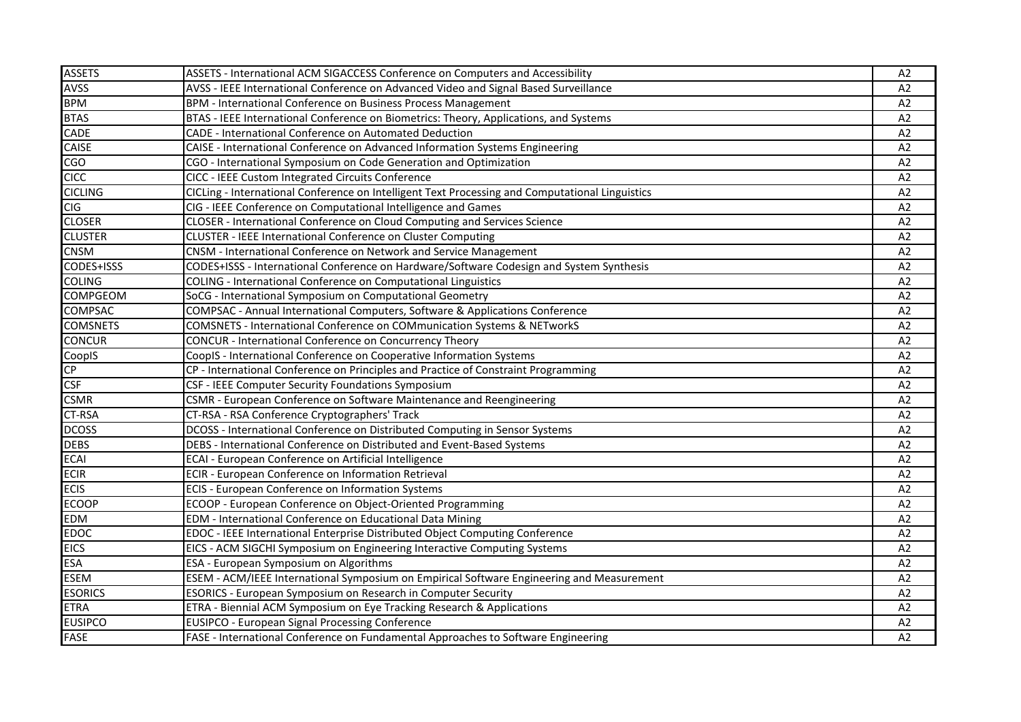| <b>ASSETS</b>   | ASSETS - International ACM SIGACCESS Conference on Computers and Accessibility                  | A2 |
|-----------------|-------------------------------------------------------------------------------------------------|----|
| <b>AVSS</b>     | AVSS - IEEE International Conference on Advanced Video and Signal Based Surveillance            | A2 |
| <b>BPM</b>      | BPM - International Conference on Business Process Management                                   | A2 |
| <b>BTAS</b>     | BTAS - IEEE International Conference on Biometrics: Theory, Applications, and Systems           | A2 |
| CADE            | CADE - International Conference on Automated Deduction                                          | A2 |
| CAISE           | CAISE - International Conference on Advanced Information Systems Engineering                    | A2 |
| <b>CGO</b>      | CGO - International Symposium on Code Generation and Optimization                               | A2 |
| <b>CICC</b>     | CICC - IEEE Custom Integrated Circuits Conference                                               | A2 |
| <b>CICLING</b>  | CICLing - International Conference on Intelligent Text Processing and Computational Linguistics | A2 |
| <b>CIG</b>      | CIG - IEEE Conference on Computational Intelligence and Games                                   | A2 |
| <b>CLOSER</b>   | CLOSER - International Conference on Cloud Computing and Services Science                       | A2 |
| <b>CLUSTER</b>  | <b>CLUSTER - IEEE International Conference on Cluster Computing</b>                             | A2 |
| <b>CNSM</b>     | CNSM - International Conference on Network and Service Management                               | A2 |
| CODES+ISSS      | CODES+ISSS - International Conference on Hardware/Software Codesign and System Synthesis        | A2 |
| <b>COLING</b>   | COLING - International Conference on Computational Linguistics                                  | A2 |
| <b>COMPGEOM</b> | SoCG - International Symposium on Computational Geometry                                        | A2 |
| <b>COMPSAC</b>  | COMPSAC - Annual International Computers, Software & Applications Conference                    | A2 |
| <b>COMSNETS</b> | COMSNETS - International Conference on COMmunication Systems & NETworkS                         | A2 |
| <b>CONCUR</b>   | <b>CONCUR</b> - International Conference on Concurrency Theory                                  | A2 |
| CoopIS          | CoopIS - International Conference on Cooperative Information Systems                            | A2 |
| CP              | CP - International Conference on Principles and Practice of Constraint Programming              | A2 |
| <b>CSF</b>      | CSF - IEEE Computer Security Foundations Symposium                                              | A2 |
| <b>CSMR</b>     | CSMR - European Conference on Software Maintenance and Reengineering                            | A2 |
| <b>CT-RSA</b>   | CT-RSA - RSA Conference Cryptographers' Track                                                   | A2 |
| <b>DCOSS</b>    | DCOSS - International Conference on Distributed Computing in Sensor Systems                     | A2 |
| <b>DEBS</b>     | DEBS - International Conference on Distributed and Event-Based Systems                          | A2 |
| <b>ECAI</b>     | ECAI - European Conference on Artificial Intelligence                                           | A2 |
| <b>ECIR</b>     | ECIR - European Conference on Information Retrieval                                             | A2 |
| <b>ECIS</b>     | ECIS - European Conference on Information Systems                                               | A2 |
| <b>ECOOP</b>    | ECOOP - European Conference on Object-Oriented Programming                                      | A2 |
| <b>EDM</b>      | EDM - International Conference on Educational Data Mining                                       | A2 |
| <b>EDOC</b>     | EDOC - IEEE International Enterprise Distributed Object Computing Conference                    | A2 |
| <b>EICS</b>     | EICS - ACM SIGCHI Symposium on Engineering Interactive Computing Systems                        | A2 |
| <b>ESA</b>      | ESA - European Symposium on Algorithms                                                          | A2 |
| <b>ESEM</b>     | ESEM - ACM/IEEE International Symposium on Empirical Software Engineering and Measurement       | A2 |
| <b>ESORICS</b>  | ESORICS - European Symposium on Research in Computer Security                                   | A2 |
| <b>ETRA</b>     | ETRA - Biennial ACM Symposium on Eye Tracking Research & Applications                           | A2 |
| <b>EUSIPCO</b>  | EUSIPCO - European Signal Processing Conference                                                 | A2 |
| <b>FASE</b>     | FASE - International Conference on Fundamental Approaches to Software Engineering               | A2 |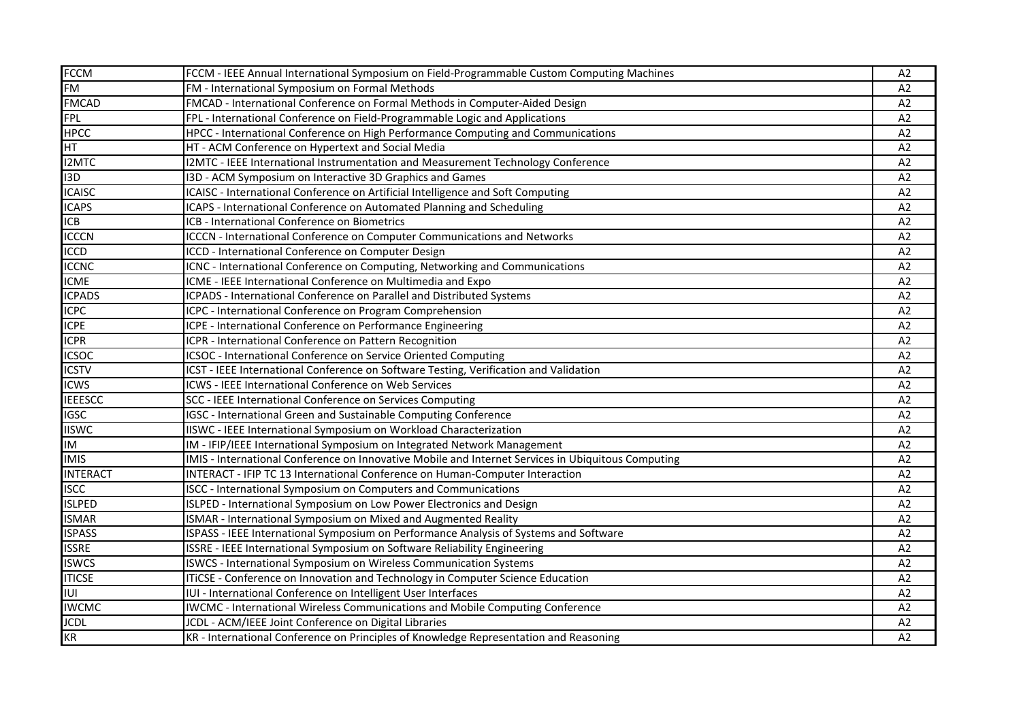| <b>FCCM</b>      | FCCM - IEEE Annual International Symposium on Field-Programmable Custom Computing Machines         | A2             |
|------------------|----------------------------------------------------------------------------------------------------|----------------|
| <b>FM</b>        | FM - International Symposium on Formal Methods                                                     | A2             |
| <b>FMCAD</b>     | FMCAD - International Conference on Formal Methods in Computer-Aided Design                        | A2             |
| <b>FPL</b>       | FPL - International Conference on Field-Programmable Logic and Applications                        | A2             |
| <b>HPCC</b>      | HPCC - International Conference on High Performance Computing and Communications                   | A2             |
| <b>HT</b>        | HT - ACM Conference on Hypertext and Social Media                                                  | A2             |
| <b>I2MTC</b>     | I2MTC - IEEE International Instrumentation and Measurement Technology Conference                   | A2             |
| I <sub>3</sub> D | I3D - ACM Symposium on Interactive 3D Graphics and Games                                           | A2             |
| <b>ICAISC</b>    | ICAISC - International Conference on Artificial Intelligence and Soft Computing                    | A2             |
| <b>ICAPS</b>     | ICAPS - International Conference on Automated Planning and Scheduling                              | A <sub>2</sub> |
| <b>ICB</b>       | ICB - International Conference on Biometrics                                                       | A2             |
| <b>ICCCN</b>     | ICCCN - International Conference on Computer Communications and Networks                           | A2             |
| <b>ICCD</b>      | ICCD - International Conference on Computer Design                                                 | A2             |
| <b>ICCNC</b>     | ICNC - International Conference on Computing, Networking and Communications                        | A2             |
| <b>ICME</b>      | ICME - IEEE International Conference on Multimedia and Expo                                        | A2             |
| <b>ICPADS</b>    | ICPADS - International Conference on Parallel and Distributed Systems                              | A2             |
| <b>ICPC</b>      | ICPC - International Conference on Program Comprehension                                           | A2             |
| <b>ICPE</b>      | ICPE - International Conference on Performance Engineering                                         | A2             |
| <b>ICPR</b>      | ICPR - International Conference on Pattern Recognition                                             | A2             |
| <b>ICSOC</b>     | ICSOC - International Conference on Service Oriented Computing                                     | A2             |
| <b>ICSTV</b>     | ICST - IEEE International Conference on Software Testing, Verification and Validation              | A2             |
| <b>ICWS</b>      | ICWS - IEEE International Conference on Web Services                                               | A2             |
| <b>IEEESCC</b>   | SCC - IEEE International Conference on Services Computing                                          | A2             |
| <b>IGSC</b>      | IGSC - International Green and Sustainable Computing Conference                                    | A2             |
| <b>IISWC</b>     | IISWC - IEEE International Symposium on Workload Characterization                                  | A <sub>2</sub> |
| IM               | IM - IFIP/IEEE International Symposium on Integrated Network Management                            | A2             |
| <b>IMIS</b>      | IMIS - International Conference on Innovative Mobile and Internet Services in Ubiquitous Computing | A2             |
| <b>INTERACT</b>  | INTERACT - IFIP TC 13 International Conference on Human-Computer Interaction                       | A2             |
| <b>ISCC</b>      | <b>ISCC</b> - International Symposium on Computers and Communications                              | A2             |
| <b>ISLPED</b>    | ISLPED - International Symposium on Low Power Electronics and Design                               | A2             |
| <b>ISMAR</b>     | ISMAR - International Symposium on Mixed and Augmented Reality                                     | A2             |
| <b>ISPASS</b>    | ISPASS - IEEE International Symposium on Performance Analysis of Systems and Software              | A2             |
| <b>ISSRE</b>     | ISSRE - IEEE International Symposium on Software Reliability Engineering                           | A <sub>2</sub> |
| <b>ISWCS</b>     | <b>ISWCS - International Symposium on Wireless Communication Systems</b>                           | A2             |
| <b>ITICSE</b>    | ITICSE - Conference on Innovation and Technology in Computer Science Education                     | A2             |
| IUI              | IUI - International Conference on Intelligent User Interfaces                                      | A <sub>2</sub> |
| <b>IWCMC</b>     | IWCMC - International Wireless Communications and Mobile Computing Conference                      | A <sub>2</sub> |
| <b>JCDL</b>      | JCDL - ACM/IEEE Joint Conference on Digital Libraries                                              | A2             |
| KR               | KR - International Conference on Principles of Knowledge Representation and Reasoning              | A2             |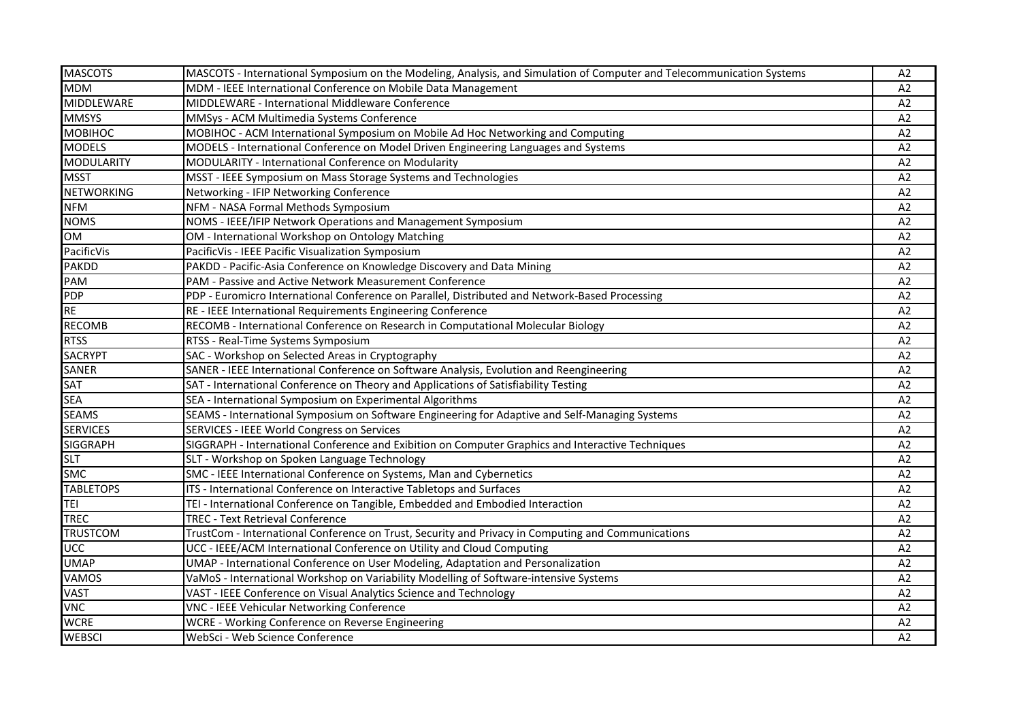| <b>MASCOTS</b>    | MASCOTS - International Symposium on the Modeling, Analysis, and Simulation of Computer and Telecommunication Systems | A2             |
|-------------------|-----------------------------------------------------------------------------------------------------------------------|----------------|
| <b>MDM</b>        | MDM - IEEE International Conference on Mobile Data Management                                                         | A2             |
| <b>MIDDLEWARE</b> | MIDDLEWARE - International Middleware Conference                                                                      | A2             |
| <b>MMSYS</b>      | MMSys - ACM Multimedia Systems Conference                                                                             | A <sub>2</sub> |
| <b>MOBIHOC</b>    | MOBIHOC - ACM International Symposium on Mobile Ad Hoc Networking and Computing                                       | A2             |
| <b>MODELS</b>     | MODELS - International Conference on Model Driven Engineering Languages and Systems                                   | A2             |
| <b>MODULARITY</b> | MODULARITY - International Conference on Modularity                                                                   | A <sub>2</sub> |
| <b>MSST</b>       | MSST - IEEE Symposium on Mass Storage Systems and Technologies                                                        | A2             |
| <b>NETWORKING</b> | Networking - IFIP Networking Conference                                                                               | A2             |
| <b>NFM</b>        | NFM - NASA Formal Methods Symposium                                                                                   | A2             |
| <b>NOMS</b>       | NOMS - IEEE/IFIP Network Operations and Management Symposium                                                          | A2             |
| <b>OM</b>         | OM - International Workshop on Ontology Matching                                                                      | A2             |
| PacificVis        | PacificVis - IEEE Pacific Visualization Symposium                                                                     | A2             |
| <b>PAKDD</b>      | PAKDD - Pacific-Asia Conference on Knowledge Discovery and Data Mining                                                | A <sub>2</sub> |
| PAM               | PAM - Passive and Active Network Measurement Conference                                                               | A2             |
| PDP               | PDP - Euromicro International Conference on Parallel, Distributed and Network-Based Processing                        | A2             |
| <b>RE</b>         | RE - IEEE International Requirements Engineering Conference                                                           | A2             |
| <b>RECOMB</b>     | RECOMB - International Conference on Research in Computational Molecular Biology                                      | A <sub>2</sub> |
| <b>RTSS</b>       | RTSS - Real-Time Systems Symposium                                                                                    | A <sub>2</sub> |
| <b>SACRYPT</b>    | SAC - Workshop on Selected Areas in Cryptography                                                                      | A2             |
| <b>SANER</b>      | SANER - IEEE International Conference on Software Analysis, Evolution and Reengineering                               | A2             |
| <b>SAT</b>        | SAT - International Conference on Theory and Applications of Satisfiability Testing                                   | A2             |
| <b>SEA</b>        | SEA - International Symposium on Experimental Algorithms                                                              | A2             |
| <b>SEAMS</b>      | SEAMS - International Symposium on Software Engineering for Adaptive and Self-Managing Systems                        | A2             |
| <b>SERVICES</b>   | SERVICES - IEEE World Congress on Services                                                                            | A <sub>2</sub> |
| <b>SIGGRAPH</b>   | SIGGRAPH - International Conference and Exibition on Computer Graphics and Interactive Techniques                     | A2             |
| <b>SLT</b>        | SLT - Workshop on Spoken Language Technology                                                                          | A2             |
| <b>SMC</b>        | SMC - IEEE International Conference on Systems, Man and Cybernetics                                                   | A <sub>2</sub> |
| <b>TABLETOPS</b>  | ITS - International Conference on Interactive Tabletops and Surfaces                                                  | A <sub>2</sub> |
| <b>TEI</b>        | TEI - International Conference on Tangible, Embedded and Embodied Interaction                                         | A2             |
| <b>TREC</b>       | <b>TREC - Text Retrieval Conference</b>                                                                               | A2             |
| <b>TRUSTCOM</b>   | TrustCom - International Conference on Trust, Security and Privacy in Computing and Communications                    | A2             |
| UCC               | UCC - IEEE/ACM International Conference on Utility and Cloud Computing                                                | A2             |
| <b>UMAP</b>       | UMAP - International Conference on User Modeling, Adaptation and Personalization                                      | A2             |
| <b>VAMOS</b>      | VaMoS - International Workshop on Variability Modelling of Software-intensive Systems                                 | A2             |
| <b>VAST</b>       | VAST - IEEE Conference on Visual Analytics Science and Technology                                                     | A <sub>2</sub> |
| <b>VNC</b>        | VNC - IEEE Vehicular Networking Conference                                                                            | A <sub>2</sub> |
| <b>WCRE</b>       | WCRE - Working Conference on Reverse Engineering                                                                      | A <sub>2</sub> |
| <b>WEBSCI</b>     | WebSci - Web Science Conference                                                                                       | A2             |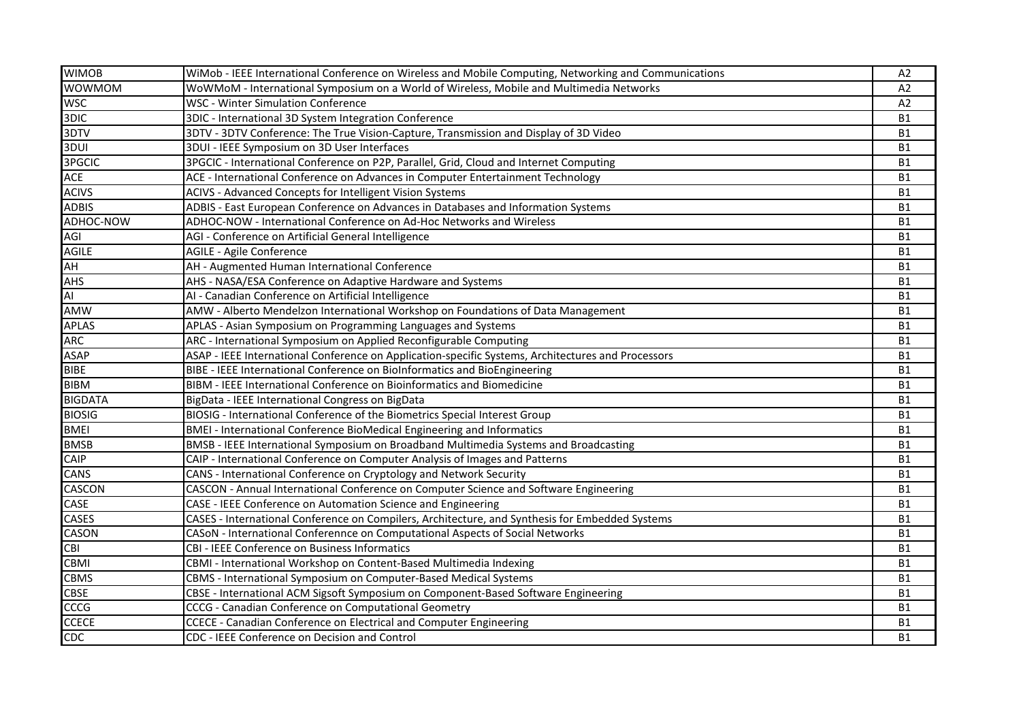| <b>WIMOB</b>   | WiMob - IEEE International Conference on Wireless and Mobile Computing, Networking and Communications | A2        |
|----------------|-------------------------------------------------------------------------------------------------------|-----------|
| <b>WOWMOM</b>  | WoWMoM - International Symposium on a World of Wireless, Mobile and Multimedia Networks               | A2        |
| <b>WSC</b>     | <b>WSC - Winter Simulation Conference</b>                                                             | A2        |
| 3DIC           | 3DIC - International 3D System Integration Conference                                                 | <b>B1</b> |
| 3DTV           | 3DTV - 3DTV Conference: The True Vision-Capture, Transmission and Display of 3D Video                 | <b>B1</b> |
| 3DUI           | 3DUI - IEEE Symposium on 3D User Interfaces                                                           | <b>B1</b> |
| 3PGCIC         | 3PGCIC - International Conference on P2P, Parallel, Grid, Cloud and Internet Computing                | <b>B1</b> |
| <b>ACE</b>     | ACE - International Conference on Advances in Computer Entertainment Technology                       | <b>B1</b> |
| <b>ACIVS</b>   | ACIVS - Advanced Concepts for Intelligent Vision Systems                                              | <b>B1</b> |
| <b>ADBIS</b>   | ADBIS - East European Conference on Advances in Databases and Information Systems                     | <b>B1</b> |
| ADHOC-NOW      | ADHOC-NOW - International Conference on Ad-Hoc Networks and Wireless                                  | <b>B1</b> |
| AGI            | AGI - Conference on Artificial General Intelligence                                                   | <b>B1</b> |
| <b>AGILE</b>   | AGILE - Agile Conference                                                                              | <b>B1</b> |
| <b>AH</b>      | AH - Augmented Human International Conference                                                         | <b>B1</b> |
| <b>AHS</b>     | AHS - NASA/ESA Conference on Adaptive Hardware and Systems                                            | <b>B1</b> |
| Al             | Al - Canadian Conference on Artificial Intelligence                                                   | <b>B1</b> |
| AMW            | AMW - Alberto Mendelzon International Workshop on Foundations of Data Management                      | <b>B1</b> |
| <b>APLAS</b>   | APLAS - Asian Symposium on Programming Languages and Systems                                          | <b>B1</b> |
| <b>ARC</b>     | ARC - International Symposium on Applied Reconfigurable Computing                                     | <b>B1</b> |
| <b>ASAP</b>    | ASAP - IEEE International Conference on Application-specific Systems, Architectures and Processors    | <b>B1</b> |
| <b>BIBE</b>    | BIBE - IEEE International Conference on BioInformatics and BioEngineering                             | <b>B1</b> |
| <b>BIBM</b>    | BIBM - IEEE International Conference on Bioinformatics and Biomedicine                                | <b>B1</b> |
| <b>BIGDATA</b> | BigData - IEEE International Congress on BigData                                                      | <b>B1</b> |
| <b>BIOSIG</b>  | BIOSIG - International Conference of the Biometrics Special Interest Group                            | <b>B1</b> |
| <b>BMEI</b>    | BMEI - International Conference BioMedical Engineering and Informatics                                | <b>B1</b> |
| <b>BMSB</b>    | BMSB - IEEE International Symposium on Broadband Multimedia Systems and Broadcasting                  | <b>B1</b> |
| <b>CAIP</b>    | CAIP - International Conference on Computer Analysis of Images and Patterns                           | <b>B1</b> |
| CANS           | CANS - International Conference on Cryptology and Network Security                                    | <b>B1</b> |
| <b>CASCON</b>  | CASCON - Annual International Conference on Computer Science and Software Engineering                 | <b>B1</b> |
| <b>CASE</b>    | CASE - IEEE Conference on Automation Science and Engineering                                          | <b>B1</b> |
| <b>CASES</b>   | CASES - International Conference on Compilers, Architecture, and Synthesis for Embedded Systems       | <b>B1</b> |
| <b>CASON</b>   | CASoN - International Conferennce on Computational Aspects of Social Networks                         | <b>B1</b> |
| <b>CBI</b>     | CBI - IEEE Conference on Business Informatics                                                         | <b>B1</b> |
| CBMI           | CBMI - International Workshop on Content-Based Multimedia Indexing                                    | <b>B1</b> |
| CBMS           | CBMS - International Symposium on Computer-Based Medical Systems                                      | <b>B1</b> |
| <b>CBSE</b>    | CBSE - International ACM Sigsoft Symposium on Component-Based Software Engineering                    | <b>B1</b> |
| <b>CCCG</b>    | CCCG - Canadian Conference on Computational Geometry                                                  | <b>B1</b> |
| <b>CCECE</b>   | CCECE - Canadian Conference on Electrical and Computer Engineering                                    | <b>B1</b> |
| <b>CDC</b>     | CDC - IEEE Conference on Decision and Control                                                         | <b>B1</b> |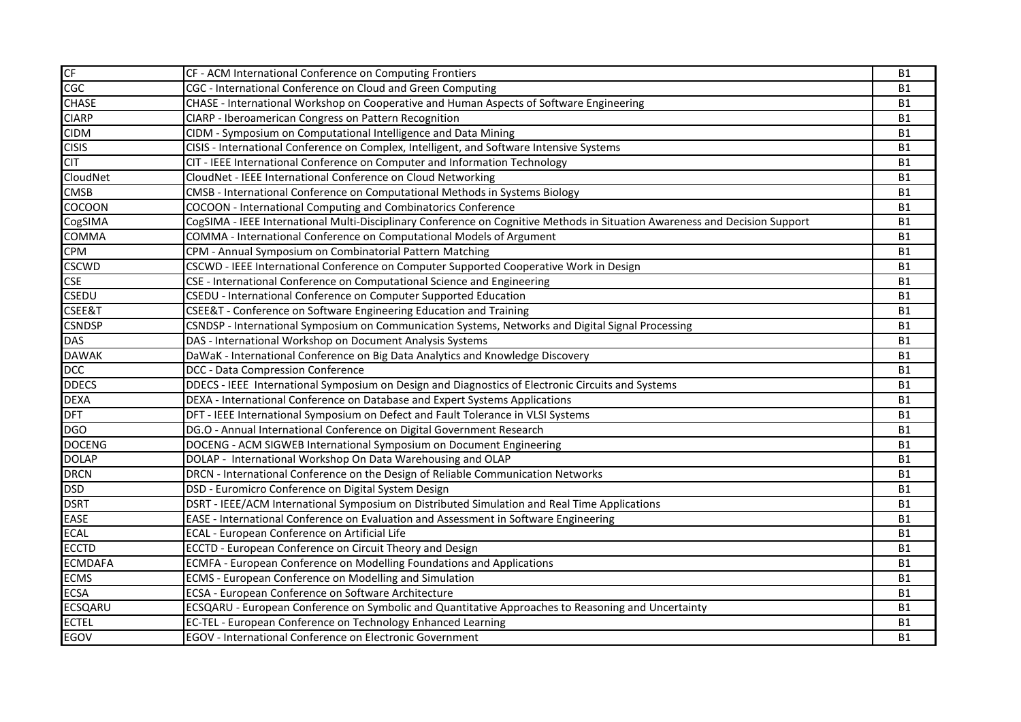| CF             | CF - ACM International Conference on Computing Frontiers                                                                    | <b>B1</b> |
|----------------|-----------------------------------------------------------------------------------------------------------------------------|-----------|
| CGC            | CGC - International Conference on Cloud and Green Computing                                                                 | <b>B1</b> |
| <b>CHASE</b>   | CHASE - International Workshop on Cooperative and Human Aspects of Software Engineering                                     | <b>B1</b> |
| <b>CIARP</b>   | CIARP - Iberoamerican Congress on Pattern Recognition                                                                       | <b>B1</b> |
| <b>CIDM</b>    | CIDM - Symposium on Computational Intelligence and Data Mining                                                              | <b>B1</b> |
| <b>CISIS</b>   | CISIS - International Conference on Complex, Intelligent, and Software Intensive Systems                                    | <b>B1</b> |
| <b>CIT</b>     | CIT - IEEE International Conference on Computer and Information Technology                                                  | <b>B1</b> |
| CloudNet       | CloudNet - IEEE International Conference on Cloud Networking                                                                | <b>B1</b> |
| <b>CMSB</b>    | CMSB - International Conference on Computational Methods in Systems Biology                                                 | <b>B1</b> |
| COCOON         | COCOON - International Computing and Combinatorics Conference                                                               | <b>B1</b> |
| CogSIMA        | CogSIMA - IEEE International Multi-Disciplinary Conference on Cognitive Methods in Situation Awareness and Decision Support | <b>B1</b> |
| COMMA          | COMMA - International Conference on Computational Models of Argument                                                        | <b>B1</b> |
| <b>CPM</b>     | CPM - Annual Symposium on Combinatorial Pattern Matching                                                                    | <b>B1</b> |
| <b>CSCWD</b>   | CSCWD - IEEE International Conference on Computer Supported Cooperative Work in Design                                      | <b>B1</b> |
| <b>CSE</b>     | CSE - International Conference on Computational Science and Engineering                                                     | <b>B1</b> |
| <b>CSEDU</b>   | CSEDU - International Conference on Computer Supported Education                                                            | <b>B1</b> |
| CSEE&T         | CSEE&T - Conference on Software Engineering Education and Training                                                          | <b>B1</b> |
| <b>CSNDSP</b>  | CSNDSP - International Symposium on Communication Systems, Networks and Digital Signal Processing                           | <b>B1</b> |
| <b>DAS</b>     | DAS - International Workshop on Document Analysis Systems                                                                   | <b>B1</b> |
| <b>DAWAK</b>   | DaWaK - International Conference on Big Data Analytics and Knowledge Discovery                                              | <b>B1</b> |
| <b>DCC</b>     | DCC - Data Compression Conference                                                                                           | <b>B1</b> |
| <b>DDECS</b>   | DDECS - IEEE International Symposium on Design and Diagnostics of Electronic Circuits and Systems                           | <b>B1</b> |
| <b>DEXA</b>    | DEXA - International Conference on Database and Expert Systems Applications                                                 | <b>B1</b> |
| <b>DFT</b>     | DFT - IEEE International Symposium on Defect and Fault Tolerance in VLSI Systems                                            | <b>B1</b> |
| <b>DGO</b>     | DG.O - Annual International Conference on Digital Government Research                                                       | <b>B1</b> |
| <b>DOCENG</b>  | DOCENG - ACM SIGWEB International Symposium on Document Engineering                                                         | <b>B1</b> |
| <b>DOLAP</b>   | DOLAP - International Workshop On Data Warehousing and OLAP                                                                 | <b>B1</b> |
| <b>DRCN</b>    | DRCN - International Conference on the Design of Reliable Communication Networks                                            | <b>B1</b> |
| <b>DSD</b>     | DSD - Euromicro Conference on Digital System Design                                                                         | <b>B1</b> |
| <b>DSRT</b>    | DSRT - IEEE/ACM International Symposium on Distributed Simulation and Real Time Applications                                | <b>B1</b> |
| <b>EASE</b>    | EASE - International Conference on Evaluation and Assessment in Software Engineering                                        | <b>B1</b> |
| <b>ECAL</b>    | ECAL - European Conference on Artificial Life                                                                               | <b>B1</b> |
| <b>ECCTD</b>   | ECCTD - European Conference on Circuit Theory and Design                                                                    | <b>B1</b> |
| <b>ECMDAFA</b> | ECMFA - European Conference on Modelling Foundations and Applications                                                       | <b>B1</b> |
| <b>ECMS</b>    | ECMS - European Conference on Modelling and Simulation                                                                      | <b>B1</b> |
| <b>ECSA</b>    | ECSA - European Conference on Software Architecture                                                                         | <b>B1</b> |
| <b>ECSQARU</b> | ECSQARU - European Conference on Symbolic and Quantitative Approaches to Reasoning and Uncertainty                          | <b>B1</b> |
| <b>ECTEL</b>   | EC-TEL - European Conference on Technology Enhanced Learning                                                                | <b>B1</b> |
| <b>EGOV</b>    | EGOV - International Conference on Electronic Government                                                                    | <b>B1</b> |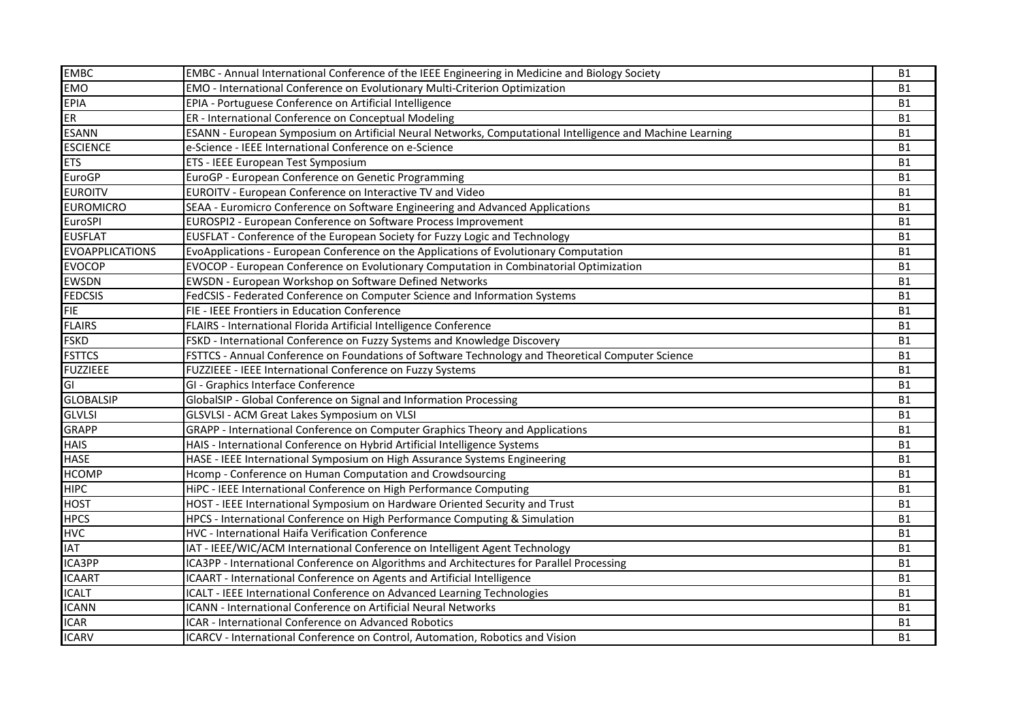| <b>EMBC</b>            | EMBC - Annual International Conference of the IEEE Engineering in Medicine and Biology Society            | <b>B1</b> |
|------------------------|-----------------------------------------------------------------------------------------------------------|-----------|
| <b>EMO</b>             | EMO - International Conference on Evolutionary Multi-Criterion Optimization                               | <b>B1</b> |
| <b>EPIA</b>            | EPIA - Portuguese Conference on Artificial Intelligence                                                   | <b>B1</b> |
| <b>ER</b>              | ER - International Conference on Conceptual Modeling                                                      | <b>B1</b> |
| <b>ESANN</b>           | ESANN - European Symposium on Artificial Neural Networks, Computational Intelligence and Machine Learning | <b>B1</b> |
| <b>ESCIENCE</b>        | e-Science - IEEE International Conference on e-Science                                                    | <b>B1</b> |
| <b>ETS</b>             | ETS - IEEE European Test Symposium                                                                        | <b>B1</b> |
| <b>EuroGP</b>          | EuroGP - European Conference on Genetic Programming                                                       | <b>B1</b> |
| <b>EUROITV</b>         | EUROITV - European Conference on Interactive TV and Video                                                 | <b>B1</b> |
| <b>EUROMICRO</b>       | SEAA - Euromicro Conference on Software Engineering and Advanced Applications                             | <b>B1</b> |
| EuroSPI                | EUROSPI2 - European Conference on Software Process Improvement                                            | <b>B1</b> |
| <b>EUSFLAT</b>         | EUSFLAT - Conference of the European Society for Fuzzy Logic and Technology                               | <b>B1</b> |
| <b>EVOAPPLICATIONS</b> | EvoApplications - European Conference on the Applications of Evolutionary Computation                     | <b>B1</b> |
| <b>EVOCOP</b>          | EVOCOP - European Conference on Evolutionary Computation in Combinatorial Optimization                    | <b>B1</b> |
| <b>EWSDN</b>           | EWSDN - European Workshop on Software Defined Networks                                                    | <b>B1</b> |
| <b>FEDCSIS</b>         | FedCSIS - Federated Conference on Computer Science and Information Systems                                | <b>B1</b> |
| <b>FIE</b>             | FIE - IEEE Frontiers in Education Conference                                                              | <b>B1</b> |
| <b>FLAIRS</b>          | FLAIRS - International Florida Artificial Intelligence Conference                                         | <b>B1</b> |
| <b>FSKD</b>            | FSKD - International Conference on Fuzzy Systems and Knowledge Discovery                                  | <b>B1</b> |
| <b>FSTTCS</b>          | FSTTCS - Annual Conference on Foundations of Software Technology and Theoretical Computer Science         | <b>B1</b> |
| <b>FUZZIEEE</b>        | FUZZIEEE - IEEE International Conference on Fuzzy Systems                                                 | <b>B1</b> |
| GI                     | GI - Graphics Interface Conference                                                                        | <b>B1</b> |
| <b>GLOBALSIP</b>       | GlobalSIP - Global Conference on Signal and Information Processing                                        | <b>B1</b> |
| <b>GLVLSI</b>          | GLSVLSI - ACM Great Lakes Symposium on VLSI                                                               | <b>B1</b> |
| <b>GRAPP</b>           | GRAPP - International Conference on Computer Graphics Theory and Applications                             | <b>B1</b> |
| <b>HAIS</b>            | HAIS - International Conference on Hybrid Artificial Intelligence Systems                                 | <b>B1</b> |
| <b>HASE</b>            | HASE - IEEE International Symposium on High Assurance Systems Engineering                                 | <b>B1</b> |
| <b>HCOMP</b>           | Hcomp - Conference on Human Computation and Crowdsourcing                                                 | <b>B1</b> |
| <b>HIPC</b>            | HiPC - IEEE International Conference on High Performance Computing                                        | <b>B1</b> |
| <b>HOST</b>            | HOST - IEEE International Symposium on Hardware Oriented Security and Trust                               | <b>B1</b> |
| <b>HPCS</b>            | HPCS - International Conference on High Performance Computing & Simulation                                | <b>B1</b> |
| <b>HVC</b>             | HVC - International Haifa Verification Conference                                                         | <b>B1</b> |
| <b>IAT</b>             | IAT - IEEE/WIC/ACM International Conference on Intelligent Agent Technology                               | <b>B1</b> |
| ICA3PP                 | ICA3PP - International Conference on Algorithms and Architectures for Parallel Processing                 | <b>B1</b> |
| <b>ICAART</b>          | ICAART - International Conference on Agents and Artificial Intelligence                                   | <b>B1</b> |
| <b>ICALT</b>           | <b>ICALT - IEEE International Conference on Advanced Learning Technologies</b>                            | <b>B1</b> |
| <b>ICANN</b>           | <b>ICANN - International Conference on Artificial Neural Networks</b>                                     | <b>B1</b> |
| <b>ICAR</b>            | <b>ICAR - International Conference on Advanced Robotics</b>                                               | <b>B1</b> |
| <b>ICARV</b>           | ICARCV - International Conference on Control, Automation, Robotics and Vision                             | <b>B1</b> |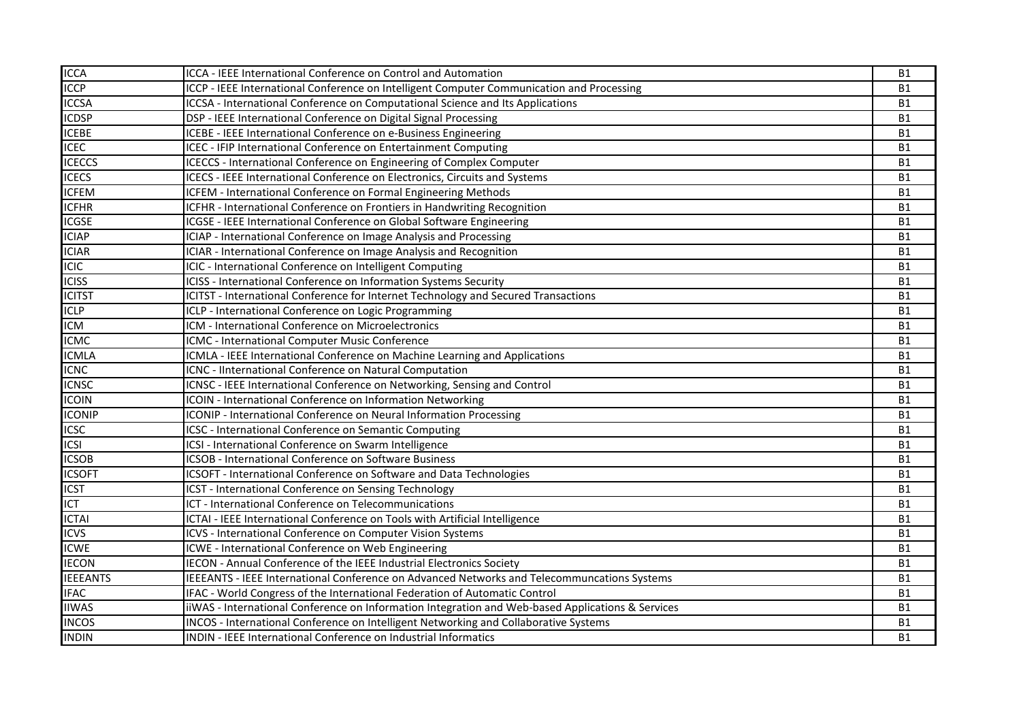| <b>ICCA</b>     | ICCA - IEEE International Conference on Control and Automation                                    | <b>B1</b> |
|-----------------|---------------------------------------------------------------------------------------------------|-----------|
| <b>ICCP</b>     | ICCP - IEEE International Conference on Intelligent Computer Communication and Processing         | <b>B1</b> |
| <b>ICCSA</b>    | ICCSA - International Conference on Computational Science and Its Applications                    | <b>B1</b> |
| <b>ICDSP</b>    | DSP - IEEE International Conference on Digital Signal Processing                                  | <b>B1</b> |
| <b>ICEBE</b>    | ICEBE - IEEE International Conference on e-Business Engineering                                   | <b>B1</b> |
| <b>ICEC</b>     | ICEC - IFIP International Conference on Entertainment Computing                                   | <b>B1</b> |
| <b>ICECCS</b>   | ICECCS - International Conference on Engineering of Complex Computer                              | <b>B1</b> |
| <b>ICECS</b>    | ICECS - IEEE International Conference on Electronics, Circuits and Systems                        | <b>B1</b> |
| <b>ICFEM</b>    | ICFEM - International Conference on Formal Engineering Methods                                    | <b>B1</b> |
| <b>ICFHR</b>    | ICFHR - International Conference on Frontiers in Handwriting Recognition                          | <b>B1</b> |
| <b>ICGSE</b>    | ICGSE - IEEE International Conference on Global Software Engineering                              | <b>B1</b> |
| <b>ICIAP</b>    | ICIAP - International Conference on Image Analysis and Processing                                 | <b>B1</b> |
| <b>ICIAR</b>    | ICIAR - International Conference on Image Analysis and Recognition                                | <b>B1</b> |
| <b>ICIC</b>     | ICIC - International Conference on Intelligent Computing                                          | <b>B1</b> |
| <b>ICISS</b>    | ICISS - International Conference on Information Systems Security                                  | <b>B1</b> |
| <b>ICITST</b>   | ICITST - International Conference for Internet Technology and Secured Transactions                | <b>B1</b> |
| <b>ICLP</b>     | ICLP - International Conference on Logic Programming                                              | <b>B1</b> |
| <b>ICM</b>      | ICM - International Conference on Microelectronics                                                | <b>B1</b> |
| <b>ICMC</b>     | ICMC - International Computer Music Conference                                                    | <b>B1</b> |
| <b>ICMLA</b>    | ICMLA - IEEE International Conference on Machine Learning and Applications                        | <b>B1</b> |
| <b>ICNC</b>     | ICNC - IInternational Conference on Natural Computation                                           | <b>B1</b> |
| <b>ICNSC</b>    | ICNSC - IEEE International Conference on Networking, Sensing and Control                          | <b>B1</b> |
| <b>ICOIN</b>    | ICOIN - International Conference on Information Networking                                        | <b>B1</b> |
| <b>ICONIP</b>   | <b>ICONIP</b> - International Conference on Neural Information Processing                         | <b>B1</b> |
| <b>ICSC</b>     | ICSC - International Conference on Semantic Computing                                             | <b>B1</b> |
| <b>ICSI</b>     | ICSI - International Conference on Swarm Intelligence                                             | <b>B1</b> |
| <b>ICSOB</b>    | ICSOB - International Conference on Software Business                                             | <b>B1</b> |
| <b>ICSOFT</b>   | ICSOFT - International Conference on Software and Data Technologies                               | <b>B1</b> |
| <b>ICST</b>     | ICST - International Conference on Sensing Technology                                             | <b>B1</b> |
| <b>ICT</b>      | ICT - International Conference on Telecommunications                                              | <b>B1</b> |
| <b>ICTAI</b>    | ICTAI - IEEE International Conference on Tools with Artificial Intelligence                       | <b>B1</b> |
| <b>ICVS</b>     | ICVS - International Conference on Computer Vision Systems                                        | <b>B1</b> |
| <b>ICWE</b>     | ICWE - International Conference on Web Engineering                                                | <b>B1</b> |
| <b>IECON</b>    | <b>IECON - Annual Conference of the IEEE Industrial Electronics Society</b>                       | <b>B1</b> |
| <b>IEEEANTS</b> | IEEEANTS - IEEE International Conference on Advanced Networks and Telecommuncations Systems       | <b>B1</b> |
| <b>IFAC</b>     | IFAC - World Congress of the International Federation of Automatic Control                        | <b>B1</b> |
| <b>IIWAS</b>    | iiWAS - International Conference on Information Integration and Web-based Applications & Services | <b>B1</b> |
| <b>INCOS</b>    | INCOS - International Conference on Intelligent Networking and Collaborative Systems              | <b>B1</b> |
| <b>INDIN</b>    | INDIN - IEEE International Conference on Industrial Informatics                                   | <b>B1</b> |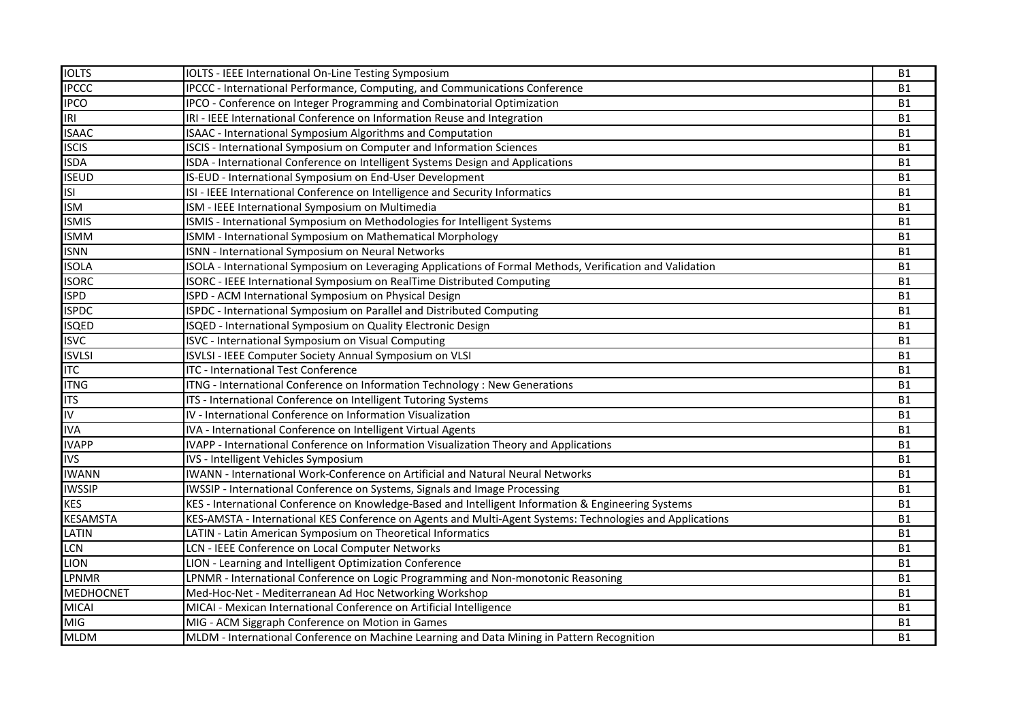| <b>IOLTS</b>            | IOLTS - IEEE International On-Line Testing Symposium                                                      | <b>B1</b> |
|-------------------------|-----------------------------------------------------------------------------------------------------------|-----------|
| <b>IPCCC</b>            | <b>IPCCC</b> - International Performance, Computing, and Communications Conference                        | <b>B1</b> |
| <b>IPCO</b>             | IPCO - Conference on Integer Programming and Combinatorial Optimization                                   | <b>B1</b> |
| IRI                     | IRI - IEEE International Conference on Information Reuse and Integration                                  | <b>B1</b> |
| <b>ISAAC</b>            | <b>ISAAC</b> - International Symposium Algorithms and Computation                                         | <b>B1</b> |
| <b>ISCIS</b>            | <b>ISCIS - International Symposium on Computer and Information Sciences</b>                               | <b>B1</b> |
| <b>ISDA</b>             | ISDA - International Conference on Intelligent Systems Design and Applications                            | <b>B1</b> |
| <b>ISEUD</b>            | IS-EUD - International Symposium on End-User Development                                                  | <b>B1</b> |
| S                       | ISI - IEEE International Conference on Intelligence and Security Informatics                              | <b>B1</b> |
| <b>ISM</b>              | ISM - IEEE International Symposium on Multimedia                                                          | <b>B1</b> |
| <b>ISMIS</b>            | ISMIS - International Symposium on Methodologies for Intelligent Systems                                  | <b>B1</b> |
| <b>ISMM</b>             | ISMM - International Symposium on Mathematical Morphology                                                 | <b>B1</b> |
| <b>ISNN</b>             | <b>ISNN - International Symposium on Neural Networks</b>                                                  | <b>B1</b> |
| <b>ISOLA</b>            | ISOLA - International Symposium on Leveraging Applications of Formal Methods, Verification and Validation | <b>B1</b> |
| <b>ISORC</b>            | ISORC - IEEE International Symposium on RealTime Distributed Computing                                    | <b>B1</b> |
| <b>ISPD</b>             | ISPD - ACM International Symposium on Physical Design                                                     | <b>B1</b> |
| <b>ISPDC</b>            | ISPDC - International Symposium on Parallel and Distributed Computing                                     | <b>B1</b> |
| <b>ISQED</b>            | ISQED - International Symposium on Quality Electronic Design                                              | <b>B1</b> |
| <b>ISVC</b>             | ISVC - International Symposium on Visual Computing                                                        | <b>B1</b> |
| <b>ISVLSI</b>           | ISVLSI - IEEE Computer Society Annual Symposium on VLSI                                                   | <b>B1</b> |
| <b>ITC</b>              | <b>ITC - International Test Conference</b>                                                                | <b>B1</b> |
| <b>ITNG</b>             | ITNG - International Conference on Information Technology : New Generations                               | <b>B1</b> |
| <b>ITS</b>              | ITS - International Conference on Intelligent Tutoring Systems                                            | <b>B1</b> |
| $\overline{\mathsf{I}}$ | IV - International Conference on Information Visualization                                                | <b>B1</b> |
| <b>IVA</b>              | IVA - International Conference on Intelligent Virtual Agents                                              | <b>B1</b> |
| <b>IVAPP</b>            | IVAPP - International Conference on Information Visualization Theory and Applications                     | <b>B1</b> |
| <b>IVS</b>              | IVS - Intelligent Vehicles Symposium                                                                      | <b>B1</b> |
| <b>IWANN</b>            | IWANN - International Work-Conference on Artificial and Natural Neural Networks                           | <b>B1</b> |
| <b>IWSSIP</b>           | IWSSIP - International Conference on Systems, Signals and Image Processing                                | <b>B1</b> |
| <b>KES</b>              | KES - International Conference on Knowledge-Based and Intelligent Information & Engineering Systems       | <b>B1</b> |
| <b>KESAMSTA</b>         | KES-AMSTA - International KES Conference on Agents and Multi-Agent Systems: Technologies and Applications | <b>B1</b> |
| LATIN                   | LATIN - Latin American Symposium on Theoretical Informatics                                               | <b>B1</b> |
| LCN                     | LCN - IEEE Conference on Local Computer Networks                                                          | <b>B1</b> |
| <b>LION</b>             | LION - Learning and Intelligent Optimization Conference                                                   | <b>B1</b> |
| <b>LPNMR</b>            | LPNMR - International Conference on Logic Programming and Non-monotonic Reasoning                         | <b>B1</b> |
| <b>MEDHOCNET</b>        | Med-Hoc-Net - Mediterranean Ad Hoc Networking Workshop                                                    | <b>B1</b> |
| <b>MICAI</b>            | MICAI - Mexican International Conference on Artificial Intelligence                                       | <b>B1</b> |
| MIG                     | MIG - ACM Siggraph Conference on Motion in Games                                                          | <b>B1</b> |
| <b>MLDM</b>             | MLDM - International Conference on Machine Learning and Data Mining in Pattern Recognition                | <b>B1</b> |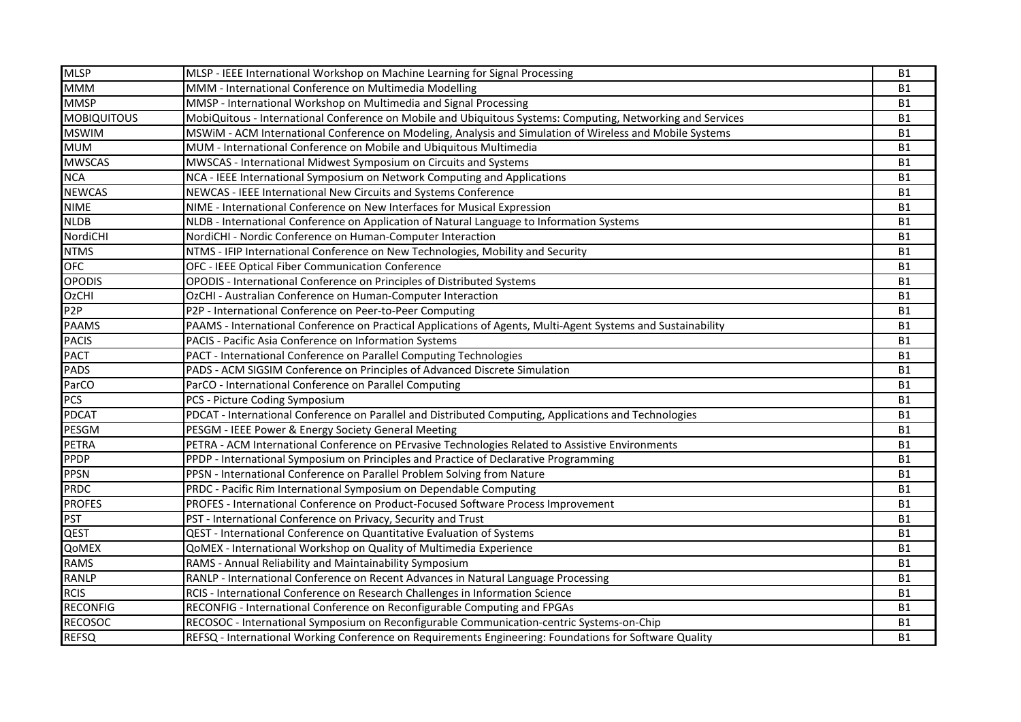| <b>MLSP</b>        | MLSP - IEEE International Workshop on Machine Learning for Signal Processing                                 | <b>B1</b> |
|--------------------|--------------------------------------------------------------------------------------------------------------|-----------|
| <b>MMM</b>         | MMM - International Conference on Multimedia Modelling                                                       | <b>B1</b> |
| <b>MMSP</b>        | MMSP - International Workshop on Multimedia and Signal Processing                                            | <b>B1</b> |
| <b>MOBIQUITOUS</b> | MobiQuitous - International Conference on Mobile and Ubiquitous Systems: Computing, Networking and Services  | <b>B1</b> |
| <b>MSWIM</b>       | MSWIM - ACM International Conference on Modeling, Analysis and Simulation of Wireless and Mobile Systems     | <b>B1</b> |
| <b>MUM</b>         | MUM - International Conference on Mobile and Ubiquitous Multimedia                                           | <b>B1</b> |
| <b>MWSCAS</b>      | MWSCAS - International Midwest Symposium on Circuits and Systems                                             | <b>B1</b> |
| <b>NCA</b>         | NCA - IEEE International Symposium on Network Computing and Applications                                     | <b>B1</b> |
| <b>NEWCAS</b>      | NEWCAS - IEEE International New Circuits and Systems Conference                                              | <b>B1</b> |
| <b>NIME</b>        | NIME - International Conference on New Interfaces for Musical Expression                                     | <b>B1</b> |
| <b>NLDB</b>        | NLDB - International Conference on Application of Natural Language to Information Systems                    | <b>B1</b> |
| NordiCHI           | NordiCHI - Nordic Conference on Human-Computer Interaction                                                   | <b>B1</b> |
| <b>NTMS</b>        | NTMS - IFIP International Conference on New Technologies, Mobility and Security                              | <b>B1</b> |
| <b>OFC</b>         | OFC - IEEE Optical Fiber Communication Conference                                                            | <b>B1</b> |
| <b>OPODIS</b>      | OPODIS - International Conference on Principles of Distributed Systems                                       | <b>B1</b> |
| <b>OzCHI</b>       | OzCHI - Australian Conference on Human-Computer Interaction                                                  | <b>B1</b> |
| P <sub>2</sub> P   | P2P - International Conference on Peer-to-Peer Computing                                                     | <b>B1</b> |
| <b>PAAMS</b>       | PAAMS - International Conference on Practical Applications of Agents, Multi-Agent Systems and Sustainability | <b>B1</b> |
| <b>PACIS</b>       | PACIS - Pacific Asia Conference on Information Systems                                                       | <b>B1</b> |
| <b>PACT</b>        | PACT - International Conference on Parallel Computing Technologies                                           | <b>B1</b> |
| <b>PADS</b>        | PADS - ACM SIGSIM Conference on Principles of Advanced Discrete Simulation                                   | <b>B1</b> |
| ParCO              | ParCO - International Conference on Parallel Computing                                                       | <b>B1</b> |
| <b>PCS</b>         | PCS - Picture Coding Symposium                                                                               | <b>B1</b> |
| <b>PDCAT</b>       | PDCAT - International Conference on Parallel and Distributed Computing, Applications and Technologies        | <b>B1</b> |
| PESGM              | PESGM - IEEE Power & Energy Society General Meeting                                                          | <b>B1</b> |
| <b>PETRA</b>       | PETRA - ACM International Conference on PErvasive Technologies Related to Assistive Environments             | <b>B1</b> |
| <b>PPDP</b>        | PPDP - International Symposium on Principles and Practice of Declarative Programming                         | <b>B1</b> |
| <b>PPSN</b>        | PPSN - International Conference on Parallel Problem Solving from Nature                                      | <b>B1</b> |
| <b>PRDC</b>        | PRDC - Pacific Rim International Symposium on Dependable Computing                                           | <b>B1</b> |
| <b>PROFES</b>      | PROFES - International Conference on Product-Focused Software Process Improvement                            | <b>B1</b> |
| <b>PST</b>         | PST - International Conference on Privacy, Security and Trust                                                | <b>B1</b> |
| <b>QEST</b>        | QEST - International Conference on Quantitative Evaluation of Systems                                        | <b>B1</b> |
| QoMEX              | QoMEX - International Workshop on Quality of Multimedia Experience                                           | <b>B1</b> |
| <b>RAMS</b>        | RAMS - Annual Reliability and Maintainability Symposium                                                      | <b>B1</b> |
| <b>RANLP</b>       | RANLP - International Conference on Recent Advances in Natural Language Processing                           | <b>B1</b> |
| <b>RCIS</b>        | RCIS - International Conference on Research Challenges in Information Science                                | <b>B1</b> |
| <b>RECONFIG</b>    | RECONFIG - International Conference on Reconfigurable Computing and FPGAs                                    | <b>B1</b> |
| <b>RECOSOC</b>     | RECOSOC - International Symposium on Reconfigurable Communication-centric Systems-on-Chip                    | <b>B1</b> |
| <b>REFSQ</b>       | REFSQ - International Working Conference on Requirements Engineering: Foundations for Software Quality       | <b>B1</b> |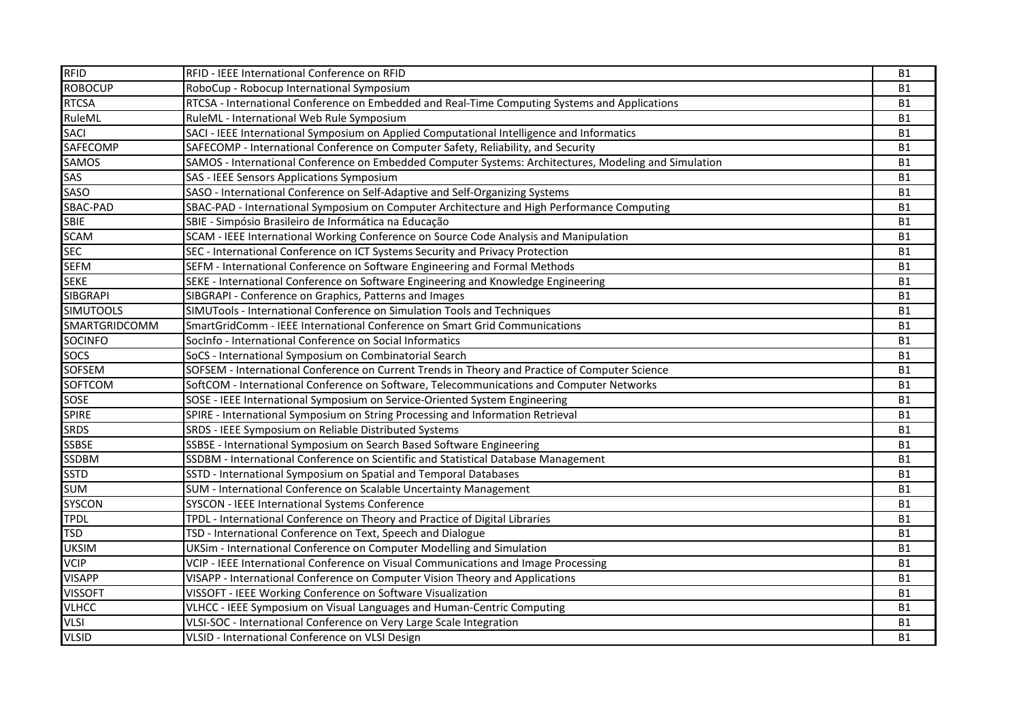| <b>RFID</b>      | RFID - IEEE International Conference on RFID                                                          | <b>B1</b> |
|------------------|-------------------------------------------------------------------------------------------------------|-----------|
| <b>ROBOCUP</b>   | RoboCup - Robocup International Symposium                                                             | <b>B1</b> |
| <b>RTCSA</b>     | RTCSA - International Conference on Embedded and Real-Time Computing Systems and Applications         | <b>B1</b> |
| RuleML           | RuleML - International Web Rule Symposium                                                             | <b>B1</b> |
| <b>SACI</b>      | SACI - IEEE International Symposium on Applied Computational Intelligence and Informatics             | <b>B1</b> |
| <b>SAFECOMP</b>  | SAFECOMP - International Conference on Computer Safety, Reliability, and Security                     | <b>B1</b> |
| <b>SAMOS</b>     | SAMOS - International Conference on Embedded Computer Systems: Architectures, Modeling and Simulation | <b>B1</b> |
| SAS              | SAS - IEEE Sensors Applications Symposium                                                             | <b>B1</b> |
| <b>SASO</b>      | SASO - International Conference on Self-Adaptive and Self-Organizing Systems                          | <b>B1</b> |
| SBAC-PAD         | SBAC-PAD - International Symposium on Computer Architecture and High Performance Computing            | <b>B1</b> |
| <b>SBIE</b>      | SBIE - Simpósio Brasileiro de Informática na Educação                                                 | <b>B1</b> |
| <b>SCAM</b>      | SCAM - IEEE International Working Conference on Source Code Analysis and Manipulation                 | <b>B1</b> |
| <b>SEC</b>       | SEC - International Conference on ICT Systems Security and Privacy Protection                         | <b>B1</b> |
| <b>SEFM</b>      | SEFM - International Conference on Software Engineering and Formal Methods                            | <b>B1</b> |
| <b>SEKE</b>      | SEKE - International Conference on Software Engineering and Knowledge Engineering                     | <b>B1</b> |
| <b>SIBGRAPI</b>  | SIBGRAPI - Conference on Graphics, Patterns and Images                                                | <b>B1</b> |
| <b>SIMUTOOLS</b> | SIMUTools - International Conference on Simulation Tools and Techniques                               | <b>B1</b> |
| SMARTGRIDCOMM    | SmartGridComm - IEEE International Conference on Smart Grid Communications                            | <b>B1</b> |
| <b>SOCINFO</b>   | Socinfo - International Conference on Social Informatics                                              | <b>B1</b> |
| <b>SOCS</b>      | SoCS - International Symposium on Combinatorial Search                                                | <b>B1</b> |
| <b>SOFSEM</b>    | SOFSEM - International Conference on Current Trends in Theory and Practice of Computer Science        | <b>B1</b> |
| <b>SOFTCOM</b>   | SoftCOM - International Conference on Software, Telecommunications and Computer Networks              | <b>B1</b> |
| SOSE             | SOSE - IEEE International Symposium on Service-Oriented System Engineering                            | <b>B1</b> |
| <b>SPIRE</b>     | SPIRE - International Symposium on String Processing and Information Retrieval                        | <b>B1</b> |
| <b>SRDS</b>      | SRDS - IEEE Symposium on Reliable Distributed Systems                                                 | <b>B1</b> |
| <b>SSBSE</b>     | SSBSE - International Symposium on Search Based Software Engineering                                  | <b>B1</b> |
| <b>SSDBM</b>     | SSDBM - International Conference on Scientific and Statistical Database Management                    | <b>B1</b> |
| <b>SSTD</b>      | SSTD - International Symposium on Spatial and Temporal Databases                                      | <b>B1</b> |
| <b>SUM</b>       | SUM - International Conference on Scalable Uncertainty Management                                     | <b>B1</b> |
| <b>SYSCON</b>    | SYSCON - IEEE International Systems Conference                                                        | <b>B1</b> |
| <b>TPDL</b>      | TPDL - International Conference on Theory and Practice of Digital Libraries                           | <b>B1</b> |
| <b>TSD</b>       | TSD - International Conference on Text, Speech and Dialogue                                           | <b>B1</b> |
| <b>UKSIM</b>     | UKSim - International Conference on Computer Modelling and Simulation                                 | <b>B1</b> |
| VCIP             | VCIP - IEEE International Conference on Visual Communications and Image Processing                    | <b>B1</b> |
| <b>VISAPP</b>    | VISAPP - International Conference on Computer Vision Theory and Applications                          | <b>B1</b> |
| <b>VISSOFT</b>   | VISSOFT - IEEE Working Conference on Software Visualization                                           | <b>B1</b> |
| <b>VLHCC</b>     | VLHCC - IEEE Symposium on Visual Languages and Human-Centric Computing                                | <b>B1</b> |
| <b>VLSI</b>      | VLSI-SOC - International Conference on Very Large Scale Integration                                   | <b>B1</b> |
| <b>VLSID</b>     | VLSID - International Conference on VLSI Design                                                       | <b>B1</b> |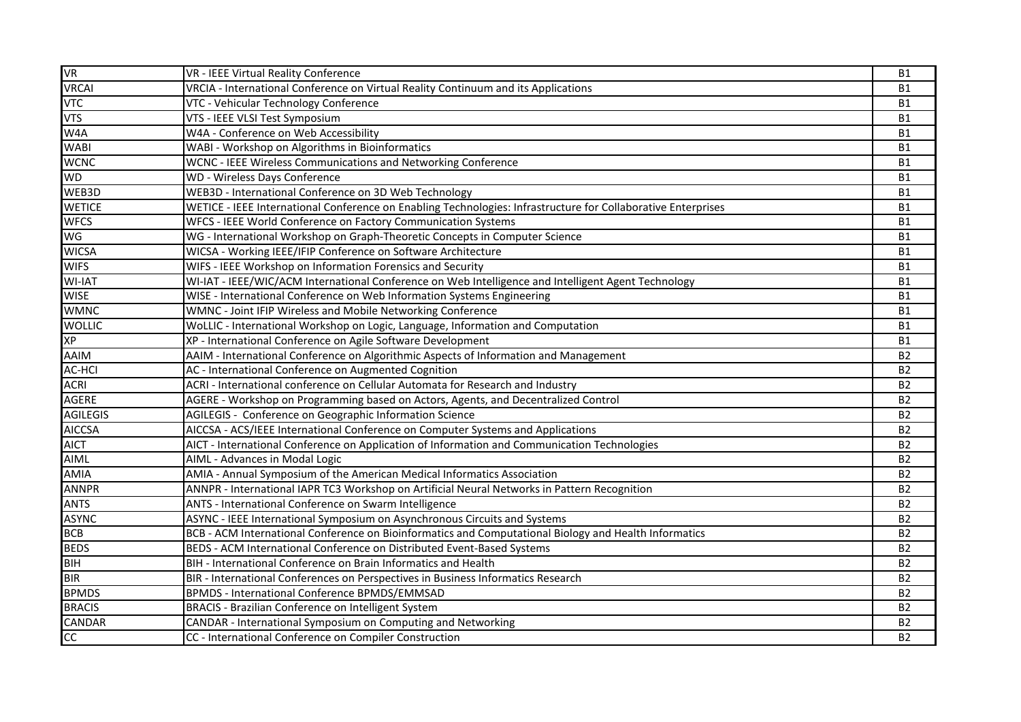| <b>VR</b>       | VR - IEEE Virtual Reality Conference                                                                          | <b>B1</b>      |
|-----------------|---------------------------------------------------------------------------------------------------------------|----------------|
| <b>VRCAI</b>    | VRCIA - International Conference on Virtual Reality Continuum and its Applications                            | <b>B1</b>      |
| <b>VTC</b>      | VTC - Vehicular Technology Conference                                                                         | <b>B1</b>      |
| <b>VTS</b>      | VTS - IEEE VLSI Test Symposium                                                                                | <b>B1</b>      |
| W4A             | W4A - Conference on Web Accessibility                                                                         | <b>B1</b>      |
| <b>WABI</b>     | WABI - Workshop on Algorithms in Bioinformatics                                                               | <b>B1</b>      |
| <b>WCNC</b>     | WCNC - IEEE Wireless Communications and Networking Conference                                                 | <b>B1</b>      |
| <b>WD</b>       | <b>WD</b> - Wireless Days Conference                                                                          | <b>B1</b>      |
| WEB3D           | WEB3D - International Conference on 3D Web Technology                                                         | <b>B1</b>      |
| <b>WETICE</b>   | WETICE - IEEE International Conference on Enabling Technologies: Infrastructure for Collaborative Enterprises | <b>B1</b>      |
| <b>WFCS</b>     | WFCS - IEEE World Conference on Factory Communication Systems                                                 | <b>B1</b>      |
| WG              | WG - International Workshop on Graph-Theoretic Concepts in Computer Science                                   | <b>B1</b>      |
| <b>WICSA</b>    | WICSA - Working IEEE/IFIP Conference on Software Architecture                                                 | <b>B1</b>      |
| <b>WIFS</b>     | WIFS - IEEE Workshop on Information Forensics and Security                                                    | <b>B1</b>      |
| <b>WI-IAT</b>   | WI-IAT - IEEE/WIC/ACM International Conference on Web Intelligence and Intelligent Agent Technology           | <b>B1</b>      |
| <b>WISE</b>     | WISE - International Conference on Web Information Systems Engineering                                        | <b>B1</b>      |
| <b>WMNC</b>     | WMNC - Joint IFIP Wireless and Mobile Networking Conference                                                   | <b>B1</b>      |
| <b>WOLLIC</b>   | WoLLIC - International Workshop on Logic, Language, Information and Computation                               | <b>B1</b>      |
| XP              | XP - International Conference on Agile Software Development                                                   | <b>B1</b>      |
| <b>AAIM</b>     | AAIM - International Conference on Algorithmic Aspects of Information and Management                          | <b>B2</b>      |
| <b>AC-HCI</b>   | AC - International Conference on Augmented Cognition                                                          | <b>B2</b>      |
| <b>ACRI</b>     | ACRI - International conference on Cellular Automata for Research and Industry                                | <b>B2</b>      |
| <b>AGERE</b>    | AGERE - Workshop on Programming based on Actors, Agents, and Decentralized Control                            | <b>B2</b>      |
| <b>AGILEGIS</b> | AGILEGIS - Conference on Geographic Information Science                                                       | <b>B2</b>      |
| <b>AICCSA</b>   | AICCSA - ACS/IEEE International Conference on Computer Systems and Applications                               | <b>B2</b>      |
| <b>AICT</b>     | AICT - International Conference on Application of Information and Communication Technologies                  | <b>B2</b>      |
| <b>AIML</b>     | AIML - Advances in Modal Logic                                                                                | <b>B2</b>      |
| <b>AMIA</b>     | AMIA - Annual Symposium of the American Medical Informatics Association                                       | <b>B2</b>      |
| <b>ANNPR</b>    | ANNPR - International IAPR TC3 Workshop on Artificial Neural Networks in Pattern Recognition                  | <b>B2</b>      |
| <b>ANTS</b>     | ANTS - International Conference on Swarm Intelligence                                                         | <b>B2</b>      |
| <b>ASYNC</b>    | ASYNC - IEEE International Symposium on Asynchronous Circuits and Systems                                     | <b>B2</b>      |
| <b>BCB</b>      | BCB - ACM International Conference on Bioinformatics and Computational Biology and Health Informatics         | <b>B2</b>      |
| <b>BEDS</b>     | BEDS - ACM International Conference on Distributed Event-Based Systems                                        | <b>B2</b>      |
| BIH             | BIH - International Conference on Brain Informatics and Health                                                | B2             |
| <b>BIR</b>      | BIR - International Conferences on Perspectives in Business Informatics Research                              | B <sub>2</sub> |
| <b>BPMDS</b>    | BPMDS - International Conference BPMDS/EMMSAD                                                                 | <b>B2</b>      |
| <b>BRACIS</b>   | BRACIS - Brazilian Conference on Intelligent System                                                           | <b>B2</b>      |
| CANDAR          | CANDAR - International Symposium on Computing and Networking                                                  | <b>B2</b>      |
| cc              | CC - International Conference on Compiler Construction                                                        | <b>B2</b>      |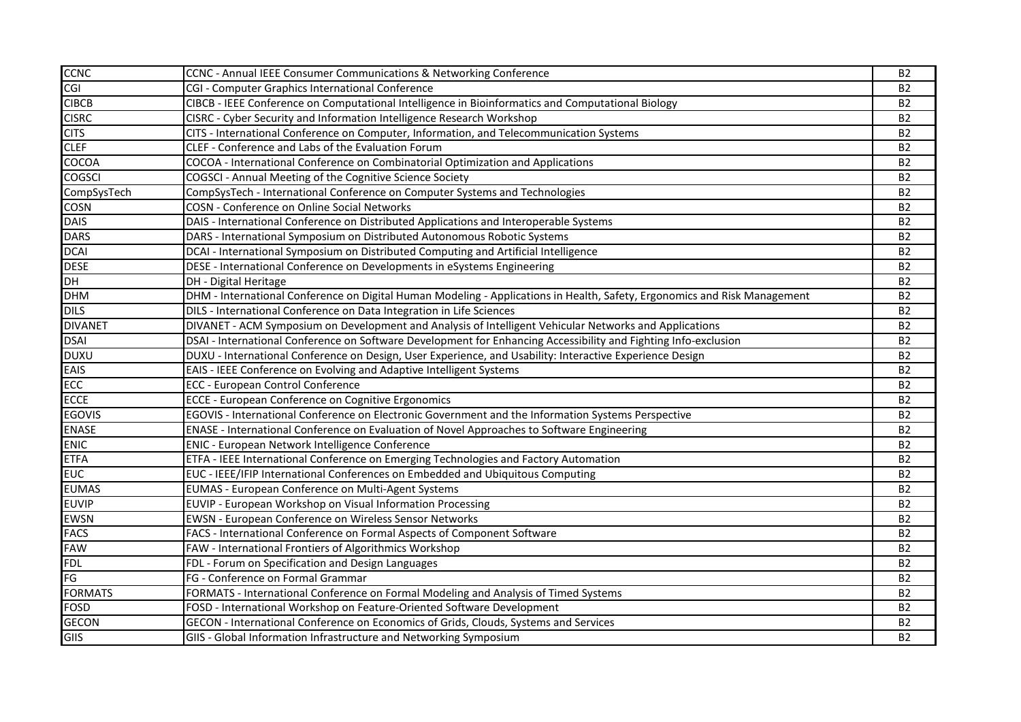| <b>CCNC</b>    | CCNC - Annual IEEE Consumer Communications & Networking Conference                                                        | <b>B2</b>      |
|----------------|---------------------------------------------------------------------------------------------------------------------------|----------------|
| <u>CGI</u>     | CGI - Computer Graphics International Conference                                                                          | B <sub>2</sub> |
| <b>CIBCB</b>   | CIBCB - IEEE Conference on Computational Intelligence in Bioinformatics and Computational Biology                         | B <sub>2</sub> |
| <b>CISRC</b>   | CISRC - Cyber Security and Information Intelligence Research Workshop                                                     | <b>B2</b>      |
| <b>CITS</b>    | CITS - International Conference on Computer, Information, and Telecommunication Systems                                   | <b>B2</b>      |
| <b>CLEF</b>    | CLEF - Conference and Labs of the Evaluation Forum                                                                        | B <sub>2</sub> |
| <b>COCOA</b>   | COCOA - International Conference on Combinatorial Optimization and Applications                                           | <b>B2</b>      |
| <b>COGSCI</b>  | COGSCI - Annual Meeting of the Cognitive Science Society                                                                  | <b>B2</b>      |
| CompSysTech    | CompSysTech - International Conference on Computer Systems and Technologies                                               | B <sub>2</sub> |
| <b>COSN</b>    | <b>COSN</b> - Conference on Online Social Networks                                                                        | B <sub>2</sub> |
| <b>DAIS</b>    | DAIS - International Conference on Distributed Applications and Interoperable Systems                                     | <b>B2</b>      |
| <b>DARS</b>    | DARS - International Symposium on Distributed Autonomous Robotic Systems                                                  | B <sub>2</sub> |
| <b>DCAI</b>    | DCAI - International Symposium on Distributed Computing and Artificial Intelligence                                       | <b>B2</b>      |
| <b>DESE</b>    | DESE - International Conference on Developments in eSystems Engineering                                                   | <b>B2</b>      |
| DH             | DH - Digital Heritage                                                                                                     | B <sub>2</sub> |
| <b>DHM</b>     | DHM - International Conference on Digital Human Modeling - Applications in Health, Safety, Ergonomics and Risk Management | <b>B2</b>      |
| <b>DILS</b>    | DILS - International Conference on Data Integration in Life Sciences                                                      | <b>B2</b>      |
| <b>DIVANET</b> | DIVANET - ACM Symposium on Development and Analysis of Intelligent Vehicular Networks and Applications                    | B <sub>2</sub> |
| <b>DSAI</b>    | DSAI - International Conference on Software Development for Enhancing Accessibility and Fighting Info-exclusion           | <b>B2</b>      |
| <b>DUXU</b>    | DUXU - International Conference on Design, User Experience, and Usability: Interactive Experience Design                  | <b>B2</b>      |
| <b>EAIS</b>    | EAIS - IEEE Conference on Evolving and Adaptive Intelligent Systems                                                       | <b>B2</b>      |
| <b>ECC</b>     | ECC - European Control Conference                                                                                         | <b>B2</b>      |
| ECCE           | <b>ECCE - European Conference on Cognitive Ergonomics</b>                                                                 | B <sub>2</sub> |
| <b>EGOVIS</b>  | EGOVIS - International Conference on Electronic Government and the Information Systems Perspective                        | B <sub>2</sub> |
| <b>ENASE</b>   | ENASE - International Conference on Evaluation of Novel Approaches to Software Engineering                                | <b>B2</b>      |
| <b>ENIC</b>    | ENIC - European Network Intelligence Conference                                                                           | <b>B2</b>      |
| <b>ETFA</b>    | ETFA - IEEE International Conference on Emerging Technologies and Factory Automation                                      | B <sub>2</sub> |
| <b>EUC</b>     | EUC - IEEE/IFIP International Conferences on Embedded and Ubiquitous Computing                                            | <b>B2</b>      |
| <b>EUMAS</b>   | EUMAS - European Conference on Multi-Agent Systems                                                                        | <b>B2</b>      |
| <b>EUVIP</b>   | EUVIP - European Workshop on Visual Information Processing                                                                | B <sub>2</sub> |
| <b>EWSN</b>    | EWSN - European Conference on Wireless Sensor Networks                                                                    | <b>B2</b>      |
| <b>FACS</b>    | FACS - International Conference on Formal Aspects of Component Software                                                   | <b>B2</b>      |
| <b>FAW</b>     | FAW - International Frontiers of Algorithmics Workshop                                                                    | B <sub>2</sub> |
| <b>FDL</b>     | FDL - Forum on Specification and Design Languages                                                                         | B <sub>2</sub> |
| FG             | FG - Conference on Formal Grammar                                                                                         | B <sub>2</sub> |
| <b>FORMATS</b> | FORMATS - International Conference on Formal Modeling and Analysis of Timed Systems                                       | B2             |
| <b>FOSD</b>    | FOSD - International Workshop on Feature-Oriented Software Development                                                    | <b>B2</b>      |
| <b>GECON</b>   | GECON - International Conference on Economics of Grids, Clouds, Systems and Services                                      | B <sub>2</sub> |
| GIIS           | GIIS - Global Information Infrastructure and Networking Symposium                                                         | B <sub>2</sub> |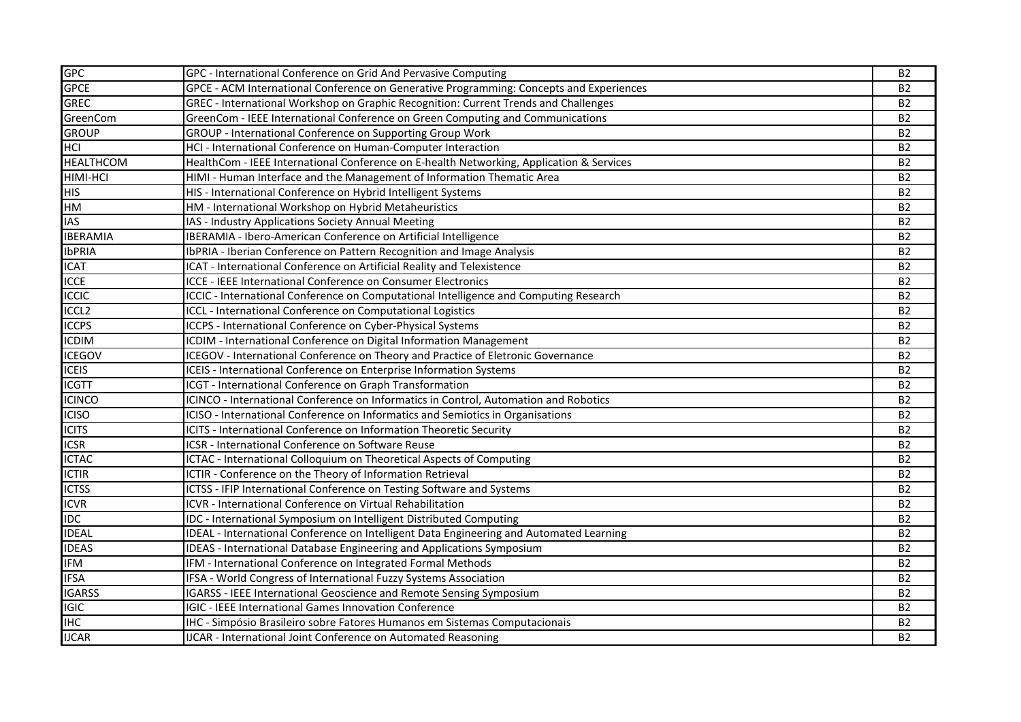| <b>GPC</b>                | GPC - International Conference on Grid And Pervasive Computing                           | <b>B2</b> |
|---------------------------|------------------------------------------------------------------------------------------|-----------|
| <b>GPCE</b>               | GPCE - ACM International Conference on Generative Programming: Concepts and Experiences  | <b>B2</b> |
| <b>GREC</b>               | GREC - International Workshop on Graphic Recognition: Current Trends and Challenges      | <b>B2</b> |
| GreenCom                  | GreenCom - IEEE International Conference on Green Computing and Communications           | <b>B2</b> |
| <b>GROUP</b>              | GROUP - International Conference on Supporting Group Work                                | <b>B2</b> |
| <b>HCI</b>                | HCI - International Conference on Human-Computer Interaction                             | <b>B2</b> |
| <b>HEALTHCOM</b>          | HealthCom - IEEE International Conference on E-health Networking, Application & Services | <b>B2</b> |
| <b>HIMI-HCI</b>           | HIMI - Human Interface and the Management of Information Thematic Area                   | <b>B2</b> |
| <b>HIS</b>                | HIS - International Conference on Hybrid Intelligent Systems                             | <b>B2</b> |
| HM                        | HM - International Workshop on Hybrid Metaheuristics                                     | <b>B2</b> |
| <b>IAS</b>                | IAS - Industry Applications Society Annual Meeting                                       | <b>B2</b> |
| <b>IBERAMIA</b>           | IBERAMIA - Ibero-American Conference on Artificial Intelligence                          | <b>B2</b> |
| <b>IbPRIA</b>             | IbPRIA - Iberian Conference on Pattern Recognition and Image Analysis                    | <b>B2</b> |
| <b>ICAT</b>               | ICAT - International Conference on Artificial Reality and Telexistence                   | <b>B2</b> |
| <b>ICCE</b>               | ICCE - IEEE International Conference on Consumer Electronics                             | <b>B2</b> |
| <b>ICCIC</b>              | ICCIC - International Conference on Computational Intelligence and Computing Research    | <b>B2</b> |
| <b>ICCL2</b>              | ICCL - International Conference on Computational Logistics                               | <b>B2</b> |
| <b>ICCPS</b>              | ICCPS - International Conference on Cyber-Physical Systems                               | <b>B2</b> |
| <b>ICDIM</b>              | ICDIM - International Conference on Digital Information Management                       | <b>B2</b> |
| <b>ICEGOV</b>             | ICEGOV - International Conference on Theory and Practice of Eletronic Governance         | <b>B2</b> |
| <b>ICEIS</b>              | ICEIS - International Conference on Enterprise Information Systems                       | <b>B2</b> |
| <b>ICGTT</b>              | ICGT - International Conference on Graph Transformation                                  | <b>B2</b> |
| <b>ICINCO</b>             | ICINCO - International Conference on Informatics in Control, Automation and Robotics     | <b>B2</b> |
| <b>ICISO</b>              | ICISO - International Conference on Informatics and Semiotics in Organisations           | <b>B2</b> |
| <b>ICITS</b>              | ICITS - International Conference on Information Theoretic Security                       | <b>B2</b> |
| <b>ICSR</b>               | ICSR - International Conference on Software Reuse                                        | <b>B2</b> |
| <b>ICTAC</b>              | ICTAC - International Colloquium on Theoretical Aspects of Computing                     | <b>B2</b> |
| <b>ICTIR</b>              | ICTIR - Conference on the Theory of Information Retrieval                                | <b>B2</b> |
| <b>ICTSS</b>              | ICTSS - IFIP International Conference on Testing Software and Systems                    | <b>B2</b> |
| $\overline{ICVR}$         | <b>ICVR - International Conference on Virtual Rehabilitation</b>                         | <b>B2</b> |
| <b>IDC</b>                | IDC - International Symposium on Intelligent Distributed Computing                       | <b>B2</b> |
| <b>IDEAL</b>              | IDEAL - International Conference on Intelligent Data Engineering and Automated Learning  | <b>B2</b> |
| <b>IDEAS</b>              | <b>IDEAS</b> - International Database Engineering and Applications Symposium             | <b>B2</b> |
| <b>IFM</b>                | IFM - International Conference on Integrated Formal Methods                              | <b>B2</b> |
| <b>IFSA</b>               | IFSA - World Congress of International Fuzzy Systems Association                         | <b>B2</b> |
| <b>IGARSS</b>             | IGARSS - IEEE International Geoscience and Remote Sensing Symposium                      | <b>B2</b> |
| <b>IGIC</b>               | <b>IGIC - IEEE International Games Innovation Conference</b>                             | <b>B2</b> |
| $\overline{\mathsf{IHC}}$ | IHC - Simpósio Brasileiro sobre Fatores Humanos em Sistemas Computacionais               | <b>B2</b> |
| <b>IJCAR</b>              | <b>IJCAR - International Joint Conference on Automated Reasoning</b>                     | <b>B2</b> |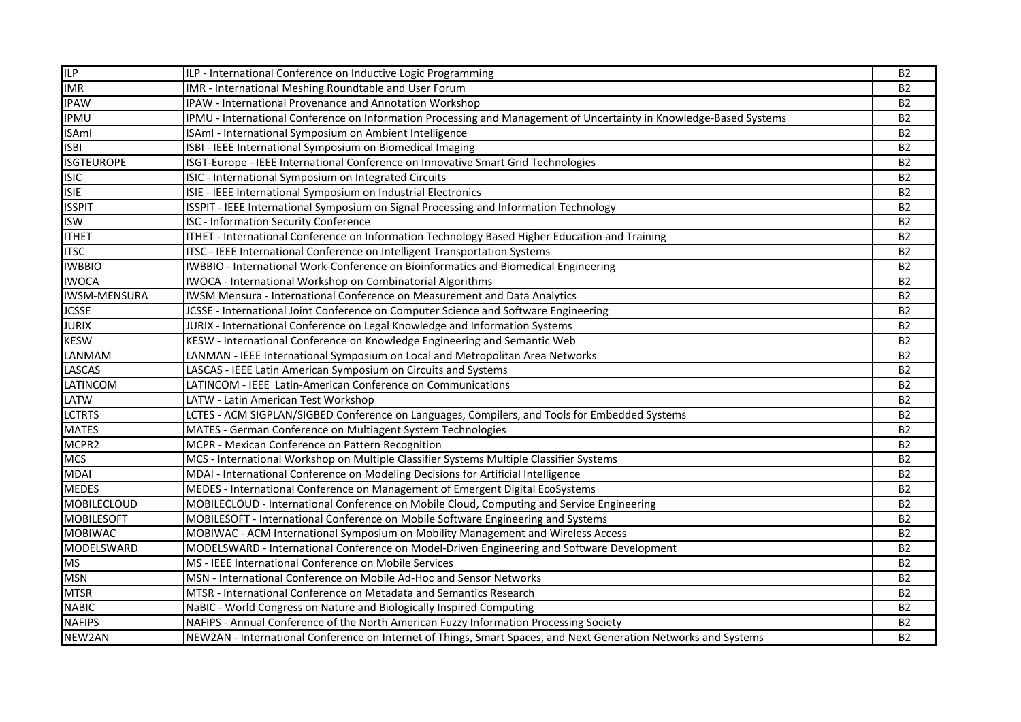| ILP                 | ILP - International Conference on Inductive Logic Programming                                                      | <b>B2</b>      |
|---------------------|--------------------------------------------------------------------------------------------------------------------|----------------|
| <b>IMR</b>          | IMR - International Meshing Roundtable and User Forum                                                              | <b>B2</b>      |
| <b>IPAW</b>         | IPAW - International Provenance and Annotation Workshop                                                            | <b>B2</b>      |
| <b>IPMU</b>         | IPMU - International Conference on Information Processing and Management of Uncertainty in Knowledge-Based Systems | <b>B2</b>      |
| <b>ISAml</b>        | ISAmI - International Symposium on Ambient Intelligence                                                            | <b>B2</b>      |
| <b>ISBI</b>         | ISBI - IEEE International Symposium on Biomedical Imaging                                                          | <b>B2</b>      |
| <b>ISGTEUROPE</b>   | ISGT-Europe - IEEE International Conference on Innovative Smart Grid Technologies                                  | <b>B2</b>      |
| <b>ISIC</b>         | ISIC - International Symposium on Integrated Circuits                                                              | <b>B2</b>      |
| <b>ISIE</b>         | ISIE - IEEE International Symposium on Industrial Electronics                                                      | <b>B2</b>      |
| <b>ISSPIT</b>       | ISSPIT - IEEE International Symposium on Signal Processing and Information Technology                              | <b>B2</b>      |
| <b>ISW</b>          | <b>ISC - Information Security Conference</b>                                                                       | <b>B2</b>      |
| <b>ITHET</b>        | ITHET - International Conference on Information Technology Based Higher Education and Training                     | <b>B2</b>      |
| <b>ITSC</b>         | ITSC - IEEE International Conference on Intelligent Transportation Systems                                         | <b>B2</b>      |
| <b>IWBBIO</b>       | IWBBIO - International Work-Conference on Bioinformatics and Biomedical Engineering                                | <b>B2</b>      |
| <b>IWOCA</b>        | IWOCA - International Workshop on Combinatorial Algorithms                                                         | <b>B2</b>      |
| <b>IWSM-MENSURA</b> | IWSM Mensura - International Conference on Measurement and Data Analytics                                          | <b>B2</b>      |
| <b>JCSSE</b>        | JCSSE - International Joint Conference on Computer Science and Software Engineering                                | <b>B2</b>      |
| <b>JURIX</b>        | JURIX - International Conference on Legal Knowledge and Information Systems                                        | <b>B2</b>      |
| <b>KESW</b>         | KESW - International Conference on Knowledge Engineering and Semantic Web                                          | <b>B2</b>      |
| LANMAM              | LANMAN - IEEE International Symposium on Local and Metropolitan Area Networks                                      | <b>B2</b>      |
| <b>LASCAS</b>       | LASCAS - IEEE Latin American Symposium on Circuits and Systems                                                     | B <sub>2</sub> |
| <b>LATINCOM</b>     | LATINCOM - IEEE Latin-American Conference on Communications                                                        | B <sub>2</sub> |
| <b>LATW</b>         | LATW - Latin American Test Workshop                                                                                | <b>B2</b>      |
| <b>LCTRTS</b>       | LCTES - ACM SIGPLAN/SIGBED Conference on Languages, Compilers, and Tools for Embedded Systems                      | <b>B2</b>      |
| <b>MATES</b>        | MATES - German Conference on Multiagent System Technologies                                                        | <b>B2</b>      |
| MCPR2               | MCPR - Mexican Conference on Pattern Recognition                                                                   | <b>B2</b>      |
| <b>MCS</b>          | MCS - International Workshop on Multiple Classifier Systems Multiple Classifier Systems                            | B <sub>2</sub> |
| <b>MDAI</b>         | MDAI - International Conference on Modeling Decisions for Artificial Intelligence                                  | <b>B2</b>      |
| <b>MEDES</b>        | MEDES - International Conference on Management of Emergent Digital EcoSystems                                      | <b>B2</b>      |
| <b>MOBILECLOUD</b>  | MOBILECLOUD - International Conference on Mobile Cloud, Computing and Service Engineering                          | <b>B2</b>      |
| <b>MOBILESOFT</b>   | MOBILESOFT - International Conference on Mobile Software Engineering and Systems                                   | <b>B2</b>      |
| <b>MOBIWAC</b>      | MOBIWAC - ACM International Symposium on Mobility Management and Wireless Access                                   | <b>B2</b>      |
| MODELSWARD          | MODELSWARD - International Conference on Model-Driven Engineering and Software Development                         | <b>B2</b>      |
| <b>MS</b>           | MS - IEEE International Conference on Mobile Services                                                              | <b>B2</b>      |
| <b>MSN</b>          | MSN - International Conference on Mobile Ad-Hoc and Sensor Networks                                                | <b>B2</b>      |
| <b>MTSR</b>         | MTSR - International Conference on Metadata and Semantics Research                                                 | <b>B2</b>      |
| <b>NABIC</b>        | NaBIC - World Congress on Nature and Biologically Inspired Computing                                               | <b>B2</b>      |
| <b>NAFIPS</b>       | NAFIPS - Annual Conference of the North American Fuzzy Information Processing Society                              | <b>B2</b>      |
| NEW2AN              | NEW2AN - International Conference on Internet of Things, Smart Spaces, and Next Generation Networks and Systems    | <b>B2</b>      |
|                     |                                                                                                                    |                |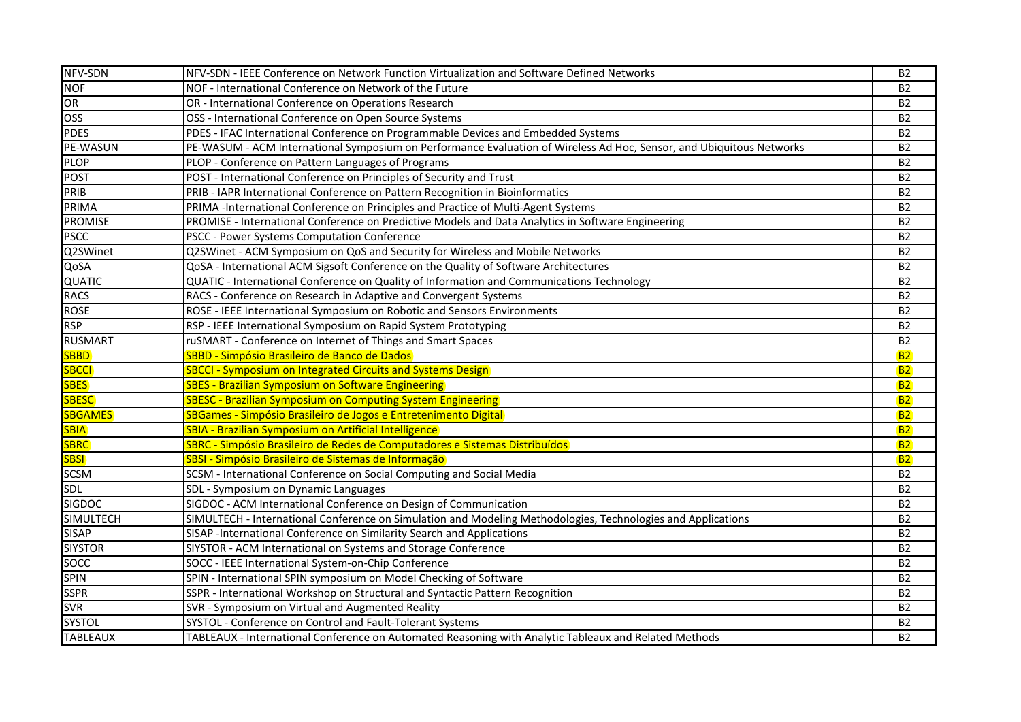| NFV-SDN          | NFV-SDN - IEEE Conference on Network Function Virtualization and Software Defined Networks                           | <b>B2</b>      |
|------------------|----------------------------------------------------------------------------------------------------------------------|----------------|
| <b>NOF</b>       | NOF - International Conference on Network of the Future                                                              | <b>B2</b>      |
| OR               | OR - International Conference on Operations Research                                                                 | <b>B2</b>      |
| <b>OSS</b>       | OSS - International Conference on Open Source Systems                                                                | <b>B2</b>      |
| <b>PDES</b>      | PDES - IFAC International Conference on Programmable Devices and Embedded Systems                                    | <b>B2</b>      |
| PE-WASUN         | PE-WASUM - ACM International Symposium on Performance Evaluation of Wireless Ad Hoc, Sensor, and Ubiquitous Networks | <b>B2</b>      |
| <b>PLOP</b>      | PLOP - Conference on Pattern Languages of Programs                                                                   | <b>B2</b>      |
| <b>POST</b>      | POST - International Conference on Principles of Security and Trust                                                  | <b>B2</b>      |
| PRIB             | PRIB - IAPR International Conference on Pattern Recognition in Bioinformatics                                        | <b>B2</b>      |
| PRIMA            | PRIMA -International Conference on Principles and Practice of Multi-Agent Systems                                    | <b>B2</b>      |
| <b>PROMISE</b>   | PROMISE - International Conference on Predictive Models and Data Analytics in Software Engineering                   | B <sub>2</sub> |
| <b>PSCC</b>      | PSCC - Power Systems Computation Conference                                                                          | <b>B2</b>      |
| Q2SWinet         | Q2SWinet - ACM Symposium on QoS and Security for Wireless and Mobile Networks                                        | <b>B2</b>      |
| QoSA             | QoSA - International ACM Sigsoft Conference on the Quality of Software Architectures                                 | <b>B2</b>      |
| QUATIC           | QUATIC - International Conference on Quality of Information and Communications Technology                            | <b>B2</b>      |
| <b>RACS</b>      | RACS - Conference on Research in Adaptive and Convergent Systems                                                     | <b>B2</b>      |
| <b>ROSE</b>      | ROSE - IEEE International Symposium on Robotic and Sensors Environments                                              | <b>B2</b>      |
| <b>RSP</b>       | RSP - IEEE International Symposium on Rapid System Prototyping                                                       | <b>B2</b>      |
| <b>RUSMART</b>   | ruSMART - Conference on Internet of Things and Smart Spaces                                                          | <b>B2</b>      |
| <b>SBBD</b>      | SBBD - Simpósio Brasileiro de Banco de Dados                                                                         | <b>B2</b>      |
| <b>SBCCI</b>     | <b>SBCCI - Symposium on Integrated Circuits and Systems Design</b>                                                   | <b>B2</b>      |
| <b>SBES</b>      | <b>SBES - Brazilian Symposium on Software Engineering</b>                                                            | <b>B2</b>      |
| <b>SBESC</b>     | <b>SBESC - Brazilian Symposium on Computing System Engineering</b>                                                   | <b>B2</b>      |
| <b>SBGAMES</b>   | SBGames - Simpósio Brasileiro de Jogos e Entretenimento Digital                                                      | <b>B2</b>      |
| <b>SBIA</b>      | <b>SBIA - Brazilian Symposium on Artificial Intelligence</b>                                                         | <b>B2</b>      |
| <b>SBRC</b>      | SBRC - Simpósio Brasileiro de Redes de Computadores e Sistemas Distribuídos                                          | <b>B2</b>      |
| <b>SBSI</b>      | SBSI - Simpósio Brasileiro de Sistemas de Informação                                                                 | <b>B2</b>      |
| <b>SCSM</b>      | SCSM - International Conference on Social Computing and Social Media                                                 | <b>B2</b>      |
| SDL              | SDL - Symposium on Dynamic Languages                                                                                 | <b>B2</b>      |
| <b>SIGDOC</b>    | SIGDOC - ACM International Conference on Design of Communication                                                     | <b>B2</b>      |
| <b>SIMULTECH</b> | SIMULTECH - International Conference on Simulation and Modeling Methodologies, Technologies and Applications         | <b>B2</b>      |
| <b>SISAP</b>     | SISAP - International Conference on Similarity Search and Applications                                               | <b>B2</b>      |
| <b>SIYSTOR</b>   | SIYSTOR - ACM International on Systems and Storage Conference                                                        | <b>B2</b>      |
| SOCC             | SOCC - IEEE International System-on-Chip Conference                                                                  | <b>B2</b>      |
| <b>SPIN</b>      | SPIN - International SPIN symposium on Model Checking of Software                                                    | <b>B2</b>      |
| <b>SSPR</b>      | SSPR - International Workshop on Structural and Syntactic Pattern Recognition                                        | <b>B2</b>      |
| <b>SVR</b>       | SVR - Symposium on Virtual and Augmented Reality                                                                     | <b>B2</b>      |
| <b>SYSTOL</b>    | SYSTOL - Conference on Control and Fault-Tolerant Systems                                                            | <b>B2</b>      |
| <b>TABLEAUX</b>  | TABLEAUX - International Conference on Automated Reasoning with Analytic Tableaux and Related Methods                | <b>B2</b>      |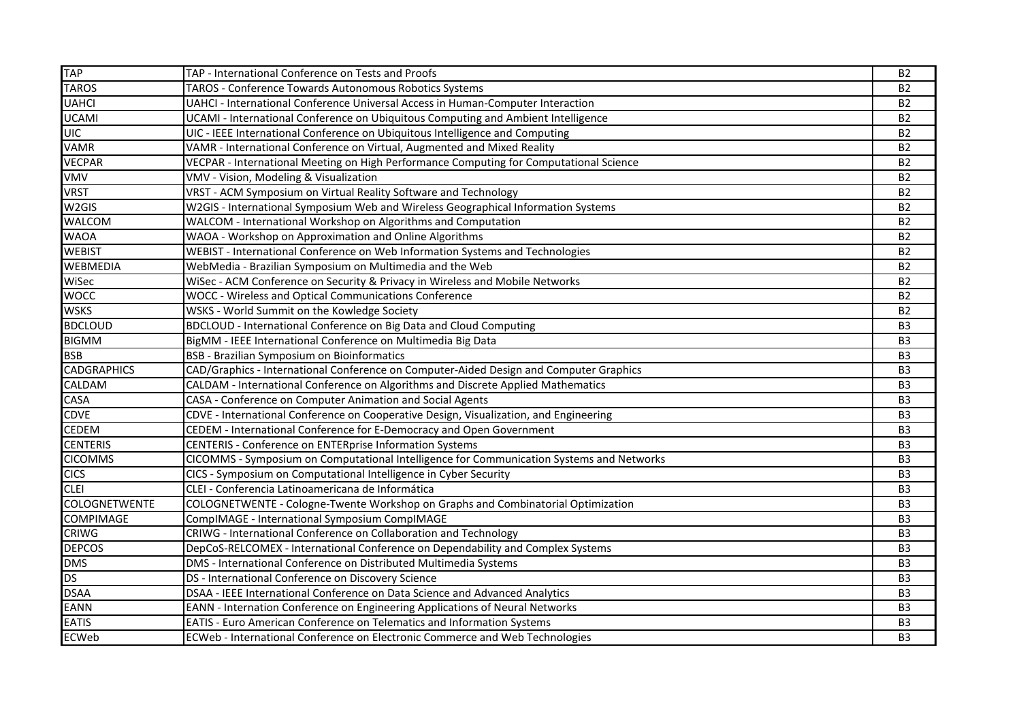| <b>TAP</b>           | TAP - International Conference on Tests and Proofs                                       | <b>B2</b>      |
|----------------------|------------------------------------------------------------------------------------------|----------------|
| <b>TAROS</b>         | TAROS - Conference Towards Autonomous Robotics Systems                                   | <b>B2</b>      |
| <b>UAHCI</b>         | UAHCI - International Conference Universal Access in Human-Computer Interaction          | <b>B2</b>      |
| <b>UCAMI</b>         | UCAMI - International Conference on Ubiquitous Computing and Ambient Intelligence        | <b>B2</b>      |
| <b>UIC</b>           | UIC - IEEE International Conference on Ubiquitous Intelligence and Computing             | <b>B2</b>      |
| <b>VAMR</b>          | VAMR - International Conference on Virtual, Augmented and Mixed Reality                  | <b>B2</b>      |
| <b>VECPAR</b>        | VECPAR - International Meeting on High Performance Computing for Computational Science   | <b>B2</b>      |
| <b>VMV</b>           | VMV - Vision, Modeling & Visualization                                                   | <b>B2</b>      |
| <b>VRST</b>          | VRST - ACM Symposium on Virtual Reality Software and Technology                          | <b>B2</b>      |
| W2GIS                | W2GIS - International Symposium Web and Wireless Geographical Information Systems        | <b>B2</b>      |
| WALCOM               | WALCOM - International Workshop on Algorithms and Computation                            | <b>B2</b>      |
| <b>WAOA</b>          | WAOA - Workshop on Approximation and Online Algorithms                                   | <b>B2</b>      |
| <b>WEBIST</b>        | WEBIST - International Conference on Web Information Systems and Technologies            | <b>B2</b>      |
| <b>WEBMEDIA</b>      | WebMedia - Brazilian Symposium on Multimedia and the Web                                 | <b>B2</b>      |
| WiSec                | WiSec - ACM Conference on Security & Privacy in Wireless and Mobile Networks             | <b>B2</b>      |
| <b>WOCC</b>          | WOCC - Wireless and Optical Communications Conference                                    | <b>B2</b>      |
| <b>WSKS</b>          | WSKS - World Summit on the Kowledge Society                                              | <b>B2</b>      |
| <b>BDCLOUD</b>       | BDCLOUD - International Conference on Big Data and Cloud Computing                       | B <sub>3</sub> |
| <b>BIGMM</b>         | BigMM - IEEE International Conference on Multimedia Big Data                             | B <sub>3</sub> |
| <b>BSB</b>           | BSB - Brazilian Symposium on Bioinformatics                                              | B <sub>3</sub> |
| <b>CADGRAPHICS</b>   | CAD/Graphics - International Conference on Computer-Aided Design and Computer Graphics   | B <sub>3</sub> |
| CALDAM               | CALDAM - International Conference on Algorithms and Discrete Applied Mathematics         | B <sub>3</sub> |
| CASA                 | CASA - Conference on Computer Animation and Social Agents                                | B <sub>3</sub> |
| <b>CDVE</b>          | CDVE - International Conference on Cooperative Design, Visualization, and Engineering    | B <sub>3</sub> |
| <b>CEDEM</b>         | CEDEM - International Conference for E-Democracy and Open Government                     | B <sub>3</sub> |
| <b>CENTERIS</b>      | CENTERIS - Conference on ENTERprise Information Systems                                  | B <sub>3</sub> |
| <b>CICOMMS</b>       | CICOMMS - Symposium on Computational Intelligence for Communication Systems and Networks | B <sub>3</sub> |
| <b>CICS</b>          | CICS - Symposium on Computational Intelligence in Cyber Security                         | B <sub>3</sub> |
| <b>CLEI</b>          | CLEI - Conferencia Latinoamericana de Informática                                        | B <sub>3</sub> |
| <b>COLOGNETWENTE</b> | COLOGNETWENTE - Cologne-Twente Workshop on Graphs and Combinatorial Optimization         | B <sub>3</sub> |
| <b>COMPIMAGE</b>     | CompIMAGE - International Symposium CompIMAGE                                            | B <sub>3</sub> |
| <b>CRIWG</b>         | CRIWG - International Conference on Collaboration and Technology                         | B <sub>3</sub> |
| <b>DEPCOS</b>        | DepCoS-RELCOMEX - International Conference on Dependability and Complex Systems          | B <sub>3</sub> |
| <b>DMS</b>           | DMS - International Conference on Distributed Multimedia Systems                         | B <sub>3</sub> |
| <b>DS</b>            | DS - International Conference on Discovery Science                                       | B <sub>3</sub> |
| <b>DSAA</b>          | DSAA - IEEE International Conference on Data Science and Advanced Analytics              | B <sub>3</sub> |
| <b>EANN</b>          | EANN - Internation Conference on Engineering Applications of Neural Networks             | B <sub>3</sub> |
| <b>EATIS</b>         | EATIS - Euro American Conference on Telematics and Information Systems                   | B <sub>3</sub> |
| <b>ECWeb</b>         | ECWeb - International Conference on Electronic Commerce and Web Technologies             | B <sub>3</sub> |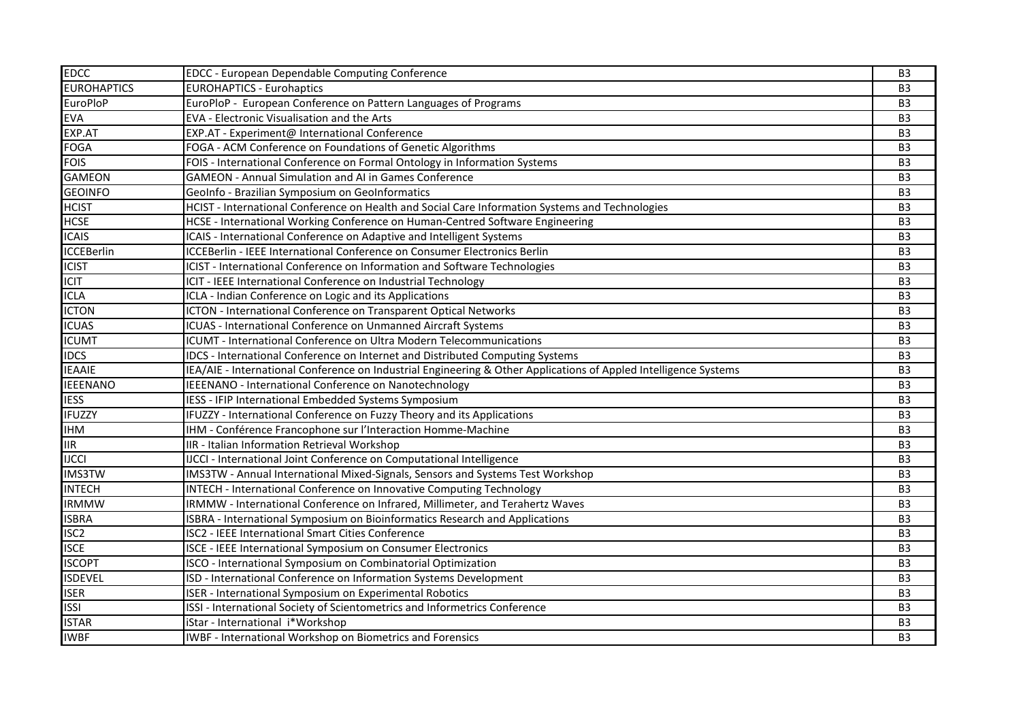| <b>EDCC</b>        | <b>EDCC - European Dependable Computing Conference</b>                                                           | B <sub>3</sub> |
|--------------------|------------------------------------------------------------------------------------------------------------------|----------------|
| <b>EUROHAPTICS</b> | <b>EUROHAPTICS - Eurohaptics</b>                                                                                 | B <sub>3</sub> |
| EuroPloP           | EuroPloP - European Conference on Pattern Languages of Programs                                                  | B <sub>3</sub> |
| <b>EVA</b>         | EVA - Electronic Visualisation and the Arts                                                                      | B <sub>3</sub> |
| EXP.AT             | EXP.AT - Experiment@ International Conference                                                                    | B <sub>3</sub> |
| <b>FOGA</b>        | FOGA - ACM Conference on Foundations of Genetic Algorithms                                                       | B <sub>3</sub> |
| <b>FOIS</b>        | FOIS - International Conference on Formal Ontology in Information Systems                                        | B <sub>3</sub> |
| <b>GAMEON</b>      | <b>GAMEON - Annual Simulation and AI in Games Conference</b>                                                     | B <sub>3</sub> |
| <b>GEOINFO</b>     | GeoInfo - Brazilian Symposium on GeoInformatics                                                                  | B <sub>3</sub> |
| <b>HCIST</b>       | HCIST - International Conference on Health and Social Care Information Systems and Technologies                  | B <sub>3</sub> |
| <b>HCSE</b>        | HCSE - International Working Conference on Human-Centred Software Engineering                                    | B <sub>3</sub> |
| <b>ICAIS</b>       | ICAIS - International Conference on Adaptive and Intelligent Systems                                             | B <sub>3</sub> |
| <b>ICCEBerlin</b>  | ICCEBerlin - IEEE International Conference on Consumer Electronics Berlin                                        | B <sub>3</sub> |
| <b>ICIST</b>       | ICIST - International Conference on Information and Software Technologies                                        | B <sub>3</sub> |
| <b>ICIT</b>        | ICIT - IEEE International Conference on Industrial Technology                                                    | B <sub>3</sub> |
| <b>ICLA</b>        | ICLA - Indian Conference on Logic and its Applications                                                           | B <sub>3</sub> |
| <b>ICTON</b>       | ICTON - International Conference on Transparent Optical Networks                                                 | B <sub>3</sub> |
| <b>ICUAS</b>       | ICUAS - International Conference on Unmanned Aircraft Systems                                                    | B <sub>3</sub> |
| <b>ICUMT</b>       | ICUMT - International Conference on Ultra Modern Telecommunications                                              | B <sub>3</sub> |
| <b>IDCS</b>        | IDCS - International Conference on Internet and Distributed Computing Systems                                    | B <sub>3</sub> |
| <b>IEAAIE</b>      | IEA/AIE - International Conference on Industrial Engineering & Other Applications of Appled Intelligence Systems | B <sub>3</sub> |
| <b>IEEENANO</b>    | IEEENANO - International Conference on Nanotechnology                                                            | B <sub>3</sub> |
| <b>IESS</b>        | IESS - IFIP International Embedded Systems Symposium                                                             | B <sub>3</sub> |
| <b>IFUZZY</b>      | IFUZZY - International Conference on Fuzzy Theory and its Applications                                           | B <sub>3</sub> |
| <b>IHM</b>         | IHM - Conférence Francophone sur l'Interaction Homme-Machine                                                     | B <sub>3</sub> |
| <b>IIR</b>         | IIR - Italian Information Retrieval Workshop                                                                     | B <sub>3</sub> |
| <b>IJCCI</b>       | IJCCI - International Joint Conference on Computational Intelligence                                             | B <sub>3</sub> |
| <b>IMS3TW</b>      | IMS3TW - Annual International Mixed-Signals, Sensors and Systems Test Workshop                                   | B <sub>3</sub> |
| <b>INTECH</b>      | INTECH - International Conference on Innovative Computing Technology                                             | B <sub>3</sub> |
| <b>IRMMW</b>       | IRMMW - International Conference on Infrared, Millimeter, and Terahertz Waves                                    | B <sub>3</sub> |
| <b>ISBRA</b>       | ISBRA - International Symposium on Bioinformatics Research and Applications                                      | B <sub>3</sub> |
| ISC <sub>2</sub>   | ISC2 - IEEE International Smart Cities Conference                                                                | B <sub>3</sub> |
| <b>ISCE</b>        | ISCE - IEEE International Symposium on Consumer Electronics                                                      | B <sub>3</sub> |
| <b>ISCOPT</b>      | ISCO - International Symposium on Combinatorial Optimization                                                     | B <sub>3</sub> |
| <b>ISDEVEL</b>     | ISD - International Conference on Information Systems Development                                                | B <sub>3</sub> |
| <b>ISER</b>        | ISER - International Symposium on Experimental Robotics                                                          | B <sub>3</sub> |
| <b>ISSI</b>        | ISSI - International Society of Scientometrics and Informetrics Conference                                       | B <sub>3</sub> |
| <b>ISTAR</b>       | iStar - International i*Workshop                                                                                 | B <sub>3</sub> |
| <b>IWBF</b>        | <b>IWBF - International Workshop on Biometrics and Forensics</b>                                                 | B <sub>3</sub> |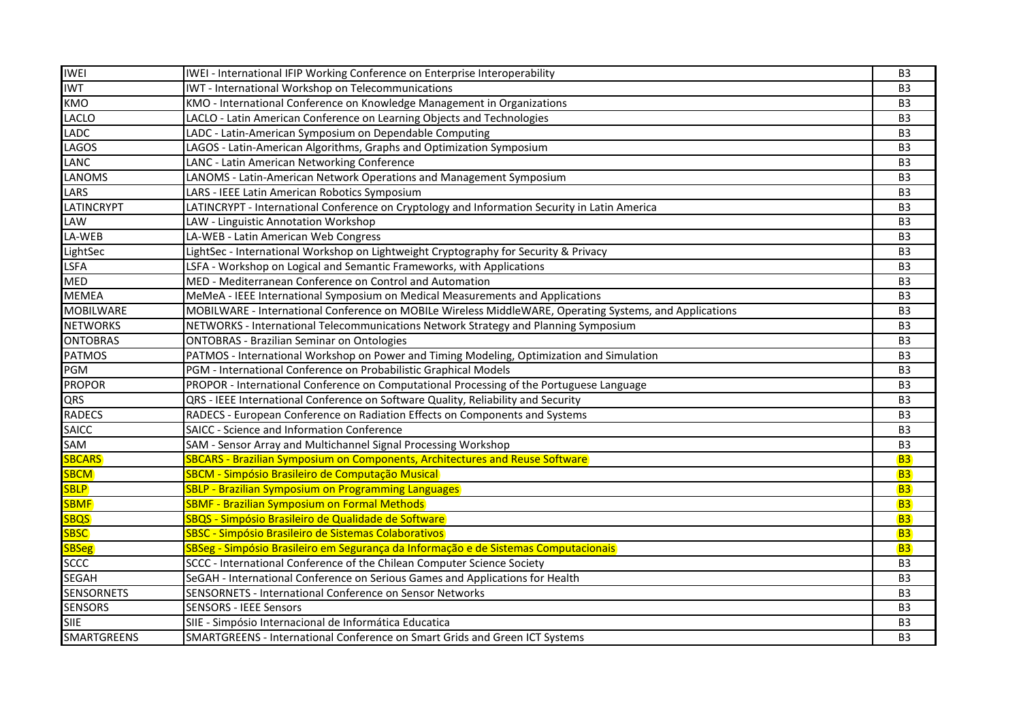| <b>IWEI</b>        | IWEI - International IFIP Working Conference on Enterprise Interoperability                             | B <sub>3</sub> |
|--------------------|---------------------------------------------------------------------------------------------------------|----------------|
| <b>IWT</b>         | IWT - International Workshop on Telecommunications                                                      | B <sub>3</sub> |
| <b>KMO</b>         | KMO - International Conference on Knowledge Management in Organizations                                 | B <sub>3</sub> |
| <b>LACLO</b>       | LACLO - Latin American Conference on Learning Objects and Technologies                                  | B <sub>3</sub> |
| <b>LADC</b>        | LADC - Latin-American Symposium on Dependable Computing                                                 | B <sub>3</sub> |
| <b>LAGOS</b>       | LAGOS - Latin-American Algorithms, Graphs and Optimization Symposium                                    | B <sub>3</sub> |
| <b>LANC</b>        | LANC - Latin American Networking Conference                                                             | B <sub>3</sub> |
| <b>LANOMS</b>      | LANOMS - Latin-American Network Operations and Management Symposium                                     | B <sub>3</sub> |
| <b>LARS</b>        | LARS - IEEE Latin American Robotics Symposium                                                           | B <sub>3</sub> |
| <b>LATINCRYPT</b>  | LATINCRYPT - International Conference on Cryptology and Information Security in Latin America           | B <sub>3</sub> |
| LAW                | LAW - Linguistic Annotation Workshop                                                                    | B <sub>3</sub> |
| LA-WEB             | LA-WEB - Latin American Web Congress                                                                    | B <sub>3</sub> |
| LightSec           | LightSec - International Workshop on Lightweight Cryptography for Security & Privacy                    | B <sub>3</sub> |
| <b>LSFA</b>        | LSFA - Workshop on Logical and Semantic Frameworks, with Applications                                   | B <sub>3</sub> |
| <b>MED</b>         | MED - Mediterranean Conference on Control and Automation                                                | B <sub>3</sub> |
| <b>MEMEA</b>       | MeMeA - IEEE International Symposium on Medical Measurements and Applications                           | B <sub>3</sub> |
| <b>MOBILWARE</b>   | MOBILWARE - International Conference on MOBILe Wireless MiddleWARE, Operating Systems, and Applications | B <sub>3</sub> |
| <b>NETWORKS</b>    | NETWORKS - International Telecommunications Network Strategy and Planning Symposium                     | B <sub>3</sub> |
| <b>ONTOBRAS</b>    | <b>ONTOBRAS - Brazilian Seminar on Ontologies</b>                                                       | B <sub>3</sub> |
| <b>PATMOS</b>      | PATMOS - International Workshop on Power and Timing Modeling, Optimization and Simulation               | B <sub>3</sub> |
| <b>PGM</b>         | PGM - International Conference on Probabilistic Graphical Models                                        | B <sub>3</sub> |
| <b>PROPOR</b>      | PROPOR - International Conference on Computational Processing of the Portuguese Language                | B <sub>3</sub> |
| QRS                | QRS - IEEE International Conference on Software Quality, Reliability and Security                       | B <sub>3</sub> |
| <b>RADECS</b>      | RADECS - European Conference on Radiation Effects on Components and Systems                             | B <sub>3</sub> |
| <b>SAICC</b>       | SAICC - Science and Information Conference                                                              | B <sub>3</sub> |
| SAM                | SAM - Sensor Array and Multichannel Signal Processing Workshop                                          | B <sub>3</sub> |
| <b>SBCARS</b>      | <b>SBCARS - Brazilian Symposium on Components, Architectures and Reuse Software</b>                     | <b>B3</b>      |
| <b>SBCM</b>        | SBCM - Simpósio Brasileiro de Computação Musical                                                        | <b>B3</b>      |
| SBLP               | <b>SBLP - Brazilian Symposium on Programming Languages</b>                                              | <b>B3</b>      |
| <b>SBMF</b>        | <b>SBMF - Brazilian Symposium on Formal Methods</b>                                                     | <b>B3</b>      |
| <b>SBQS</b>        | SBQS - Simpósio Brasileiro de Qualidade de Software                                                     | <b>B3</b>      |
| <b>SBSC</b>        | SBSC - Simpósio Brasileiro de Sistemas Colaborativos                                                    | <b>B3</b>      |
| <b>SBSeg</b>       | SBSeg - Simpósio Brasileiro em Segurança da Informação e de Sistemas Computacionais                     | <b>B3</b>      |
| <b>SCCC</b>        | SCCC - International Conference of the Chilean Computer Science Society                                 | B <sub>3</sub> |
| <b>SEGAH</b>       | SeGAH - International Conference on Serious Games and Applications for Health                           | B <sub>3</sub> |
| <b>SENSORNETS</b>  | SENSORNETS - International Conference on Sensor Networks                                                | B <sub>3</sub> |
| <b>SENSORS</b>     | <b>SENSORS - IEEE Sensors</b>                                                                           | B <sub>3</sub> |
| SIIE               | SIIE - Simpósio Internacional de Informática Educatica                                                  | B <sub>3</sub> |
| <b>SMARTGREENS</b> | SMARTGREENS - International Conference on Smart Grids and Green ICT Systems                             | B <sub>3</sub> |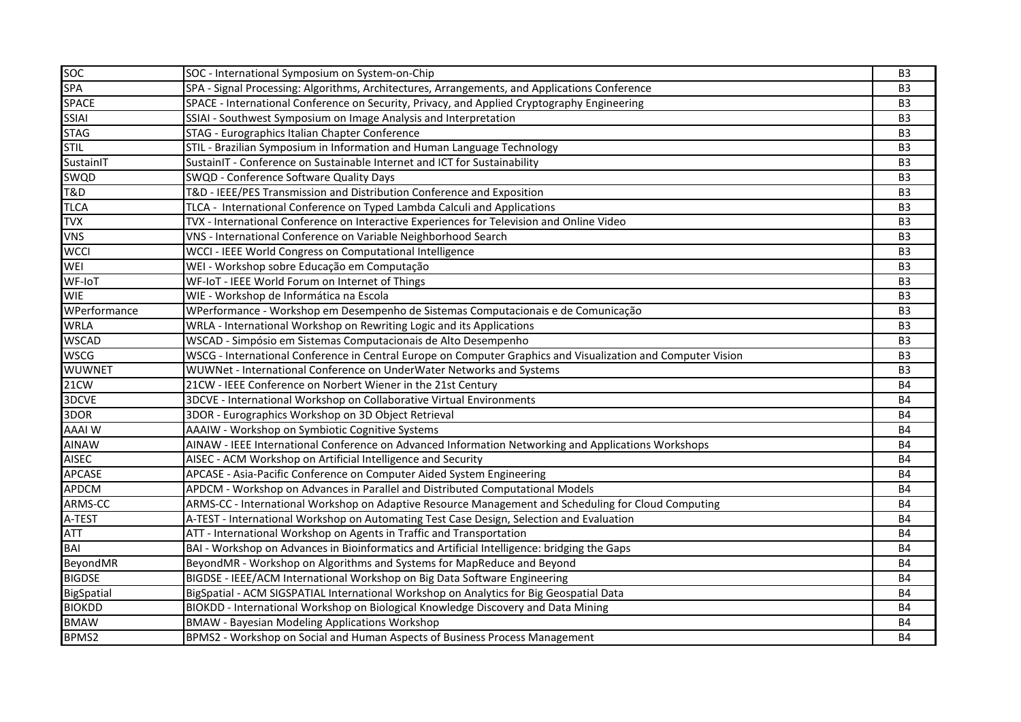| <b>SOC</b>     | SOC - International Symposium on System-on-Chip                                                              | B <sub>3</sub> |
|----------------|--------------------------------------------------------------------------------------------------------------|----------------|
| <b>SPA</b>     | SPA - Signal Processing: Algorithms, Architectures, Arrangements, and Applications Conference                | B <sub>3</sub> |
| <b>SPACE</b>   | SPACE - International Conference on Security, Privacy, and Applied Cryptography Engineering                  | B <sub>3</sub> |
| <b>SSIAI</b>   | SSIAI - Southwest Symposium on Image Analysis and Interpretation                                             | B <sub>3</sub> |
| <b>STAG</b>    | STAG - Eurographics Italian Chapter Conference                                                               | B <sub>3</sub> |
| <b>STIL</b>    | STIL - Brazilian Symposium in Information and Human Language Technology                                      | B <sub>3</sub> |
| SustainIT      | SustainIT - Conference on Sustainable Internet and ICT for Sustainability                                    | B <sub>3</sub> |
| SWQD           | SWQD - Conference Software Quality Days                                                                      | B <sub>3</sub> |
| <b>T&amp;D</b> | T&D - IEEE/PES Transmission and Distribution Conference and Exposition                                       | B <sub>3</sub> |
| <b>TLCA</b>    | TLCA - International Conference on Typed Lambda Calculi and Applications                                     | B <sub>3</sub> |
| <b>TVX</b>     | TVX - International Conference on Interactive Experiences for Television and Online Video                    | B <sub>3</sub> |
| <b>VNS</b>     | VNS - International Conference on Variable Neighborhood Search                                               | B <sub>3</sub> |
| <b>WCCI</b>    | WCCI - IEEE World Congress on Computational Intelligence                                                     | B <sub>3</sub> |
| WEI            | WEI - Workshop sobre Educação em Computação                                                                  | B <sub>3</sub> |
| WF-IoT         | WF-IoT - IEEE World Forum on Internet of Things                                                              | B <sub>3</sub> |
| <b>WIE</b>     | WIE - Workshop de Informática na Escola                                                                      | B <sub>3</sub> |
| WPerformance   | WPerformance - Workshop em Desempenho de Sistemas Computacionais e de Comunicação                            | B <sub>3</sub> |
| <b>WRLA</b>    | WRLA - International Workshop on Rewriting Logic and its Applications                                        | B <sub>3</sub> |
| <b>WSCAD</b>   | WSCAD - Simpósio em Sistemas Computacionais de Alto Desempenho                                               | B <sub>3</sub> |
| <b>WSCG</b>    | WSCG - International Conference in Central Europe on Computer Graphics and Visualization and Computer Vision | B <sub>3</sub> |
| <b>WUWNET</b>  | WUWNet - International Conference on UnderWater Networks and Systems                                         | B <sub>3</sub> |
| 21CW           | 21CW - IEEE Conference on Norbert Wiener in the 21st Century                                                 | <b>B4</b>      |
| 3DCVE          | 3DCVE - International Workshop on Collaborative Virtual Environments                                         | <b>B4</b>      |
| 3DOR           | 3DOR - Eurographics Workshop on 3D Object Retrieval                                                          | <b>B4</b>      |
| <b>AAAIW</b>   | AAAIW - Workshop on Symbiotic Cognitive Systems                                                              | B4             |
| <b>AINAW</b>   | AINAW - IEEE International Conference on Advanced Information Networking and Applications Workshops          | <b>B4</b>      |
| <b>AISEC</b>   | AISEC - ACM Workshop on Artificial Intelligence and Security                                                 | <b>B4</b>      |
| <b>APCASE</b>  | APCASE - Asia-Pacific Conference on Computer Aided System Engineering                                        | <b>B4</b>      |
| <b>APDCM</b>   | APDCM - Workshop on Advances in Parallel and Distributed Computational Models                                | <b>B4</b>      |
| ARMS-CC        | ARMS-CC - International Workshop on Adaptive Resource Management and Scheduling for Cloud Computing          | <b>B4</b>      |
| A-TEST         | A-TEST - International Workshop on Automating Test Case Design, Selection and Evaluation                     | <b>B4</b>      |
| <b>ATT</b>     | ATT - International Workshop on Agents in Traffic and Transportation                                         | <b>B4</b>      |
| <b>BAI</b>     | BAI - Workshop on Advances in Bioinformatics and Artificial Intelligence: bridging the Gaps                  | <b>B4</b>      |
| BeyondMR       | BeyondMR - Workshop on Algorithms and Systems for MapReduce and Beyond                                       | <b>B4</b>      |
| <b>BIGDSE</b>  | BIGDSE - IEEE/ACM International Workshop on Big Data Software Engineering                                    | <b>B4</b>      |
| BigSpatial     | BigSpatial - ACM SIGSPATIAL International Workshop on Analytics for Big Geospatial Data                      | <b>B4</b>      |
| <b>BIOKDD</b>  | BIOKDD - International Workshop on Biological Knowledge Discovery and Data Mining                            | <b>B4</b>      |
| <b>BMAW</b>    | <b>BMAW - Bayesian Modeling Applications Workshop</b>                                                        | <b>B4</b>      |
| BPMS2          | BPMS2 - Workshop on Social and Human Aspects of Business Process Management                                  | <b>B4</b>      |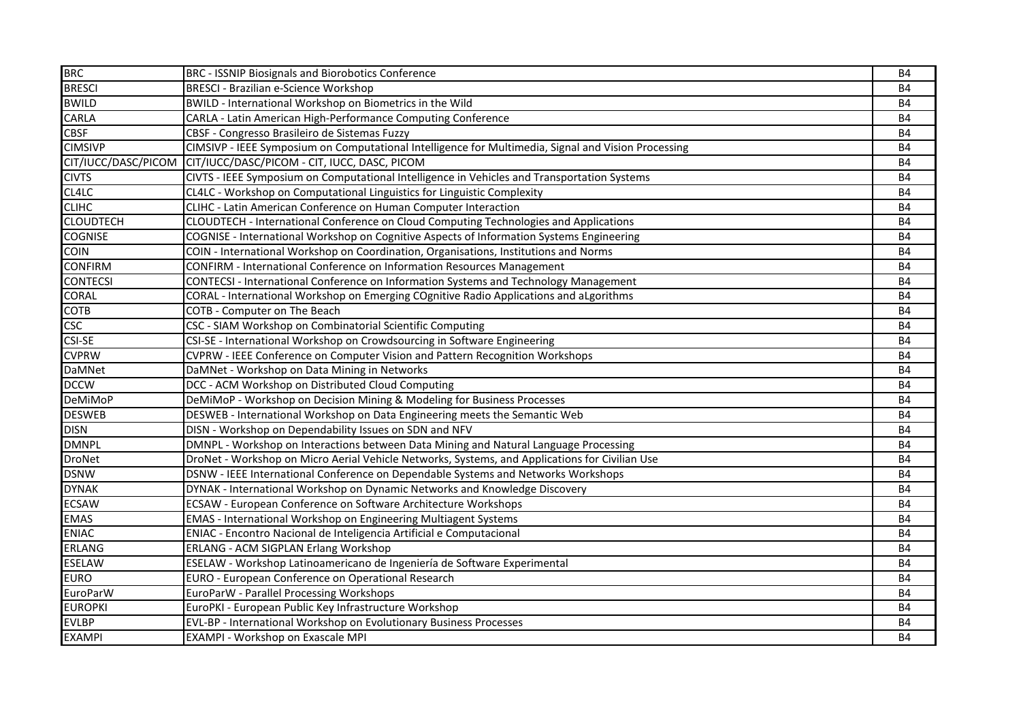| <b>BRC</b>          | BRC - ISSNIP Biosignals and Biorobotics Conference                                                  | <b>B4</b> |
|---------------------|-----------------------------------------------------------------------------------------------------|-----------|
| <b>BRESCI</b>       | <b>BRESCI - Brazilian e-Science Workshop</b>                                                        | <b>B4</b> |
| <b>BWILD</b>        | BWILD - International Workshop on Biometrics in the Wild                                            | <b>B4</b> |
| CARLA               | CARLA - Latin American High-Performance Computing Conference                                        | <b>B4</b> |
| <b>CBSF</b>         | CBSF - Congresso Brasileiro de Sistemas Fuzzy                                                       | <b>B4</b> |
| <b>CIMSIVP</b>      | CIMSIVP - IEEE Symposium on Computational Intelligence for Multimedia, Signal and Vision Processing | <b>B4</b> |
| CIT/IUCC/DASC/PICOM | CIT/IUCC/DASC/PICOM - CIT, IUCC, DASC, PICOM                                                        | <b>B4</b> |
| <b>CIVTS</b>        | CIVTS - IEEE Symposium on Computational Intelligence in Vehicles and Transportation Systems         | <b>B4</b> |
| CL4LC               | CL4LC - Workshop on Computational Linguistics for Linguistic Complexity                             | <b>B4</b> |
| <b>CLIHC</b>        | CLIHC - Latin American Conference on Human Computer Interaction                                     | <b>B4</b> |
| <b>CLOUDTECH</b>    | CLOUDTECH - International Conference on Cloud Computing Technologies and Applications               | <b>B4</b> |
| <b>COGNISE</b>      | COGNISE - International Workshop on Cognitive Aspects of Information Systems Engineering            | <b>B4</b> |
| <b>COIN</b>         | COIN - International Workshop on Coordination, Organisations, Institutions and Norms                | <b>B4</b> |
| <b>CONFIRM</b>      | CONFIRM - International Conference on Information Resources Management                              | <b>B4</b> |
| <b>CONTECSI</b>     | CONTECSI - International Conference on Information Systems and Technology Management                | <b>B4</b> |
| CORAL               | CORAL - International Workshop on Emerging COgnitive Radio Applications and aLgorithms              | <b>B4</b> |
| <b>COTB</b>         | COTB - Computer on The Beach                                                                        | <b>B4</b> |
| <b>CSC</b>          | CSC - SIAM Workshop on Combinatorial Scientific Computing                                           | <b>B4</b> |
| <b>CSI-SE</b>       | CSI-SE - International Workshop on Crowdsourcing in Software Engineering                            | <b>B4</b> |
| <b>CVPRW</b>        | CVPRW - IEEE Conference on Computer Vision and Pattern Recognition Workshops                        | <b>B4</b> |
| <b>DaMNet</b>       | DaMNet - Workshop on Data Mining in Networks                                                        | <b>B4</b> |
| <b>DCCW</b>         | DCC - ACM Workshop on Distributed Cloud Computing                                                   | <b>B4</b> |
| <b>DeMiMoP</b>      | DeMiMoP - Workshop on Decision Mining & Modeling for Business Processes                             | <b>B4</b> |
| <b>DESWEB</b>       | DESWEB - International Workshop on Data Engineering meets the Semantic Web                          | <b>B4</b> |
| <b>DISN</b>         | DISN - Workshop on Dependability Issues on SDN and NFV                                              | <b>B4</b> |
| <b>DMNPL</b>        | DMNPL - Workshop on Interactions between Data Mining and Natural Language Processing                | <b>B4</b> |
| <b>DroNet</b>       | DroNet - Workshop on Micro Aerial Vehicle Networks, Systems, and Applications for Civilian Use      | <b>B4</b> |
| <b>DSNW</b>         | DSNW - IEEE International Conference on Dependable Systems and Networks Workshops                   | <b>B4</b> |
| <b>DYNAK</b>        | DYNAK - International Workshop on Dynamic Networks and Knowledge Discovery                          | <b>B4</b> |
| <b>ECSAW</b>        | ECSAW - European Conference on Software Architecture Workshops                                      | <b>B4</b> |
| <b>EMAS</b>         | <b>EMAS - International Workshop on Engineering Multiagent Systems</b>                              | <b>B4</b> |
| <b>ENIAC</b>        | ENIAC - Encontro Nacional de Inteligencia Artificial e Computacional                                | <b>B4</b> |
| <b>ERLANG</b>       | <b>ERLANG - ACM SIGPLAN Erlang Workshop</b>                                                         | <b>B4</b> |
| <b>ESELAW</b>       | ESELAW - Workshop Latinoamericano de Ingeniería de Software Experimental                            | <b>B4</b> |
| <b>EURO</b>         | EURO - European Conference on Operational Research                                                  | <b>B4</b> |
| EuroParW            | EuroParW - Parallel Processing Workshops                                                            | <b>B4</b> |
| <b>EUROPKI</b>      | EuroPKI - European Public Key Infrastructure Workshop                                               | <b>B4</b> |
| <b>EVLBP</b>        | EVL-BP - International Workshop on Evolutionary Business Processes                                  | <b>B4</b> |
| <b>EXAMPI</b>       | <b>EXAMPI - Workshop on Exascale MPI</b>                                                            | <b>B4</b> |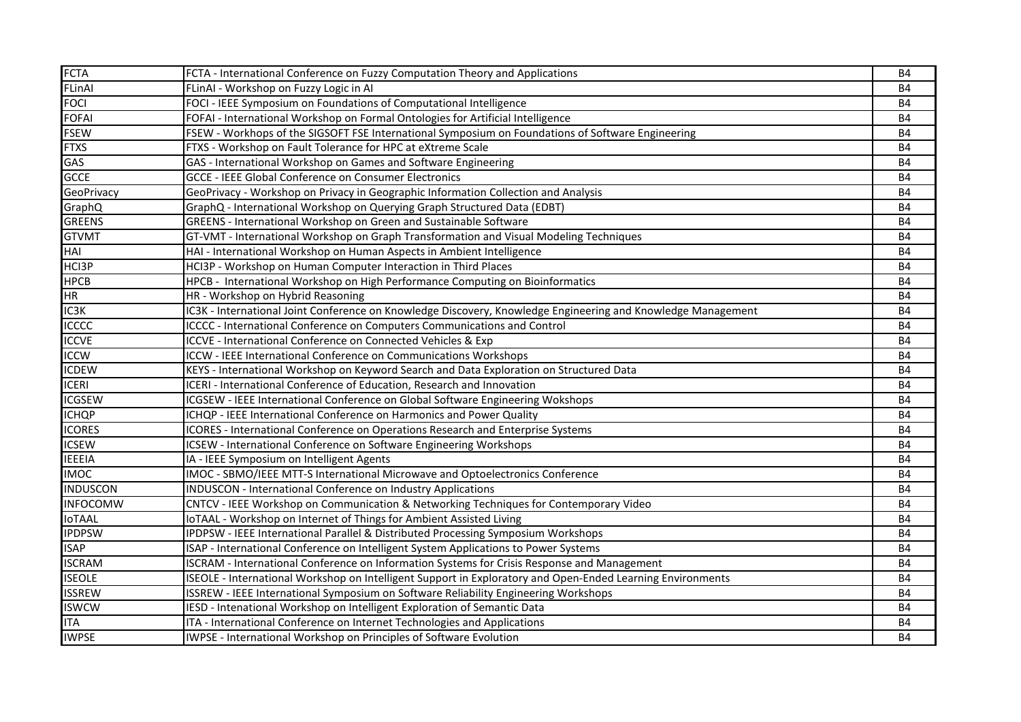| <b>FCTA</b>     | FCTA - International Conference on Fuzzy Computation Theory and Applications                                 | <b>B4</b> |
|-----------------|--------------------------------------------------------------------------------------------------------------|-----------|
| FLinAl          | FLinAI - Workshop on Fuzzy Logic in AI                                                                       | <b>B4</b> |
| <b>FOCI</b>     | FOCI - IEEE Symposium on Foundations of Computational Intelligence                                           | <b>B4</b> |
| <b>FOFAI</b>    | FOFAI - International Workshop on Formal Ontologies for Artificial Intelligence                              | <b>B4</b> |
| <b>FSEW</b>     | FSEW - Workhops of the SIGSOFT FSE International Symposium on Foundations of Software Engineering            | <b>B4</b> |
| <b>FTXS</b>     | FTXS - Workshop on Fault Tolerance for HPC at eXtreme Scale                                                  | <b>B4</b> |
| GAS             | GAS - International Workshop on Games and Software Engineering                                               | <b>B4</b> |
| <b>GCCE</b>     | <b>GCCE - IEEE Global Conference on Consumer Electronics</b>                                                 | <b>B4</b> |
| GeoPrivacy      | GeoPrivacy - Workshop on Privacy in Geographic Information Collection and Analysis                           | <b>B4</b> |
| GraphQ          | GraphQ - International Workshop on Querying Graph Structured Data (EDBT)                                     | <b>B4</b> |
| <b>GREENS</b>   | GREENS - International Workshop on Green and Sustainable Software                                            | <b>B4</b> |
| <b>GTVMT</b>    | GT-VMT - International Workshop on Graph Transformation and Visual Modeling Techniques                       | <b>B4</b> |
| HAI             | HAI - International Workshop on Human Aspects in Ambient Intelligence                                        | <b>B4</b> |
| HCI3P           | HCI3P - Workshop on Human Computer Interaction in Third Places                                               | <b>B4</b> |
| <b>HPCB</b>     | HPCB - International Workshop on High Performance Computing on Bioinformatics                                | <b>B4</b> |
| HR              | HR - Workshop on Hybrid Reasoning                                                                            | <b>B4</b> |
| IC3K            | IC3K - International Joint Conference on Knowledge Discovery, Knowledge Engineering and Knowledge Management | <b>B4</b> |
| <b>ICCCC</b>    | ICCCC - International Conference on Computers Communications and Control                                     | <b>B4</b> |
| <b>ICCVE</b>    | ICCVE - International Conference on Connected Vehicles & Exp                                                 | <b>B4</b> |
| <b>ICCW</b>     | ICCW - IEEE International Conference on Communications Workshops                                             | <b>B4</b> |
| <b>ICDEW</b>    | KEYS - International Workshop on Keyword Search and Data Exploration on Structured Data                      | <b>B4</b> |
| <b>ICERI</b>    | ICERI - International Conference of Education, Research and Innovation                                       | <b>B4</b> |
| <b>ICGSEW</b>   | ICGSEW - IEEE International Conference on Global Software Engineering Wokshops                               | B4        |
| <b>ICHQP</b>    | ICHQP - IEEE International Conference on Harmonics and Power Quality                                         | <b>B4</b> |
| <b>ICORES</b>   | ICORES - International Conference on Operations Research and Enterprise Systems                              | <b>B4</b> |
| <b>ICSEW</b>    | ICSEW - International Conference on Software Engineering Workshops                                           | <b>B4</b> |
| <b>IEEEIA</b>   | IA - IEEE Symposium on Intelligent Agents                                                                    | <b>B4</b> |
| <b>IMOC</b>     | IMOC - SBMO/IEEE MTT-S International Microwave and Optoelectronics Conference                                | <b>B4</b> |
| <b>INDUSCON</b> | INDUSCON - International Conference on Industry Applications                                                 | <b>B4</b> |
| <b>INFOCOMW</b> | CNTCV - IEEE Workshop on Communication & Networking Techniques for Contemporary Video                        | <b>B4</b> |
| <b>IoTAAL</b>   | IoTAAL - Workshop on Internet of Things for Ambient Assisted Living                                          | <b>B4</b> |
| <b>IPDPSW</b>   | IPDPSW - IEEE International Parallel & Distributed Processing Symposium Workshops                            | <b>B4</b> |
| <b>ISAP</b>     | ISAP - International Conference on Intelligent System Applications to Power Systems                          | <b>B4</b> |
| <b>ISCRAM</b>   | ISCRAM - International Conference on Information Systems for Crisis Response and Management                  | <b>B4</b> |
| <b>ISEOLE</b>   | ISEOLE - International Workshop on Intelligent Support in Exploratory and Open-Ended Learning Environments   | <b>B4</b> |
| <b>ISSREW</b>   | ISSREW - IEEE International Symposium on Software Reliability Engineering Workshops                          | <b>B4</b> |
| <b>ISWCW</b>    | IESD - Intenational Workshop on Intelligent Exploration of Semantic Data                                     | <b>B4</b> |
| <b>ITA</b>      | ITA - International Conference on Internet Technologies and Applications                                     | <b>B4</b> |
| <b>IWPSE</b>    | IWPSE - International Workshop on Principles of Software Evolution                                           | <b>B4</b> |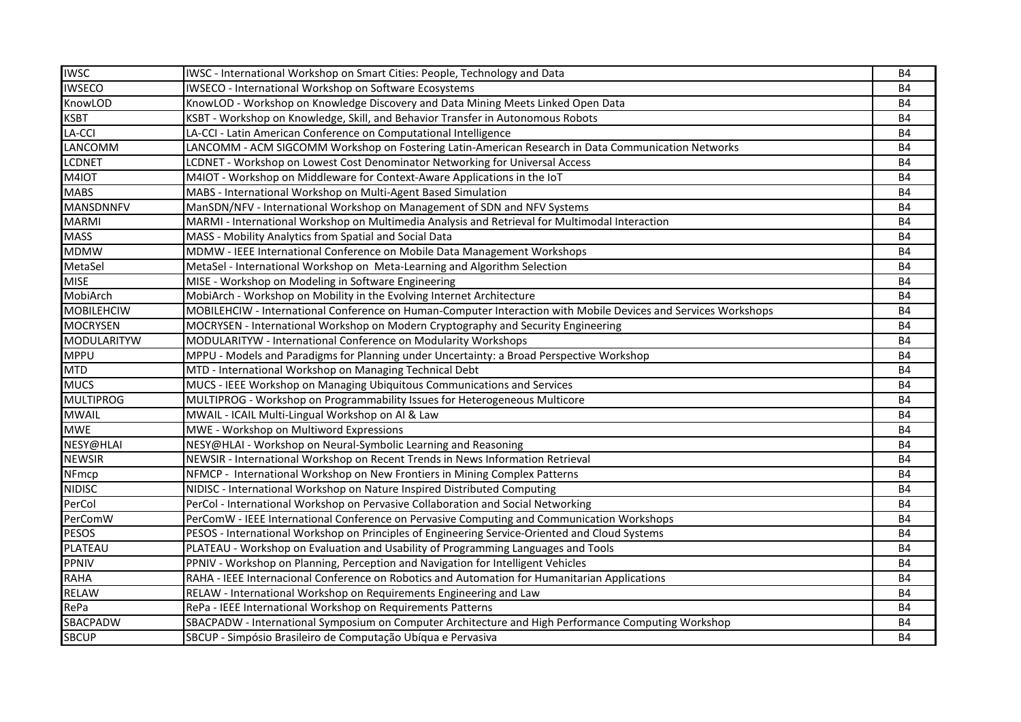| <b>IWSC</b>        | IWSC - International Workshop on Smart Cities: People, Technology and Data                                     | <b>B4</b>              |
|--------------------|----------------------------------------------------------------------------------------------------------------|------------------------|
| <b>IWSECO</b>      | IWSECO - International Workshop on Software Ecosystems                                                         | <b>B4</b><br><b>B4</b> |
| KnowLOD            | KnowLOD - Workshop on Knowledge Discovery and Data Mining Meets Linked Open Data                               |                        |
| <b>KSBT</b>        | KSBT - Workshop on Knowledge, Skill, and Behavior Transfer in Autonomous Robots                                | <b>B4</b>              |
| LA-CCI             | LA-CCI - Latin American Conference on Computational Intelligence                                               | <b>B4</b>              |
| LANCOMM            | LANCOMM - ACM SIGCOMM Workshop on Fostering Latin-American Research in Data Communication Networks             | <b>B4</b>              |
| <b>LCDNET</b>      | LCDNET - Workshop on Lowest Cost Denominator Networking for Universal Access                                   | <b>B4</b>              |
| M4IOT              | M4IOT - Workshop on Middleware for Context-Aware Applications in the IoT                                       | <b>B4</b>              |
| <b>MABS</b>        | MABS - International Workshop on Multi-Agent Based Simulation                                                  | <b>B4</b>              |
| <b>MANSDNNFV</b>   | ManSDN/NFV - International Workshop on Management of SDN and NFV Systems                                       | <b>B4</b>              |
| <b>MARMI</b>       | MARMI - International Workshop on Multimedia Analysis and Retrieval for Multimodal Interaction                 | <b>B4</b>              |
| <b>MASS</b>        | MASS - Mobility Analytics from Spatial and Social Data                                                         | <b>B4</b>              |
| <b>MDMW</b>        | MDMW - IEEE International Conference on Mobile Data Management Workshops                                       | <b>B4</b>              |
| MetaSel            | MetaSel - International Workshop on Meta-Learning and Algorithm Selection                                      | <b>B4</b>              |
| <b>MISE</b>        | MISE - Workshop on Modeling in Software Engineering                                                            | <b>B4</b>              |
| MobiArch           | MobiArch - Workshop on Mobility in the Evolving Internet Architecture                                          | <b>B4</b>              |
| <b>MOBILEHCIW</b>  | MOBILEHCIW - International Conference on Human-Computer Interaction with Mobile Devices and Services Workshops | <b>B4</b>              |
| <b>MOCRYSEN</b>    | MOCRYSEN - International Workshop on Modern Cryptography and Security Engineering                              | <b>B4</b>              |
| <b>MODULARITYW</b> | MODULARITYW - International Conference on Modularity Workshops                                                 | <b>B4</b>              |
| <b>MPPU</b>        | MPPU - Models and Paradigms for Planning under Uncertainty: a Broad Perspective Workshop                       | <b>B4</b>              |
| <b>MTD</b>         | MTD - International Workshop on Managing Technical Debt                                                        | <b>B4</b>              |
| <b>MUCS</b>        | MUCS - IEEE Workshop on Managing Ubiquitous Communications and Services                                        | <b>B4</b>              |
| <b>MULTIPROG</b>   | MULTIPROG - Workshop on Programmability Issues for Heterogeneous Multicore                                     | <b>B4</b>              |
| <b>MWAIL</b>       | MWAIL - ICAIL Multi-Lingual Workshop on AI & Law                                                               | Β4                     |
| <b>MWE</b>         | MWE - Workshop on Multiword Expressions                                                                        | <b>B4</b>              |
| NESY@HLAI          | NESY@HLAI - Workshop on Neural-Symbolic Learning and Reasoning                                                 | <b>B4</b>              |
| <b>NEWSIR</b>      | NEWSIR - International Workshop on Recent Trends in News Information Retrieval                                 | <b>B4</b>              |
| NFmcp              | NFMCP - International Workshop on New Frontiers in Mining Complex Patterns                                     | <b>B4</b>              |
| <b>NIDISC</b>      | NIDISC - International Workshop on Nature Inspired Distributed Computing                                       | <b>B4</b>              |
| PerCol             | PerCol - International Workshop on Pervasive Collaboration and Social Networking                               | <b>B4</b>              |
| PerComW            | PerComW - IEEE International Conference on Pervasive Computing and Communication Workshops                     | <b>B4</b>              |
| <b>PESOS</b>       | PESOS - International Workshop on Principles of Engineering Service-Oriented and Cloud Systems                 | <b>B4</b>              |
| PLATEAU            | PLATEAU - Workshop on Evaluation and Usability of Programming Languages and Tools                              | <b>B4</b>              |
| <b>PPNIV</b>       | PPNIV - Workshop on Planning, Perception and Navigation for Intelligent Vehicles                               | <b>B4</b>              |
| <b>RAHA</b>        | RAHA - IEEE Internacional Conference on Robotics and Automation for Humanitarian Applications                  | <b>B4</b>              |
| <b>RELAW</b>       | RELAW - International Workshop on Requirements Engineering and Law                                             | <b>B4</b>              |
| RePa               | RePa - IEEE International Workshop on Requirements Patterns                                                    | <b>B4</b>              |
| SBACPADW           | SBACPADW - International Symposium on Computer Architecture and High Performance Computing Workshop            | <b>B4</b>              |
| <b>SBCUP</b>       | SBCUP - Simpósio Brasileiro de Computação Ubíqua e Pervasiva                                                   | <b>B4</b>              |
|                    |                                                                                                                |                        |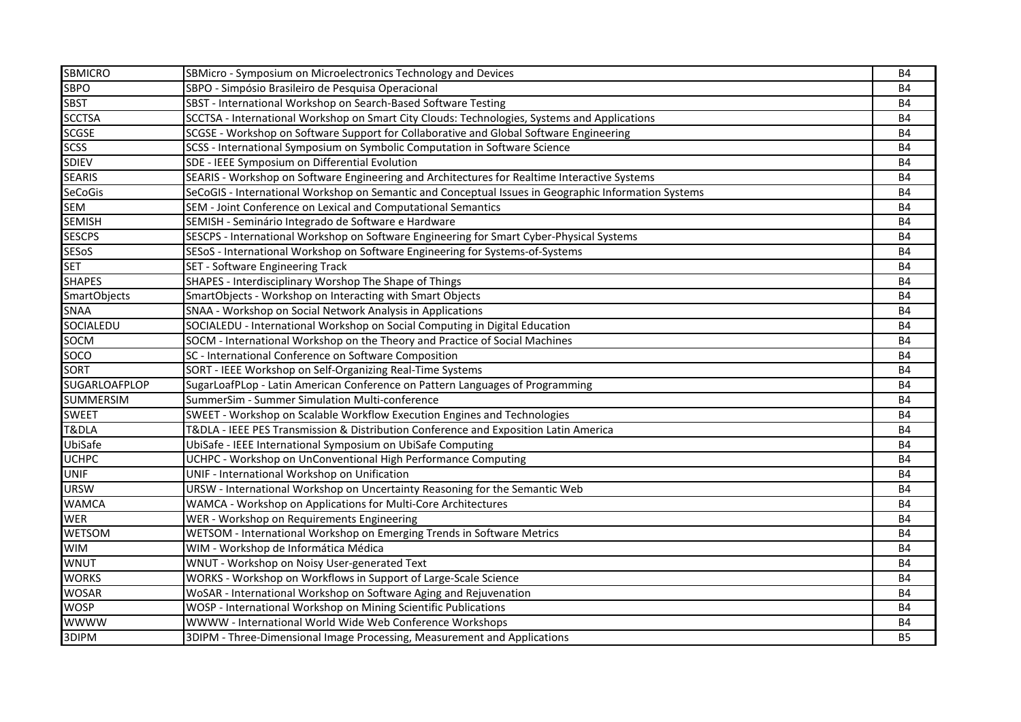| <b>SBMICRO</b>      | SBMicro - Symposium on Microelectronics Technology and Devices                                       | <b>B4</b> |
|---------------------|------------------------------------------------------------------------------------------------------|-----------|
| <b>SBPO</b>         | SBPO - Simpósio Brasileiro de Pesquisa Operacional                                                   | <b>B4</b> |
| <b>SBST</b>         | SBST - International Workshop on Search-Based Software Testing                                       | <b>B4</b> |
| <b>SCCTSA</b>       | SCCTSA - International Workshop on Smart City Clouds: Technologies, Systems and Applications         | <b>B4</b> |
| <b>SCGSE</b>        | SCGSE - Workshop on Software Support for Collaborative and Global Software Engineering               | <b>B4</b> |
| <b>SCSS</b>         | SCSS - International Symposium on Symbolic Computation in Software Science                           | <b>B4</b> |
| <b>SDIEV</b>        | SDE - IEEE Symposium on Differential Evolution                                                       | <b>B4</b> |
| <b>SEARIS</b>       | SEARIS - Workshop on Software Engineering and Architectures for Realtime Interactive Systems         | <b>B4</b> |
| SeCoGis             | SeCoGIS - International Workshop on Semantic and Conceptual Issues in Geographic Information Systems | <b>B4</b> |
| SEM                 | SEM - Joint Conference on Lexical and Computational Semantics                                        | <b>B4</b> |
| <b>SEMISH</b>       | SEMISH - Seminário Integrado de Software e Hardware                                                  | <b>B4</b> |
| <b>SESCPS</b>       | SESCPS - International Workshop on Software Engineering for Smart Cyber-Physical Systems             | <b>B4</b> |
| <b>SESoS</b>        | SESoS - International Workshop on Software Engineering for Systems-of-Systems                        | <b>B4</b> |
| <b>SET</b>          | SET - Software Engineering Track                                                                     | <b>B4</b> |
| <b>SHAPES</b>       | SHAPES - Interdisciplinary Worshop The Shape of Things                                               | <b>B4</b> |
| <b>SmartObjects</b> | SmartObjects - Workshop on Interacting with Smart Objects                                            | <b>B4</b> |
| SNAA                | SNAA - Workshop on Social Network Analysis in Applications                                           | <b>B4</b> |
| SOCIALEDU           | SOCIALEDU - International Workshop on Social Computing in Digital Education                          | <b>B4</b> |
| SOCM                | SOCM - International Workshop on the Theory and Practice of Social Machines                          | <b>B4</b> |
| <b>SOCO</b>         | SC - International Conference on Software Composition                                                | <b>B4</b> |
| <b>SORT</b>         | SORT - IEEE Workshop on Self-Organizing Real-Time Systems                                            | <b>B4</b> |
| SUGARLOAFPLOP       | SugarLoafPLop - Latin American Conference on Pattern Languages of Programming                        | <b>B4</b> |
| <b>SUMMERSIM</b>    | SummerSim - Summer Simulation Multi-conference                                                       | B4        |
| <b>SWEET</b>        | SWEET - Workshop on Scalable Workflow Execution Engines and Technologies                             | <b>B4</b> |
| T&DLA               | T&DLA - IEEE PES Transmission & Distribution Conference and Exposition Latin America                 | <b>B4</b> |
| UbiSafe             | UbiSafe - IEEE International Symposium on UbiSafe Computing                                          | <b>B4</b> |
| <b>UCHPC</b>        | UCHPC - Workshop on UnConventional High Performance Computing                                        | <b>B4</b> |
| <b>UNIF</b>         | UNIF - International Workshop on Unification                                                         | <b>B4</b> |
| <b>URSW</b>         | URSW - International Workshop on Uncertainty Reasoning for the Semantic Web                          | <b>B4</b> |
| <b>WAMCA</b>        | WAMCA - Workshop on Applications for Multi-Core Architectures                                        | <b>B4</b> |
| <b>WER</b>          | WER - Workshop on Requirements Engineering                                                           | <b>B4</b> |
| WETSOM              | WETSOM - International Workshop on Emerging Trends in Software Metrics                               | <b>B4</b> |
| <b>WIM</b>          | WIM - Workshop de Informática Médica                                                                 | <b>B4</b> |
| <b>WNUT</b>         | WNUT - Workshop on Noisy User-generated Text                                                         | <b>B4</b> |
| <b>WORKS</b>        | WORKS - Workshop on Workflows in Support of Large-Scale Science                                      | <b>B4</b> |
| <b>WOSAR</b>        | WoSAR - International Workshop on Software Aging and Rejuvenation                                    | <b>B4</b> |
| <b>WOSP</b>         | WOSP - International Workshop on Mining Scientific Publications                                      | <b>B4</b> |
| wwww                | WWWW - International World Wide Web Conference Workshops                                             | <b>B4</b> |
| 3DIPM               | 3DIPM - Three-Dimensional Image Processing, Measurement and Applications                             | <b>B5</b> |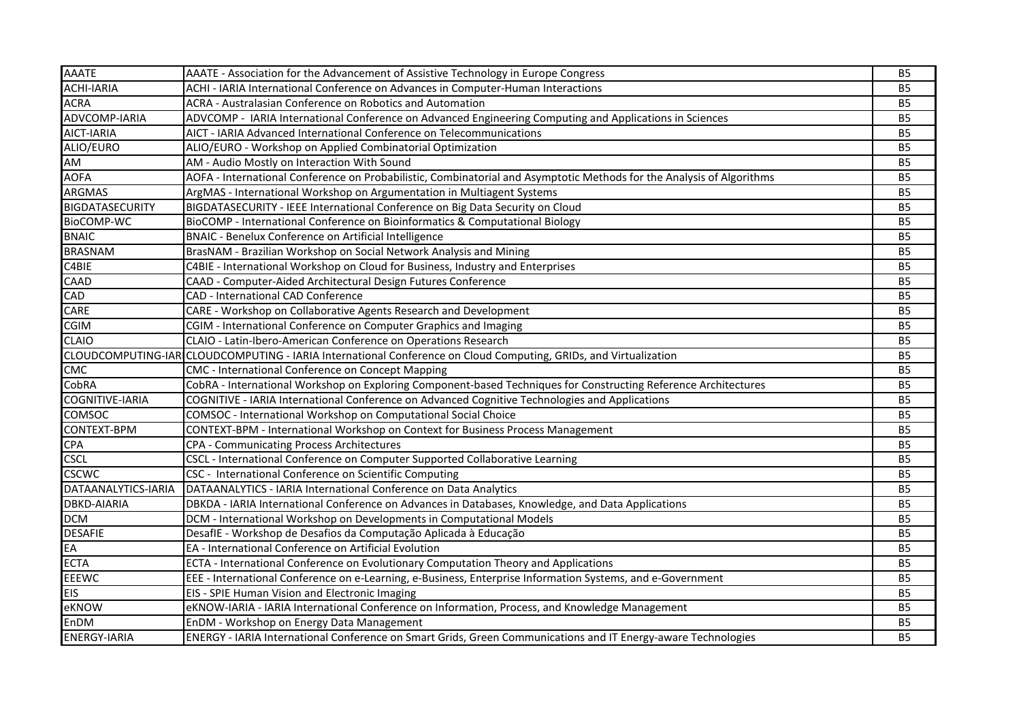| <b>AAATE</b>           | AAATE - Association for the Advancement of Assistive Technology in Europe Congress                                    | <b>B5</b>      |
|------------------------|-----------------------------------------------------------------------------------------------------------------------|----------------|
| <b>ACHI-IARIA</b>      | ACHI - IARIA International Conference on Advances in Computer-Human Interactions                                      |                |
| <b>ACRA</b>            | ACRA - Australasian Conference on Robotics and Automation                                                             |                |
| ADVCOMP-IARIA          | ADVCOMP - IARIA International Conference on Advanced Engineering Computing and Applications in Sciences               |                |
| <b>AICT-IARIA</b>      | AICT - IARIA Advanced International Conference on Telecommunications                                                  |                |
| ALIO/EURO              | ALIO/EURO - Workshop on Applied Combinatorial Optimization                                                            |                |
| AM                     | AM - Audio Mostly on Interaction With Sound                                                                           |                |
| <b>AOFA</b>            | AOFA - International Conference on Probabilistic, Combinatorial and Asymptotic Methods for the Analysis of Algorithms | B <sub>5</sub> |
| <b>ARGMAS</b>          | ArgMAS - International Workshop on Argumentation in Multiagent Systems                                                | <b>B5</b>      |
| <b>BIGDATASECURITY</b> | BIGDATASECURITY - IEEE International Conference on Big Data Security on Cloud                                         | <b>B5</b>      |
| BioCOMP-WC             | BioCOMP - International Conference on Bioinformatics & Computational Biology                                          | B <sub>5</sub> |
| <b>BNAIC</b>           | <b>BNAIC - Benelux Conference on Artificial Intelligence</b>                                                          | <b>B5</b>      |
| <b>BRASNAM</b>         | BrasNAM - Brazilian Workshop on Social Network Analysis and Mining                                                    | <b>B5</b>      |
| C4BIE                  | C4BIE - International Workshop on Cloud for Business, Industry and Enterprises                                        | <b>B5</b>      |
| CAAD                   | CAAD - Computer-Aided Architectural Design Futures Conference                                                         | <b>B5</b>      |
| <b>CAD</b>             | CAD - International CAD Conference                                                                                    | <b>B5</b>      |
| CARE                   | CARE - Workshop on Collaborative Agents Research and Development                                                      | <b>B5</b>      |
| <b>CGIM</b>            | CGIM - International Conference on Computer Graphics and Imaging                                                      | <b>B5</b>      |
| <b>CLAIO</b>           | CLAIO - Latin-Ibero-American Conference on Operations Research                                                        | <b>B5</b>      |
|                        | CLOUDCOMPUTING-IAR CLOUDCOMPUTING - IARIA International Conference on Cloud Computing, GRIDs, and Virtualization      | <b>B5</b>      |
| CMC                    | CMC - International Conference on Concept Mapping                                                                     | <b>B5</b>      |
| CobRA                  | CobRA - International Workshop on Exploring Component-based Techniques for Constructing Reference Architectures       | <b>B5</b>      |
| COGNITIVE-IARIA        | COGNITIVE - IARIA International Conference on Advanced Cognitive Technologies and Applications                        | <b>B5</b>      |
| <b>COMSOC</b>          | COMSOC - International Workshop on Computational Social Choice                                                        | <b>B5</b>      |
| CONTEXT-BPM            | CONTEXT-BPM - International Workshop on Context for Business Process Management                                       | B <sub>5</sub> |
| <b>CPA</b>             | CPA - Communicating Process Architectures                                                                             | <b>B5</b>      |
| <b>CSCL</b>            | CSCL - International Conference on Computer Supported Collaborative Learning                                          | <b>B5</b>      |
| <b>CSCWC</b>           | CSC - International Conference on Scientific Computing                                                                | <b>B5</b>      |
| DATAANALYTICS-IARIA    | DATAANALYTICS - IARIA International Conference on Data Analytics                                                      | <b>B5</b>      |
| <b>DBKD-AIARIA</b>     | DBKDA - IARIA International Conference on Advances in Databases, Knowledge, and Data Applications                     | <b>B5</b>      |
| <b>DCM</b>             | DCM - International Workshop on Developments in Computational Models                                                  | <b>B5</b>      |
| <b>DESAFIE</b>         | DesafIE - Workshop de Desafios da Computação Aplicada à Educação                                                      | <b>B5</b>      |
| EA                     | EA - International Conference on Artificial Evolution                                                                 | <b>B5</b>      |
| <b>ECTA</b>            | ECTA - International Conference on Evolutionary Computation Theory and Applications                                   | <b>B5</b>      |
| <b>EEEWC</b>           | EEE - International Conference on e-Learning, e-Business, Enterprise Information Systems, and e-Government            | <b>B5</b>      |
| <b>EIS</b>             | EIS - SPIE Human Vision and Electronic Imaging                                                                        | <b>B5</b>      |
| eKNOW                  | eKNOW-IARIA - IARIA International Conference on Information, Process, and Knowledge Management                        | B <sub>5</sub> |
| EnDM                   | EnDM - Workshop on Energy Data Management                                                                             | <b>B5</b>      |
| <b>ENERGY-IARIA</b>    | ENERGY - IARIA International Conference on Smart Grids, Green Communications and IT Energy-aware Technologies         | <b>B5</b>      |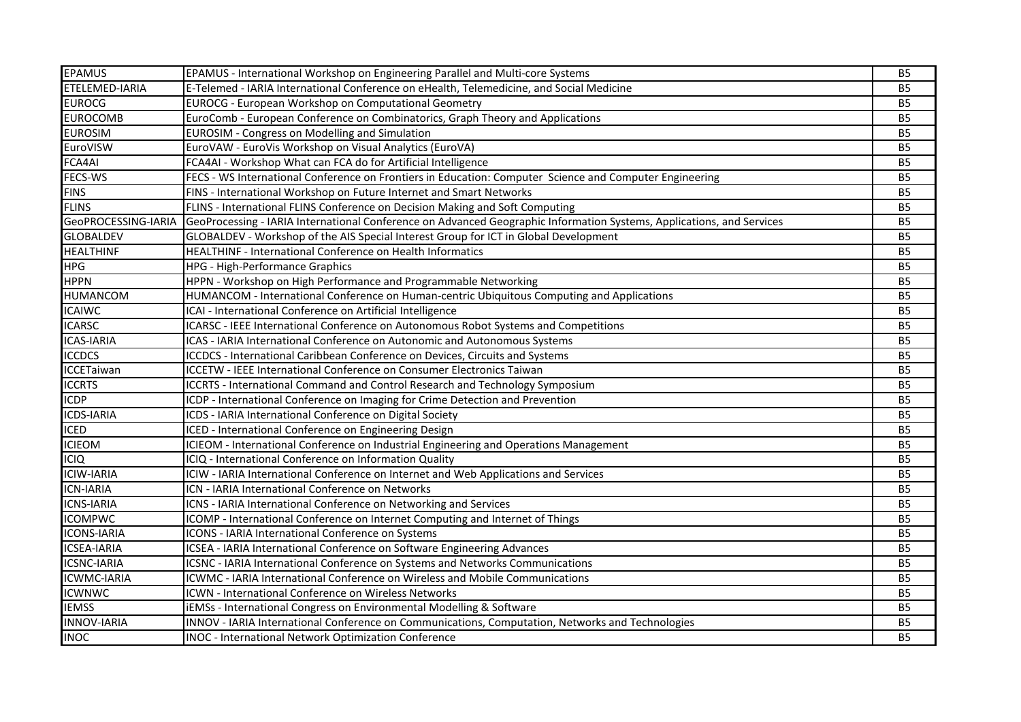| <b>EPAMUS</b>       | EPAMUS - International Workshop on Engineering Parallel and Multi-core Systems                                        | <b>B5</b>      |
|---------------------|-----------------------------------------------------------------------------------------------------------------------|----------------|
| ETELEMED-IARIA      | E-Telemed - IARIA International Conference on eHealth, Telemedicine, and Social Medicine                              |                |
| <b>EUROCG</b>       | <b>EUROCG - European Workshop on Computational Geometry</b>                                                           |                |
| <b>EUROCOMB</b>     | EuroComb - European Conference on Combinatorics, Graph Theory and Applications                                        |                |
| <b>EUROSIM</b>      | EUROSIM - Congress on Modelling and Simulation                                                                        |                |
| EuroVISW            | EuroVAW - EuroVis Workshop on Visual Analytics (EuroVA)                                                               |                |
| FCA4AI              | FCA4AI - Workshop What can FCA do for Artificial Intelligence                                                         |                |
| FECS-WS             | FECS - WS International Conference on Frontiers in Education: Computer Science and Computer Engineering               | <b>B5</b>      |
| <b>FINS</b>         | FINS - International Workshop on Future Internet and Smart Networks                                                   |                |
| <b>FLINS</b>        | FLINS - International FLINS Conference on Decision Making and Soft Computing                                          |                |
| GeoPROCESSING-IARIA | GeoProcessing - IARIA International Conference on Advanced Geographic Information Systems, Applications, and Services | <b>B5</b>      |
| <b>GLOBALDEV</b>    | GLOBALDEV - Workshop of the AIS Special Interest Group for ICT in Global Development                                  | <b>B5</b>      |
| <b>HEALTHINF</b>    | HEALTHINF - International Conference on Health Informatics                                                            | B <sub>5</sub> |
| <b>HPG</b>          | HPG - High-Performance Graphics                                                                                       | <b>B5</b>      |
| <b>HPPN</b>         | HPPN - Workshop on High Performance and Programmable Networking                                                       | <b>B5</b>      |
| <b>HUMANCOM</b>     | HUMANCOM - International Conference on Human-centric Ubiquitous Computing and Applications                            | <b>B5</b>      |
| <b>ICAIWC</b>       | ICAI - International Conference on Artificial Intelligence                                                            | <b>B5</b>      |
| <b>ICARSC</b>       | ICARSC - IEEE International Conference on Autonomous Robot Systems and Competitions                                   | <b>B5</b>      |
| <b>ICAS-IARIA</b>   | ICAS - IARIA International Conference on Autonomic and Autonomous Systems                                             | B <sub>5</sub> |
| <b>ICCDCS</b>       | ICCDCS - International Caribbean Conference on Devices, Circuits and Systems                                          | <b>B5</b>      |
| <b>ICCETaiwan</b>   | ICCETW - IEEE International Conference on Consumer Electronics Taiwan                                                 | <b>B5</b>      |
| <b>ICCRTS</b>       | ICCRTS - International Command and Control Research and Technology Symposium                                          | <b>B5</b>      |
| <b>ICDP</b>         | ICDP - International Conference on Imaging for Crime Detection and Prevention                                         | <b>B5</b>      |
| <b>ICDS-IARIA</b>   | ICDS - IARIA International Conference on Digital Society                                                              | <b>B5</b>      |
| <b>ICED</b>         | ICED - International Conference on Engineering Design                                                                 | B <sub>5</sub> |
| <b>ICIEOM</b>       | ICIEOM - International Conference on Industrial Engineering and Operations Management                                 | <b>B5</b>      |
| <b>ICIQ</b>         | ICIQ - International Conference on Information Quality                                                                | <b>B5</b>      |
| <b>ICIW-IARIA</b>   | ICIW - IARIA International Conference on Internet and Web Applications and Services                                   | <b>B5</b>      |
| <b>ICN-IARIA</b>    | ICN - IARIA International Conference on Networks                                                                      | <b>B5</b>      |
| <b>ICNS-IARIA</b>   | ICNS - IARIA International Conference on Networking and Services                                                      | <b>B5</b>      |
| <b>ICOMPWC</b>      | ICOMP - International Conference on Internet Computing and Internet of Things                                         | B <sub>5</sub> |
| <b>ICONS-IARIA</b>  | ICONS - IARIA International Conference on Systems                                                                     | B <sub>5</sub> |
| <b>ICSEA-IARIA</b>  | ICSEA - IARIA International Conference on Software Engineering Advances                                               | <b>B5</b>      |
| <b>ICSNC-IARIA</b>  | ICSNC - IARIA International Conference on Systems and Networks Communications                                         | <b>B5</b>      |
| <b>ICWMC-IARIA</b>  | <b>ICWMC - IARIA International Conference on Wireless and Mobile Communications</b>                                   | B <sub>5</sub> |
| <b>ICWNWC</b>       | ICWN - International Conference on Wireless Networks                                                                  | <b>B5</b>      |
| <b>IEMSS</b>        | iEMSs - International Congress on Environmental Modelling & Software                                                  | B <sub>5</sub> |
| <b>INNOV-IARIA</b>  | INNOV - IARIA International Conference on Communications, Computation, Networks and Technologies                      | B <sub>5</sub> |
| <b>INOC</b>         | INOC - International Network Optimization Conference                                                                  | <b>B5</b>      |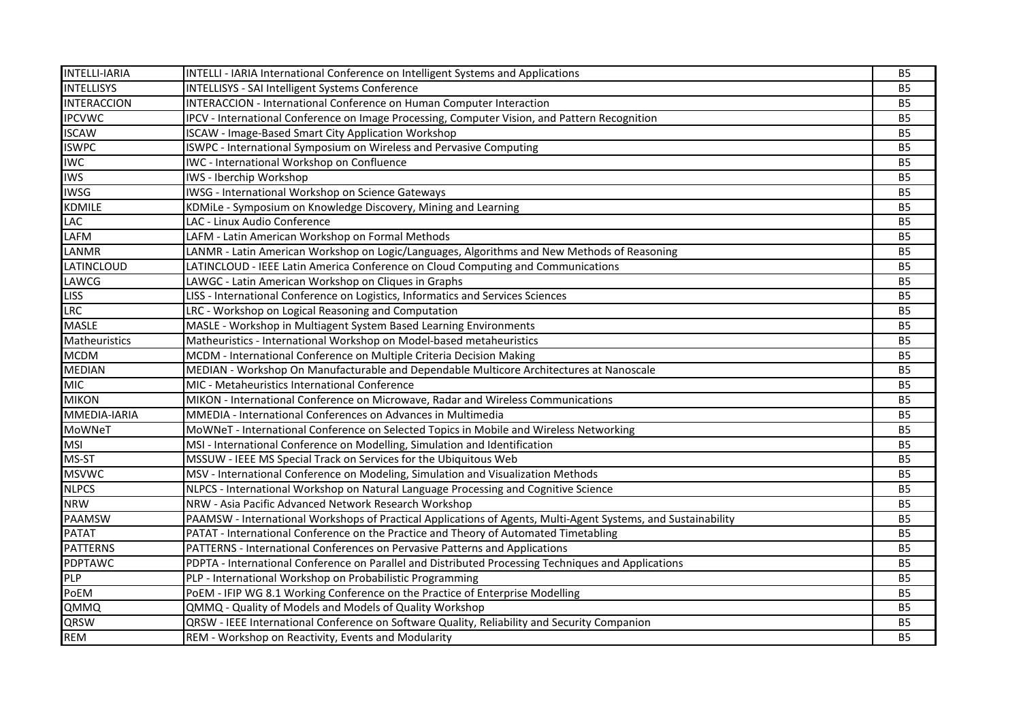| <b>INTELLI-IARIA</b> | INTELLI - IARIA International Conference on Intelligent Systems and Applications                              | <b>B5</b>      |
|----------------------|---------------------------------------------------------------------------------------------------------------|----------------|
| <b>INTELLISYS</b>    | <b>INTELLISYS - SAI Intelligent Systems Conference</b>                                                        | <b>B5</b>      |
| <b>INTERACCION</b>   | INTERACCION - International Conference on Human Computer Interaction                                          | <b>B5</b>      |
| <b>IPCVWC</b>        | IPCV - International Conference on Image Processing, Computer Vision, and Pattern Recognition                 | <b>B5</b>      |
| <b>ISCAW</b>         | ISCAW - Image-Based Smart City Application Workshop                                                           | <b>B5</b>      |
| <b>ISWPC</b>         | ISWPC - International Symposium on Wireless and Pervasive Computing                                           | B <sub>5</sub> |
| <b>IWC</b>           | IWC - International Workshop on Confluence                                                                    | <b>B5</b>      |
| <b>IWS</b>           | IWS - Iberchip Workshop                                                                                       | <b>B5</b>      |
| <b>IWSG</b>          | IWSG - International Workshop on Science Gateways                                                             | <b>B5</b>      |
| <b>KDMILE</b>        | KDMiLe - Symposium on Knowledge Discovery, Mining and Learning                                                | B <sub>5</sub> |
| LAC                  | LAC - Linux Audio Conference                                                                                  | <b>B5</b>      |
| LAFM                 | LAFM - Latin American Workshop on Formal Methods                                                              | B <sub>5</sub> |
| LANMR                | LANMR - Latin American Workshop on Logic/Languages, Algorithms and New Methods of Reasoning                   | <b>B5</b>      |
| LATINCLOUD           | LATINCLOUD - IEEE Latin America Conference on Cloud Computing and Communications                              | <b>B5</b>      |
| LAWCG                | LAWGC - Latin American Workshop on Cliques in Graphs                                                          | <b>B5</b>      |
| <b>LISS</b>          | LISS - International Conference on Logistics, Informatics and Services Sciences                               | <b>B5</b>      |
| <b>LRC</b>           | LRC - Workshop on Logical Reasoning and Computation                                                           | <b>B5</b>      |
| <b>MASLE</b>         | MASLE - Workshop in Multiagent System Based Learning Environments                                             | B <sub>5</sub> |
| Matheuristics        | Matheuristics - International Workshop on Model-based metaheuristics                                          | <b>B5</b>      |
| <b>MCDM</b>          | MCDM - International Conference on Multiple Criteria Decision Making                                          | <b>B5</b>      |
| <b>MEDIAN</b>        | MEDIAN - Workshop On Manufacturable and Dependable Multicore Architectures at Nanoscale                       | <b>B5</b>      |
| <b>MIC</b>           | MIC - Metaheuristics International Conference                                                                 | <b>B5</b>      |
| <b>MIKON</b>         | MIKON - International Conference on Microwave, Radar and Wireless Communications                              | B <sub>5</sub> |
| MMEDIA-IARIA         | MMEDIA - International Conferences on Advances in Multimedia                                                  | B <sub>5</sub> |
| <b>MoWNeT</b>        | MoWNeT - International Conference on Selected Topics in Mobile and Wireless Networking                        | <b>B5</b>      |
| <b>MSI</b>           | MSI - International Conference on Modelling, Simulation and Identification                                    | <b>B5</b>      |
| MS-ST                | MSSUW - IEEE MS Special Track on Services for the Ubiquitous Web                                              | <b>B5</b>      |
| <b>MSVWC</b>         | MSV - International Conference on Modeling, Simulation and Visualization Methods                              | <b>B5</b>      |
| <b>NLPCS</b>         | NLPCS - International Workshop on Natural Language Processing and Cognitive Science                           | <b>B5</b>      |
| <b>NRW</b>           | NRW - Asia Pacific Advanced Network Research Workshop                                                         | B <sub>5</sub> |
| <b>PAAMSW</b>        | PAAMSW - International Workshops of Practical Applications of Agents, Multi-Agent Systems, and Sustainability | <b>B5</b>      |
| <b>PATAT</b>         | PATAT - International Conference on the Practice and Theory of Automated Timetabling                          | <b>B5</b>      |
| <b>PATTERNS</b>      | PATTERNS - International Conferences on Pervasive Patterns and Applications                                   | <b>B5</b>      |
| <b>PDPTAWC</b>       | PDPTA - International Conference on Parallel and Distributed Processing Techniques and Applications           | <b>B5</b>      |
| PLP                  | PLP - International Workshop on Probabilistic Programming                                                     | B <sub>5</sub> |
| PoEM                 | PoEM - IFIP WG 8.1 Working Conference on the Practice of Enterprise Modelling                                 | B <sub>5</sub> |
| QMMQ                 | QMMQ - Quality of Models and Models of Quality Workshop                                                       | <b>B5</b>      |
| QRSW                 | QRSW - IEEE International Conference on Software Quality, Reliability and Security Companion                  | B <sub>5</sub> |
| <b>REM</b>           | REM - Workshop on Reactivity, Events and Modularity                                                           | <b>B5</b>      |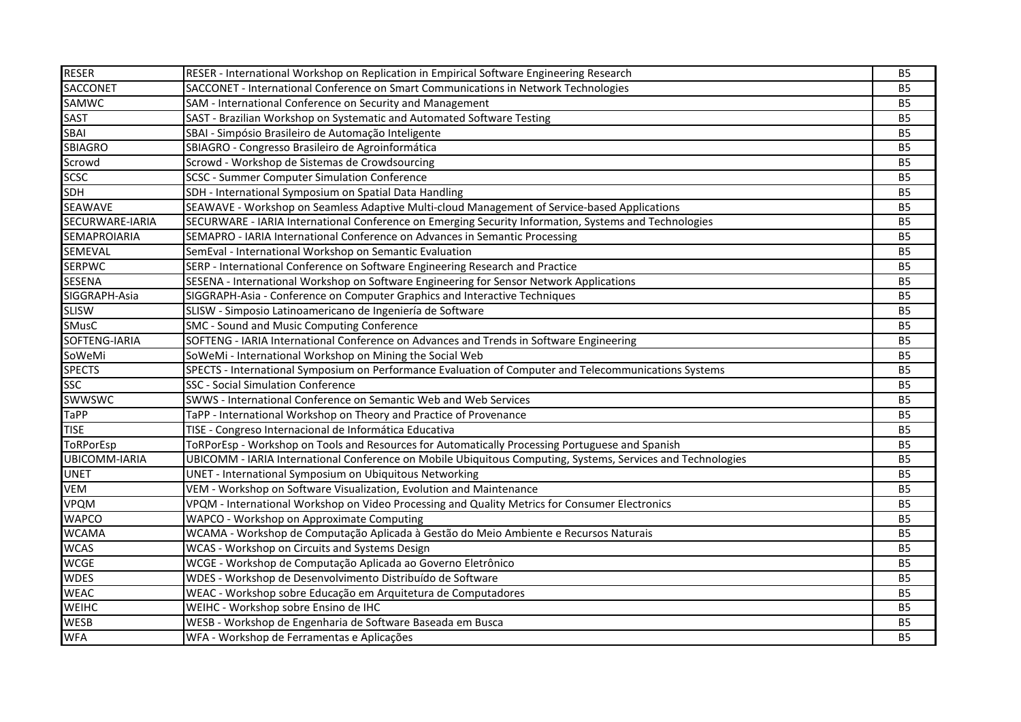| <b>RESER</b>         | RESER - International Workshop on Replication in Empirical Software Engineering Research                    | <b>B5</b>      |
|----------------------|-------------------------------------------------------------------------------------------------------------|----------------|
| <b>SACCONET</b>      | SACCONET - International Conference on Smart Communications in Network Technologies                         | <b>B5</b>      |
| SAMWC                | SAM - International Conference on Security and Management                                                   | <b>B5</b>      |
| SAST                 | SAST - Brazilian Workshop on Systematic and Automated Software Testing                                      | <b>B5</b>      |
| SBAI                 | SBAI - Simpósio Brasileiro de Automação Inteligente                                                         | <b>B5</b>      |
| <b>SBIAGRO</b>       | SBIAGRO - Congresso Brasileiro de Agroinformática                                                           | B <sub>5</sub> |
| Scrowd               | Scrowd - Workshop de Sistemas de Crowdsourcing                                                              | <b>B5</b>      |
| <b>SCSC</b>          | <b>SCSC - Summer Computer Simulation Conference</b>                                                         | <b>B5</b>      |
| <b>SDH</b>           | SDH - International Symposium on Spatial Data Handling                                                      | <b>B5</b>      |
| <b>SEAWAVE</b>       | SEAWAVE - Workshop on Seamless Adaptive Multi-cloud Management of Service-based Applications                | <b>B5</b>      |
| SECURWARE-IARIA      | SECURWARE - IARIA International Conference on Emerging Security Information, Systems and Technologies       | <b>B5</b>      |
| SEMAPROIARIA         | SEMAPRO - IARIA International Conference on Advances in Semantic Processing                                 | <b>B5</b>      |
| SEMEVAL              | SemEval - International Workshop on Semantic Evaluation                                                     | <b>B5</b>      |
| <b>SERPWC</b>        | SERP - International Conference on Software Engineering Research and Practice                               | <b>B5</b>      |
| <b>SESENA</b>        | SESENA - International Workshop on Software Engineering for Sensor Network Applications                     | <b>B5</b>      |
| SIGGRAPH-Asia        | SIGGRAPH-Asia - Conference on Computer Graphics and Interactive Techniques                                  | <b>B5</b>      |
| <b>SLISW</b>         | SLISW - Simposio Latinoamericano de Ingeniería de Software                                                  | <b>B5</b>      |
| <b>SMusC</b>         | SMC - Sound and Music Computing Conference                                                                  | <b>B5</b>      |
| SOFTENG-IARIA        | SOFTENG - IARIA International Conference on Advances and Trends in Software Engineering                     | <b>B5</b>      |
| SoWeMi               | SoWeMi - International Workshop on Mining the Social Web                                                    | <b>B5</b>      |
| <b>SPECTS</b>        | SPECTS - International Symposium on Performance Evaluation of Computer and Telecommunications Systems       | <b>B5</b>      |
| <b>SSC</b>           | <b>SSC - Social Simulation Conference</b>                                                                   | <b>B5</b>      |
| <b>SWWSWC</b>        | SWWS - International Conference on Semantic Web and Web Services                                            | <b>B5</b>      |
| <b>TaPP</b>          | TaPP - International Workshop on Theory and Practice of Provenance                                          | <b>B5</b>      |
| <b>TISE</b>          | TISE - Congreso Internacional de Informática Educativa                                                      | <b>B5</b>      |
| ToRPorEsp            | ToRPorEsp - Workshop on Tools and Resources for Automatically Processing Portuguese and Spanish             | <b>B5</b>      |
| <b>UBICOMM-IARIA</b> | UBICOMM - IARIA International Conference on Mobile Ubiquitous Computing, Systems, Services and Technologies | <b>B5</b>      |
| <b>UNET</b>          | <b>UNET - International Symposium on Ubiquitous Networking</b>                                              | B <sub>5</sub> |
| VEM                  | VEM - Workshop on Software Visualization, Evolution and Maintenance                                         | <b>B5</b>      |
| <b>VPQM</b>          | VPQM - International Workshop on Video Processing and Quality Metrics for Consumer Electronics              | B <sub>5</sub> |
| <b>WAPCO</b>         | WAPCO - Workshop on Approximate Computing                                                                   | B <sub>5</sub> |
| <b>WCAMA</b>         | WCAMA - Workshop de Computação Aplicada à Gestão do Meio Ambiente e Recursos Naturais                       | <b>B5</b>      |
| <b>WCAS</b>          | WCAS - Workshop on Circuits and Systems Design                                                              | <b>B5</b>      |
| <b>WCGE</b>          | WCGE - Workshop de Computação Aplicada ao Governo Eletrônico                                                | B <sub>5</sub> |
| <b>WDES</b>          | WDES - Workshop de Desenvolvimento Distribuído de Software                                                  | <b>B5</b>      |
| <b>WEAC</b>          | WEAC - Workshop sobre Educação em Arquitetura de Computadores                                               | <b>B5</b>      |
| WEIHC                | WEIHC - Workshop sobre Ensino de IHC                                                                        | <b>B5</b>      |
| <b>WESB</b>          | WESB - Workshop de Engenharia de Software Baseada em Busca                                                  | <b>B5</b>      |
| <b>WFA</b>           | WFA - Workshop de Ferramentas e Aplicações                                                                  | <b>B5</b>      |